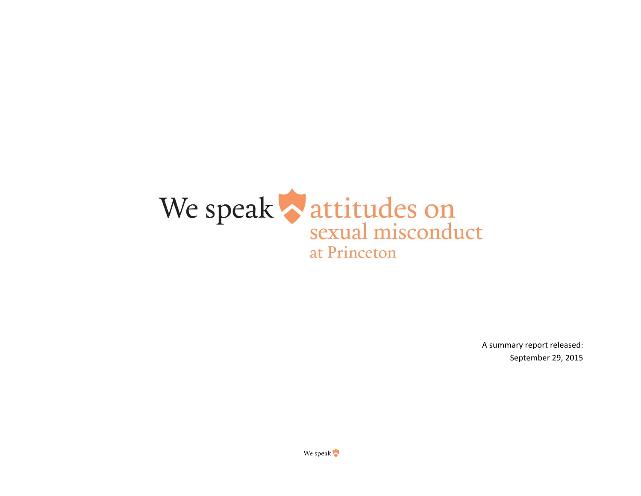

A summary report released: September 29, 2015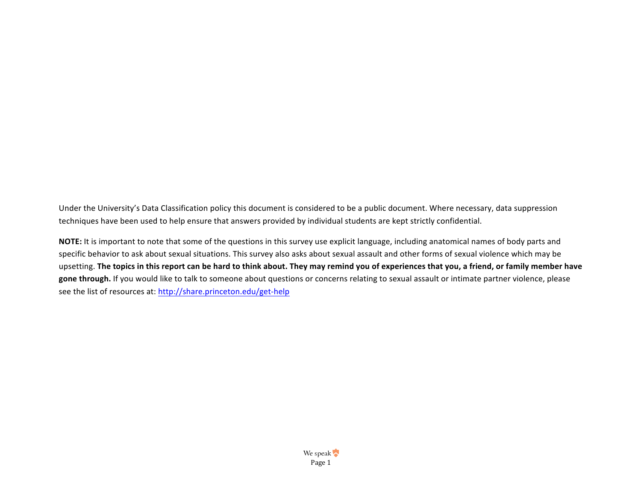Under the University's Data Classification policy this document is considered to be a public document. Where necessary, data suppression techniques have been used to help ensure that answers provided by individual students are kept strictly confidential.

NOTE: It is important to note that some of the questions in this survey use explicit language, including anatomical names of body parts and specific behavior to ask about sexual situations. This survey also asks about sexual assault and other forms of sexual violence which may be upsetting. The topics in this report can be hard to think about. They may remind you of experiences that you, a friend, or family member have gone through. If you would like to talk to someone about questions or concerns relating to sexual assault or intimate partner violence, please see the list of resources at: http://share.princeton.edu/get-help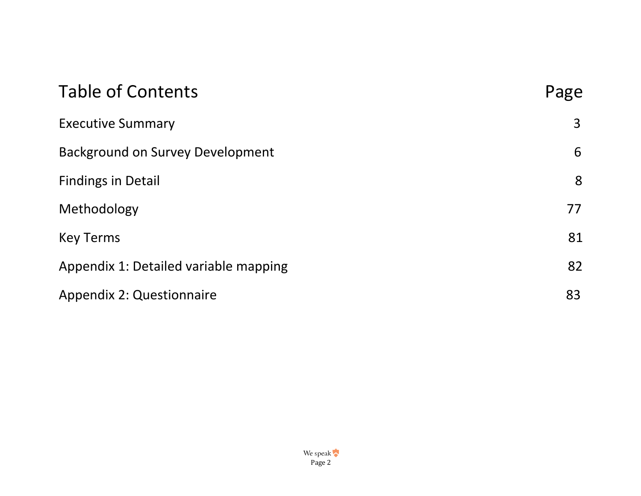| <b>Table of Contents</b>                | Page |
|-----------------------------------------|------|
| <b>Executive Summary</b>                | 3    |
| <b>Background on Survey Development</b> | 6    |
| <b>Findings in Detail</b>               | 8    |
| Methodology                             | 77   |
| <b>Key Terms</b>                        | 81   |
| Appendix 1: Detailed variable mapping   | 82   |
| <b>Appendix 2: Questionnaire</b>        | 83   |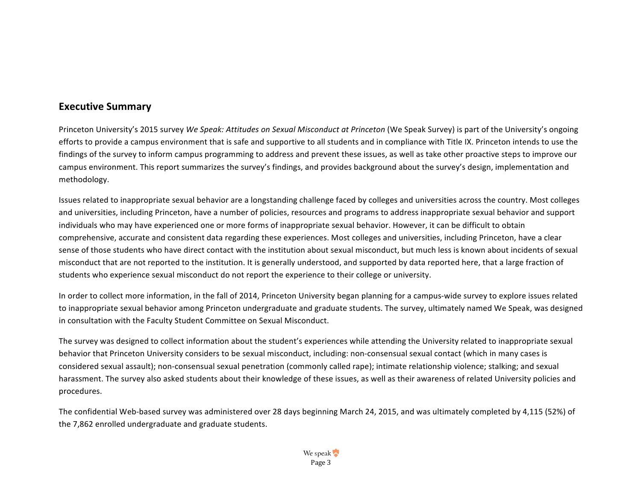# <span id="page-3-0"></span>**Executive Summary**

Princeton University's 2015 survey We Speak: Attitudes on Sexual Misconduct at Princeton (We Speak Survey) is part of the University's ongoing efforts to provide a campus environment that is safe and supportive to all students and in compliance with Title IX. Princeton intends to use the findings of the survey to inform campus programming to address and prevent these issues, as well as take other proactive steps to improve our campus environment. This report summarizes the survey's findings, and provides background about the survey's design, implementation and methodology. 

Issues related to inappropriate sexual behavior are a longstanding challenge faced by colleges and universities across the country. Most colleges and universities, including Princeton, have a number of policies, resources and programs to address inappropriate sexual behavior and support individuals who may have experienced one or more forms of inappropriate sexual behavior. However, it can be difficult to obtain comprehensive, accurate and consistent data regarding these experiences. Most colleges and universities, including Princeton, have a clear sense of those students who have direct contact with the institution about sexual misconduct, but much less is known about incidents of sexual misconduct that are not reported to the institution. It is generally understood, and supported by data reported here, that a large fraction of students who experience sexual misconduct do not report the experience to their college or university.

In order to collect more information, in the fall of 2014, Princeton University began planning for a campus-wide survey to explore issues related to inappropriate sexual behavior among Princeton undergraduate and graduate students. The survey, ultimately named We Speak, was designed in consultation with the Faculty Student Committee on Sexual Misconduct.

The survey was designed to collect information about the student's experiences while attending the University related to inappropriate sexual behavior that Princeton University considers to be sexual misconduct, including: non-consensual sexual contact (which in many cases is considered sexual assault); non-consensual sexual penetration (commonly called rape); intimate relationship violence; stalking; and sexual harassment. The survey also asked students about their knowledge of these issues, as well as their awareness of related University policies and procedures. 

The confidential Web-based survey was administered over 28 days beginning March 24, 2015, and was ultimately completed by 4,115 (52%) of the 7,862 enrolled undergraduate and graduate students.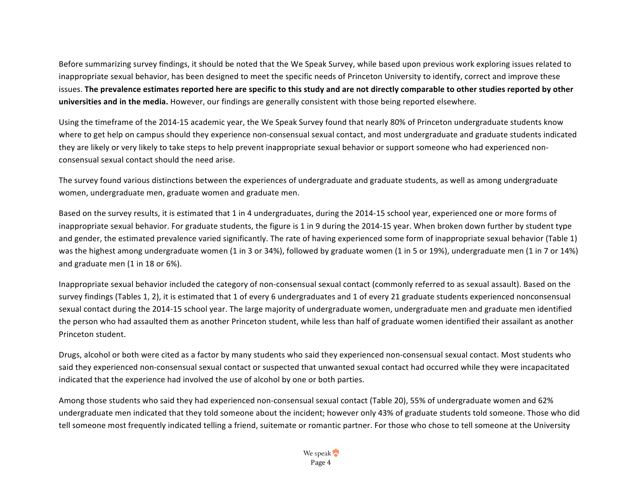Before summarizing survey findings, it should be noted that the We Speak Survey, while based upon previous work exploring issues related to inappropriate sexual behavior, has been designed to meet the specific needs of Princeton University to identify, correct and improve these issues. The prevalence estimates reported here are specific to this study and are not directly comparable to other studies reported by other **universities and in the media.** However, our findings are generally consistent with those being reported elsewhere.

Using the timeframe of the 2014-15 academic year, the We Speak Survey found that nearly 80% of Princeton undergraduate students know where to get help on campus should they experience non-consensual sexual contact, and most undergraduate and graduate students indicated they are likely or very likely to take steps to help prevent inappropriate sexual behavior or support someone who had experienced nonconsensual sexual contact should the need arise. 

The survey found various distinctions between the experiences of undergraduate and graduate students, as well as among undergraduate women, undergraduate men, graduate women and graduate men.

Based on the survey results, it is estimated that 1 in 4 undergraduates, during the 2014-15 school year, experienced one or more forms of inappropriate sexual behavior. For graduate students, the figure is 1 in 9 during the 2014-15 year. When broken down further by student type and gender, the estimated prevalence varied significantly. The rate of having experienced some form of inappropriate sexual behavior (Table 1) was the highest among undergraduate women (1 in 3 or 34%), followed by graduate women (1 in 5 or 19%), undergraduate men (1 in 7 or 14%) and graduate men (1 in 18 or 6%).

Inappropriate sexual behavior included the category of non-consensual sexual contact (commonly referred to as sexual assault). Based on the survey findings (Tables 1, 2), it is estimated that 1 of every 6 undergraduates and 1 of every 21 graduate students experienced nonconsensual sexual contact during the 2014-15 school year. The large majority of undergraduate women, undergraduate men and graduate men identified the person who had assaulted them as another Princeton student, while less than half of graduate women identified their assailant as another Princeton student. 

Drugs, alcohol or both were cited as a factor by many students who said they experienced non-consensual sexual contact. Most students who said they experienced non-consensual sexual contact or suspected that unwanted sexual contact had occurred while they were incapacitated indicated that the experience had involved the use of alcohol by one or both parties.

Among those students who said they had experienced non-consensual sexual contact (Table 20), 55% of undergraduate women and 62% undergraduate men indicated that they told someone about the incident; however only 43% of graduate students told someone. Those who did tell someone most frequently indicated telling a friend, suitemate or romantic partner. For those who chose to tell someone at the University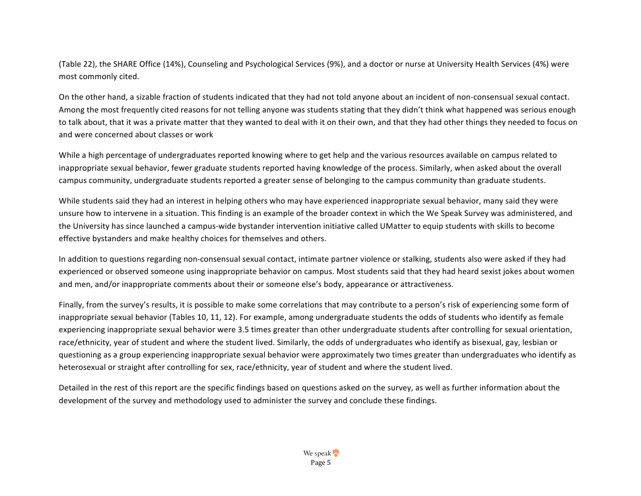(Table 22), the SHARE Office (14%), Counseling and Psychological Services (9%), and a doctor or nurse at University Health Services (4%) were most commonly cited.

On the other hand, a sizable fraction of students indicated that they had not told anyone about an incident of non-consensual sexual contact. Among the most frequently cited reasons for not telling anyone was students stating that they didn't think what happened was serious enough to talk about, that it was a private matter that they wanted to deal with it on their own, and that they had other things they needed to focus on and were concerned about classes or work

While a high percentage of undergraduates reported knowing where to get help and the various resources available on campus related to inappropriate sexual behavior, fewer graduate students reported having knowledge of the process. Similarly, when asked about the overall campus community, undergraduate students reported a greater sense of belonging to the campus community than graduate students.

While students said they had an interest in helping others who may have experienced inappropriate sexual behavior, many said they were unsure how to intervene in a situation. This finding is an example of the broader context in which the We Speak Survey was administered, and the University has since launched a campus-wide bystander intervention initiative called UMatter to equip students with skills to become effective bystanders and make healthy choices for themselves and others.

In addition to questions regarding non-consensual sexual contact, intimate partner violence or stalking, students also were asked if they had experienced or observed someone using inappropriate behavior on campus. Most students said that they had heard sexist jokes about women and men, and/or inappropriate comments about their or someone else's body, appearance or attractiveness.

Finally, from the survey's results, it is possible to make some correlations that may contribute to a person's risk of experiencing some form of inappropriate sexual behavior (Tables 10, 11, 12). For example, among undergraduate students the odds of students who identify as female experiencing inappropriate sexual behavior were 3.5 times greater than other undergraduate students after controlling for sexual orientation, race/ethnicity, year of student and where the student lived. Similarly, the odds of undergraduates who identify as bisexual, gay, lesbian or questioning as a group experiencing inappropriate sexual behavior were approximately two times greater than undergraduates who identify as heterosexual or straight after controlling for sex, race/ethnicity, year of student and where the student lived.

Detailed in the rest of this report are the specific findings based on questions asked on the survey, as well as further information about the development of the survey and methodology used to administer the survey and conclude these findings.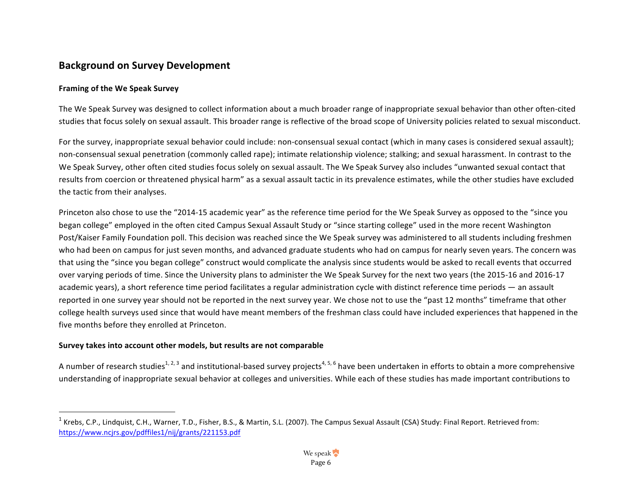# <span id="page-6-0"></span>**Background on Survey Development**

# **Framing of the We Speak Survey**

The We Speak Survey was designed to collect information about a much broader range of inappropriate sexual behavior than other often-cited studies that focus solely on sexual assault. This broader range is reflective of the broad scope of University policies related to sexual misconduct.

For the survey, inappropriate sexual behavior could include: non-consensual sexual contact (which in many cases is considered sexual assault); non-consensual sexual penetration (commonly called rape); intimate relationship violence; stalking; and sexual harassment. In contrast to the We Speak Survey, other often cited studies focus solely on sexual assault. The We Speak Survey also includes "unwanted sexual contact that results from coercion or threatened physical harm" as a sexual assault tactic in its prevalence estimates, while the other studies have excluded the tactic from their analyses.

Princeton also chose to use the "2014-15 academic year" as the reference time period for the We Speak Survey as opposed to the "since you began college" employed in the often cited Campus Sexual Assault Study or "since starting college" used in the more recent Washington Post/Kaiser Family Foundation poll. This decision was reached since the We Speak survey was administered to all students including freshmen who had been on campus for just seven months, and advanced graduate students who had on campus for nearly seven years. The concern was that using the "since you began college" construct would complicate the analysis since students would be asked to recall events that occurred over varying periods of time. Since the University plans to administer the We Speak Survey for the next two years (the 2015-16 and 2016-17 academic years), a short reference time period facilitates a regular administration cycle with distinct reference time periods — an assault reported in one survey year should not be reported in the next survey year. We chose not to use the "past 12 months" timeframe that other college health surveys used since that would have meant members of the freshman class could have included experiences that happened in the five months before they enrolled at Princeton.

#### Survey takes into account other models, but results are not comparable

A number of research studies<sup>1, 2, 3</sup> and institutional-based survey projects<sup>4, 5, 6</sup> have been undertaken in efforts to obtain a more comprehensive understanding of inappropriate sexual behavior at colleges and universities. While each of these studies has made important contributions to

 $1$  Krebs, C.P., Lindquist, C.H., Warner, T.D., Fisher, B.S., & Martin, S.L. (2007). The Campus Sexual Assault (CSA) Study: Final Report. Retrieved from: https://www.ncjrs.gov/pdffiles1/nij/grants/221153.pdf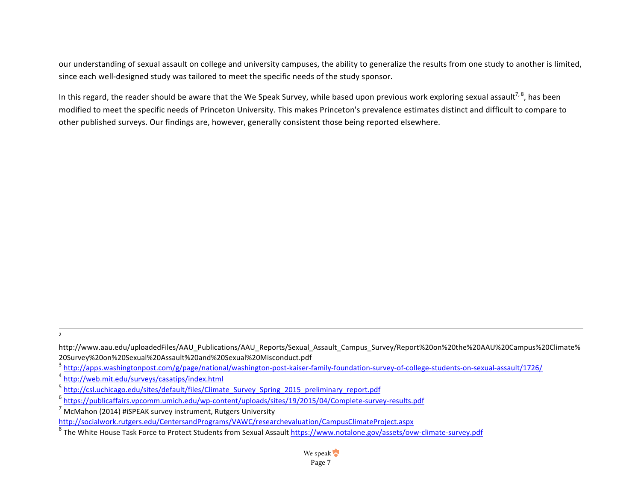our understanding of sexual assault on college and university campuses, the ability to generalize the results from one study to another is limited, since each well-designed study was tailored to meet the specific needs of the study sponsor.

In this regard, the reader should be aware that the We Speak Survey, while based upon previous work exploring sexual assault<sup>7, 8</sup>, has been modified to meet the specific needs of Princeton University. This makes Princeton's prevalence estimates distinct and difficult to compare to other published surveys. Our findings are, however, generally consistent those being reported elsewhere.

2

<sup>3</sup> http://apps.washingtonpost.com/g/page/national/washington-post-kaiser-family-foundation-survey-of-college-students-on-sexual-assault/1726/

<sup>4</sup> http://web.mit.edu/surveys/casatips/index.html

http://www.aau.edu/uploadedFiles/AAU\_Publications/AAU\_Reports/Sexual\_Assault\_Campus\_Survey/Report%20on%20the%20AAU%20Campus%20Climate% 20Survey%20on%20Sexual%20Assault%20and%20Sexual%20Misconduct.pdf

<sup>5</sup> http://csl.uchicago.edu/sites/default/files/Climate\_Survey\_Spring\_2015\_preliminary\_report.pdf

<sup>6</sup> https://publicaffairs.vpcomm.umich.edu/wp-content/uploads/sites/19/2015/04/Complete-survey-results.pdf

 $7$  McMahon (2014) #iSPEAK survey instrument, Rutgers University

http://socialwork.rutgers.edu/CentersandPrograms/VAWC/researchevaluation/CampusClimateProject.aspx

<sup>8</sup> The White House Task Force to Protect Students from Sexual Assault https://www.notalone.gov/assets/ovw-climate-survey.pdf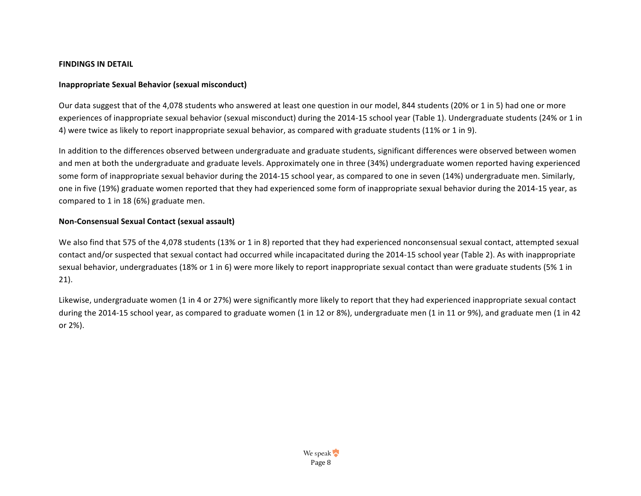#### <span id="page-8-0"></span>**FINDINGS IN DETAIL**

### **Inappropriate Sexual Behavior (sexual misconduct)**

Our data suggest that of the 4,078 students who answered at least one question in our model, 844 students (20% or 1 in 5) had one or more experiences of inappropriate sexual behavior (sexual misconduct) during the 2014-15 school year (Table 1). Undergraduate students (24% or 1 in 4) were twice as likely to report inappropriate sexual behavior, as compared with graduate students (11% or 1 in 9).

In addition to the differences observed between undergraduate and graduate students, significant differences were observed between women and men at both the undergraduate and graduate levels. Approximately one in three (34%) undergraduate women reported having experienced some form of inappropriate sexual behavior during the 2014-15 school year, as compared to one in seven (14%) undergraduate men. Similarly, one in five (19%) graduate women reported that they had experienced some form of inappropriate sexual behavior during the 2014-15 year, as compared to  $1$  in  $18(6%)$  graduate men.

# **Non-Consensual Sexual Contact (sexual assault)**

We also find that 575 of the 4,078 students (13% or 1 in 8) reported that they had experienced nonconsensual sexual contact, attempted sexual contact and/or suspected that sexual contact had occurred while incapacitated during the 2014-15 school year (Table 2). As with inappropriate sexual behavior, undergraduates (18% or 1 in 6) were more likely to report inappropriate sexual contact than were graduate students (5% 1 in 21). 

Likewise, undergraduate women (1 in 4 or 27%) were significantly more likely to report that they had experienced inappropriate sexual contact during the 2014-15 school year, as compared to graduate women (1 in 12 or 8%), undergraduate men (1 in 11 or 9%), and graduate men (1 in 42 or 2%).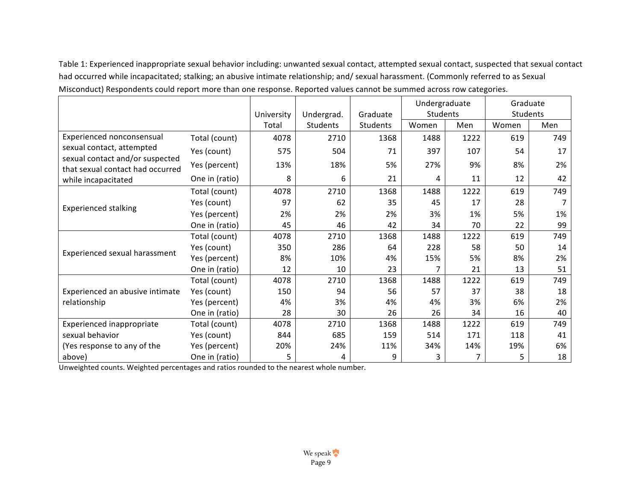Table 1: Experienced inappropriate sexual behavior including: unwanted sexual contact, attempted sexual contact, suspected that sexual contact had occurred while incapacitated; stalking; an abusive intimate relationship; and/ sexual harassment. (Commonly referred to as Sexual Misconduct) Respondents could report more than one response. Reported values cannot be summed across row categories.

|                                                                     |                |            |                 |          | Undergraduate |      | Graduate |     |
|---------------------------------------------------------------------|----------------|------------|-----------------|----------|---------------|------|----------|-----|
|                                                                     |                | University | Undergrad.      | Graduate | Students      |      | Students |     |
|                                                                     |                | Total      | <b>Students</b> | Students | Women         | Men  | Women    | Men |
| Experienced nonconsensual                                           | Total (count)  | 4078       | 2710            | 1368     | 1488          | 1222 | 619      | 749 |
| sexual contact, attempted                                           | Yes (count)    | 575        | 504             | 71       | 397           | 107  | 54       | 17  |
| sexual contact and/or suspected<br>that sexual contact had occurred | Yes (percent)  | 13%        | 18%             | 5%       | 27%           | 9%   | 8%       | 2%  |
| while incapacitated                                                 | One in (ratio) | 8          | 6               | 21       | 4             | 11   | 12       | 42  |
|                                                                     | Total (count)  | 4078       | 2710            | 1368     | 1488          | 1222 | 619      | 749 |
|                                                                     | Yes (count)    | 97         | 62              | 35       | 45            | 17   | 28       |     |
| <b>Experienced stalking</b>                                         | Yes (percent)  | 2%         | 2%              | 2%       | 3%            | 1%   | 5%       | 1%  |
|                                                                     | One in (ratio) | 45         | 46              | 42       | 34            | 70   | 22       | 99  |
|                                                                     | Total (count)  | 4078       | 2710            | 1368     | 1488          | 1222 | 619      | 749 |
| Experienced sexual harassment                                       | Yes (count)    | 350        | 286             | 64       | 228           | 58   | 50       | 14  |
|                                                                     | Yes (percent)  | 8%         | 10%             | 4%       | 15%           | 5%   | 8%       | 2%  |
|                                                                     | One in (ratio) | 12         | 10              | 23       | 7             | 21   | 13       | 51  |
|                                                                     | Total (count)  | 4078       | 2710            | 1368     | 1488          | 1222 | 619      | 749 |
| Experienced an abusive intimate                                     | Yes (count)    | 150        | 94              | 56       | 57            | 37   | 38       | 18  |
| relationship                                                        | Yes (percent)  | 4%         | 3%              | 4%       | 4%            | 3%   | 6%       | 2%  |
|                                                                     | One in (ratio) | 28         | 30              | 26       | 26            | 34   | 16       | 40  |
| Experienced inappropriate                                           | Total (count)  | 4078       | 2710            | 1368     | 1488          | 1222 | 619      | 749 |
| sexual behavior                                                     | Yes (count)    | 844        | 685             | 159      | 514           | 171  | 118      | 41  |
| (Yes response to any of the                                         | Yes (percent)  | 20%        | 24%             | 11%      | 34%           | 14%  | 19%      | 6%  |
| above)                                                              | One in (ratio) | 5          | 4               | 9        | 3             |      | 5        | 18  |

Unweighted counts. Weighted percentages and ratios rounded to the nearest whole number.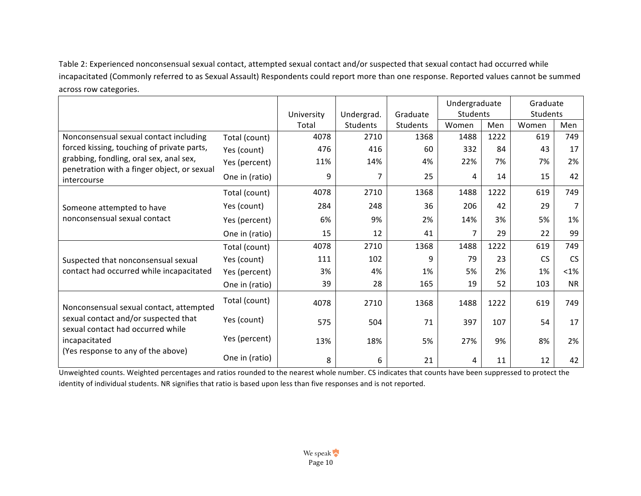Table 2: Experienced nonconsensual sexual contact, attempted sexual contact and/or suspected that sexual contact had occurred while incapacitated (Commonly referred to as Sexual Assault) Respondents could report more than one response. Reported values cannot be summed across row categories.

|                                                                                                                                                     |                |            |                 |          | Undergraduate   |      | Graduate  |           |
|-----------------------------------------------------------------------------------------------------------------------------------------------------|----------------|------------|-----------------|----------|-----------------|------|-----------|-----------|
|                                                                                                                                                     |                | University | Undergrad.      | Graduate | <b>Students</b> |      | Students  |           |
|                                                                                                                                                     |                | Total      | <b>Students</b> | Students | Women           | Men  | Women     | Men       |
| Nonconsensual sexual contact including                                                                                                              | Total (count)  | 4078       | 2710            | 1368     | 1488            | 1222 | 619       | 749       |
| forced kissing, touching of private parts,<br>grabbing, fondling, oral sex, anal sex,<br>penetration with a finger object, or sexual<br>intercourse | Yes (count)    | 476        | 416             | 60       | 332             | 84   | 43        | 17        |
|                                                                                                                                                     | Yes (percent)  | 11%        | 14%             | 4%       | 22%             | 7%   | 7%        | 2%        |
|                                                                                                                                                     | One in (ratio) | 9          |                 | 25       | 4               | 14   | 15        | 42        |
|                                                                                                                                                     | Total (count)  | 4078       | 2710            | 1368     | 1488            | 1222 | 619       | 749       |
| Someone attempted to have                                                                                                                           | Yes (count)    | 284        | 248             | 36       | 206             | 42   | 29        | 7         |
| nonconsensual sexual contact                                                                                                                        | Yes (percent)  | 6%         | 9%              | 2%       | 14%             | 3%   | 5%        | 1%        |
|                                                                                                                                                     | One in (ratio) | 15         | 12              | 41       | 7               | 29   | 22        | 99        |
|                                                                                                                                                     | Total (count)  | 4078       | 2710            | 1368     | 1488            | 1222 | 619       | 749       |
| Suspected that nonconsensual sexual                                                                                                                 | Yes (count)    | 111        | 102             | 9        | 79              | 23   | <b>CS</b> | <b>CS</b> |
| contact had occurred while incapacitated                                                                                                            | Yes (percent)  | 3%         | 4%              | 1%       | 5%              | 2%   | 1%        | $<$ 1%    |
|                                                                                                                                                     | One in (ratio) | 39         | 28              | 165      | 19              | 52   | 103       | <b>NR</b> |
| Nonconsensual sexual contact, attempted                                                                                                             | Total (count)  | 4078       | 2710            | 1368     | 1488            | 1222 | 619       | 749       |
| sexual contact and/or suspected that<br>sexual contact had occurred while<br>incapacitated                                                          | Yes (count)    | 575        | 504             | 71       | 397             | 107  | 54        | 17        |
|                                                                                                                                                     | Yes (percent)  | 13%        | 18%             | 5%       | 27%             | 9%   | 8%        | 2%        |
| (Yes response to any of the above)                                                                                                                  | One in (ratio) | 8          | 6               | 21       | 4               | 11   | 12        | 42        |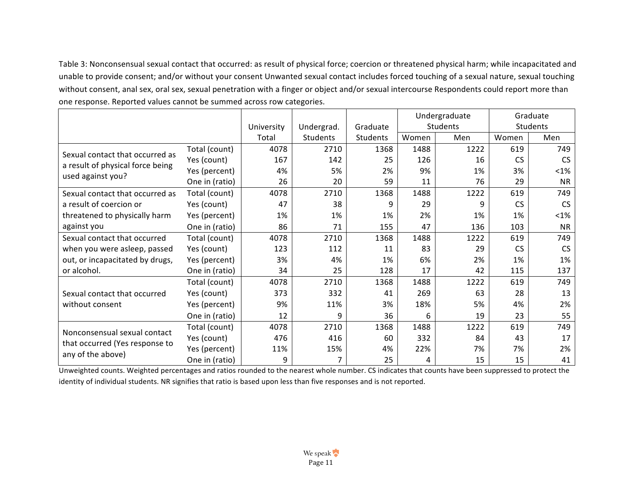Table 3: Nonconsensual sexual contact that occurred: as result of physical force; coercion or threatened physical harm; while incapacitated and unable to provide consent; and/or without your consent Unwanted sexual contact includes forced touching of a sexual nature, sexual touching without consent, anal sex, oral sex, sexual penetration with a finger or object and/or sexual intercourse Respondents could report more than one response. Reported values cannot be summed across row categories.

|                                  |                |            |            |          |       | Undergraduate |           | Graduate  |
|----------------------------------|----------------|------------|------------|----------|-------|---------------|-----------|-----------|
|                                  |                | University | Undergrad. | Graduate |       | Students      |           | Students  |
|                                  |                | Total      | Students   | Students | Women | Men           | Women     | Men       |
| Sexual contact that occurred as  | Total (count)  | 4078       | 2710       | 1368     | 1488  | 1222          | 619       | 749       |
| a result of physical force being | Yes (count)    | 167        | 142        | 25       | 126   | 16            | <b>CS</b> | <b>CS</b> |
| used against you?                | Yes (percent)  | 4%         | 5%         | 2%       | 9%    | 1%            | 3%        | $< 1\%$   |
|                                  | One in (ratio) | 26         | 20         | 59       | 11    | 76            | 29        | <b>NR</b> |
| Sexual contact that occurred as  | Total (count)  | 4078       | 2710       | 1368     | 1488  | 1222          | 619       | 749       |
| a result of coercion or          | Yes (count)    | 47         | 38         | 9        | 29    | q             | <b>CS</b> | <b>CS</b> |
| threatened to physically harm    | Yes (percent)  | 1%         | 1%         | 1%       | 2%    | 1%            | 1%        | $< 1\%$   |
| against you                      | One in (ratio) | 86         | 71         | 155      | 47    | 136           | 103       | <b>NR</b> |
| Sexual contact that occurred     | Total (count)  | 4078       | 2710       | 1368     | 1488  | 1222          | 619       | 749       |
| when you were asleep, passed     | Yes (count)    | 123        | 112        | 11       | 83    | 29            | <b>CS</b> | <b>CS</b> |
| out, or incapacitated by drugs,  | Yes (percent)  | 3%         | 4%         | 1%       | 6%    | 2%            | 1%        | 1%        |
| or alcohol.                      | One in (ratio) | 34         | 25         | 128      | 17    | 42            | 115       | 137       |
|                                  | Total (count)  | 4078       | 2710       | 1368     | 1488  | 1222          | 619       | 749       |
| Sexual contact that occurred     | Yes (count)    | 373        | 332        | 41       | 269   | 63            | 28        | 13        |
| without consent                  | Yes (percent)  | 9%         | 11%        | 3%       | 18%   | 5%            | 4%        | 2%        |
|                                  | One in (ratio) | 12         | 9          | 36       | 6     | 19            | 23        | 55        |
|                                  | Total (count)  | 4078       | 2710       | 1368     | 1488  | 1222          | 619       | 749       |
| Nonconsensual sexual contact     | Yes (count)    | 476        | 416        | 60       | 332   | 84            | 43        | 17        |
| that occurred (Yes response to   | Yes (percent)  | 11%        | 15%        | 4%       | 22%   | 7%            | 7%        | 2%        |
| any of the above)                | One in (ratio) | 9          |            | 25       | 4     | 15            | 15        | 41        |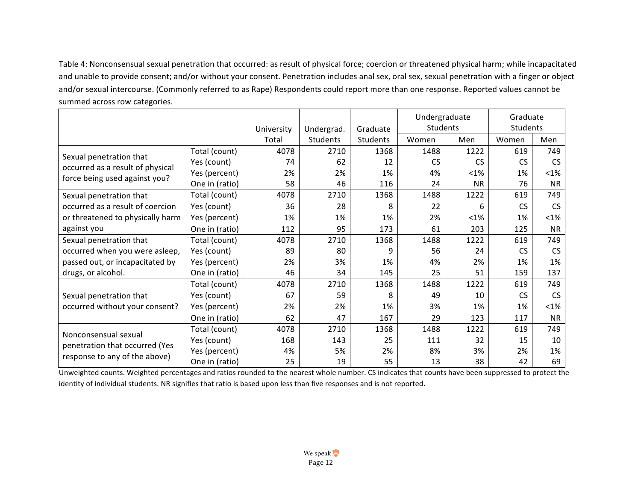Table 4: Nonconsensual sexual penetration that occurred: as result of physical force; coercion or threatened physical harm; while incapacitated and unable to provide consent; and/or without your consent. Penetration includes anal sex, oral sex, sexual penetration with a finger or object and/or sexual intercourse. (Commonly referred to as Rape) Respondents could report more than one response. Reported values cannot be summed across row categories.

|                                                             |                |            |                 |          | Undergraduate |           | Graduate  |           |
|-------------------------------------------------------------|----------------|------------|-----------------|----------|---------------|-----------|-----------|-----------|
|                                                             |                | University | Undergrad.      | Graduate | Students      |           | Students  |           |
|                                                             |                | Total      | <b>Students</b> | Students | Women         | Men       | Women     | Men       |
|                                                             | Total (count)  | 4078       | 2710            | 1368     | 1488          | 1222      | 619       | 749       |
| Sexual penetration that<br>occurred as a result of physical | Yes (count)    | 74         | 62              | 12       | <b>CS</b>     | <b>CS</b> | <b>CS</b> | <b>CS</b> |
| force being used against you?                               | Yes (percent)  | 2%         | 2%              | 1%       | 4%            | $< 1\%$   | 1%        | $< 1\%$   |
|                                                             | One in (ratio) | 58         | 46              | 116      | 24            | <b>NR</b> | 76        | <b>NR</b> |
| Sexual penetration that                                     | Total (count)  | 4078       | 2710            | 1368     | 1488          | 1222      | 619       | 749       |
| occurred as a result of coercion                            | Yes (count)    | 36         | 28              | 8        | 22            | 6         | <b>CS</b> | <b>CS</b> |
| or threatened to physically harm                            | Yes (percent)  | 1%         | 1%              | 1%       | 2%            | $< 1\%$   | 1%        | $< 1\%$   |
| against you                                                 | One in (ratio) | 112        | 95              | 173      | 61            | 203       | 125       | NR.       |
| Sexual penetration that                                     | Total (count)  | 4078       | 2710            | 1368     | 1488          | 1222      | 619       | 749       |
| occurred when you were asleep,                              | Yes (count)    | 89         | 80              | 9        | 56            | 24        | <b>CS</b> | <b>CS</b> |
| passed out, or incapacitated by                             | Yes (percent)  | 2%         | 3%              | 1%       | 4%            | 2%        | 1%        | 1%        |
| drugs, or alcohol.                                          | One in (ratio) | 46         | 34              | 145      | 25            | 51        | 159       | 137       |
|                                                             | Total (count)  | 4078       | 2710            | 1368     | 1488          | 1222      | 619       | 749       |
| Sexual penetration that                                     | Yes (count)    | 67         | 59              | 8        | 49            | 10        | <b>CS</b> | <b>CS</b> |
| occurred without your consent?                              | Yes (percent)  | 2%         | 2%              | 1%       | 3%            | 1%        | 1%        | $< 1\%$   |
|                                                             | One in (ratio) | 62         | 47              | 167      | 29            | 123       | 117       | NR.       |
|                                                             | Total (count)  | 4078       | 2710            | 1368     | 1488          | 1222      | 619       | 749       |
| Nonconsensual sexual<br>penetration that occurred (Yes      | Yes (count)    | 168        | 143             | 25       | 111           | 32        | 15        | 10        |
|                                                             | Yes (percent)  | 4%         | 5%              | 2%       | 8%            | 3%        | 2%        | 1%        |
| response to any of the above)                               | One in (ratio) | 25         | 19              | 55       | 13            | 38        | 42        | 69        |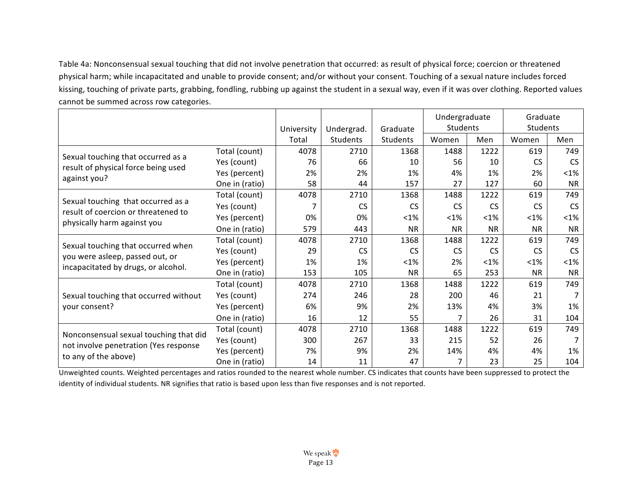Table 4a: Nonconsensual sexual touching that did not involve penetration that occurred: as result of physical force; coercion or threatened physical harm; while incapacitated and unable to provide consent; and/or without your consent. Touching of a sexual nature includes forced kissing, touching of private parts, grabbing, fondling, rubbing up against the student in a sexual way, even if it was over clothing. Reported values cannot be summed across row categories.

|                                                                           |                |            |            |           | Undergraduate |           | Graduate  |           |
|---------------------------------------------------------------------------|----------------|------------|------------|-----------|---------------|-----------|-----------|-----------|
|                                                                           |                | University | Undergrad. | Graduate  | Students      |           | Students  |           |
|                                                                           |                | Total      | Students   | Students  | Women         | Men       | Women     | Men       |
|                                                                           | Total (count)  | 4078       | 2710       | 1368      | 1488          | 1222      | 619       | 749       |
| Sexual touching that occurred as a                                        | Yes (count)    | 76         | 66         | 10        | 56            | 10        | <b>CS</b> | <b>CS</b> |
| result of physical force being used                                       | Yes (percent)  | 2%         | 2%         | 1%        | 4%            | 1%        | 2%        | $<$ 1%    |
| against you?                                                              | One in (ratio) | 58         | 44         | 157       | 27            | 127       | 60        | <b>NR</b> |
|                                                                           | Total (count)  | 4078       | 2710       | 1368      | 1488          | 1222      | 619       | 749       |
| Sexual touching that occurred as a<br>result of coercion or threatened to | Yes (count)    |            | <b>CS</b>  | <b>CS</b> | CS.           | <b>CS</b> | <b>CS</b> | <b>CS</b> |
| physically harm against you                                               | Yes (percent)  | 0%         | 0%         | $< 1\%$   | $<$ 1%        | $< 1\%$   | $<$ 1%    | $< 1\%$   |
|                                                                           | One in (ratio) | 579        | 443        | <b>NR</b> | <b>NR</b>     | <b>NR</b> | <b>NR</b> | <b>NR</b> |
|                                                                           | Total (count)  | 4078       | 2710       | 1368      | 1488          | 1222      | 619       | 749       |
| Sexual touching that occurred when                                        | Yes (count)    | 29         | <b>CS</b>  | <b>CS</b> | <b>CS</b>     | <b>CS</b> | <b>CS</b> | <b>CS</b> |
| you were asleep, passed out, or<br>incapacitated by drugs, or alcohol.    | Yes (percent)  | 1%         | 1%         | $< 1\%$   | 2%            | $< 1\%$   | $< 1\%$   | $<$ 1%    |
|                                                                           | One in (ratio) | 153        | 105        | <b>NR</b> | 65            | 253       | <b>NR</b> | <b>NR</b> |
|                                                                           | Total (count)  | 4078       | 2710       | 1368      | 1488          | 1222      | 619       | 749       |
| Sexual touching that occurred without                                     | Yes (count)    | 274        | 246        | 28        | 200           | 46        | 21        | 7         |
| your consent?                                                             | Yes (percent)  | 6%         | 9%         | 2%        | 13%           | 4%        | 3%        | 1%        |
|                                                                           | One in (ratio) | 16         | 12         | 55        | 7             | 26        | 31        | 104       |
|                                                                           | Total (count)  | 4078       | 2710       | 1368      | 1488          | 1222      | 619       | 749       |
| Nonconsensual sexual touching that did                                    | Yes (count)    | 300        | 267        | 33        | 215           | 52        | 26        | 7         |
| not involve penetration (Yes response                                     | Yes (percent)  | 7%         | 9%         | 2%        | 14%           | 4%        | 4%        | 1%        |
| to any of the above)                                                      | One in (ratio) | 14         | 11         | 47        | 7             | 23        | 25        | 104       |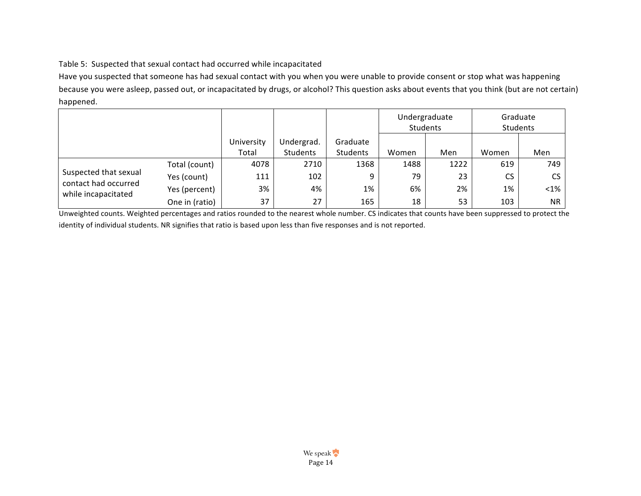# Table 5: Suspected that sexual contact had occurred while incapacitated

Have you suspected that someone has had sexual contact with you when you were unable to provide consent or stop what was happening because you were asleep, passed out, or incapacitated by drugs, or alcohol? This question asks about events that you think (but are not certain) happened.

|                                             |                |            |            |          | Undergraduate<br>Students |      | Graduate<br>Students |           |
|---------------------------------------------|----------------|------------|------------|----------|---------------------------|------|----------------------|-----------|
|                                             |                | University | Undergrad. | Graduate |                           |      |                      |           |
|                                             |                | Total      | Students   | Students | Women                     | Men  | Women                | Men       |
|                                             | Total (count)  | 4078       | 2710       | 1368     | 1488                      | 1222 | 619                  | 749       |
| Suspected that sexual                       | Yes (count)    | 111        | 102        | 9        | 79                        | 23   | CS.                  | <b>CS</b> |
| contact had occurred<br>while incapacitated | Yes (percent)  | 3%         | 4%         | 1%       | 6%                        | 2%   | 1%                   | $<1\%$    |
|                                             | One in (ratio) | 37         | 27         | 165      | 18                        | 53   | 103                  | <b>NR</b> |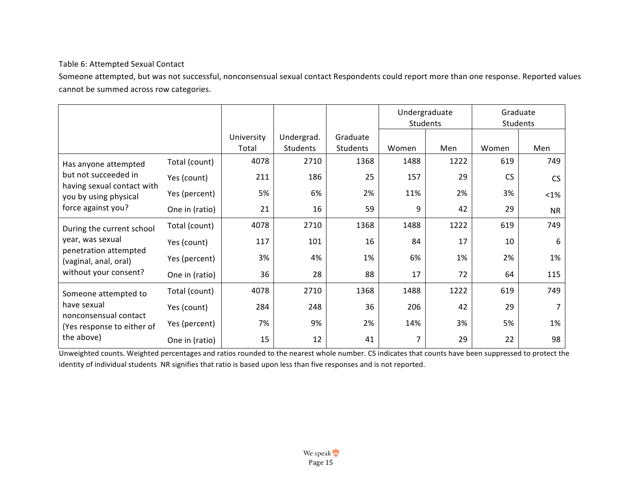# Table 6: Attempted Sexual Contact

Someone attempted, but was not successful, nonconsensual sexual contact Respondents could report more than one response. Reported values cannot be summed across row categories.

|                                                     |                |                     |                        |                      | Undergraduate<br><b>Students</b> |      | Graduate<br>Students |           |
|-----------------------------------------------------|----------------|---------------------|------------------------|----------------------|----------------------------------|------|----------------------|-----------|
|                                                     |                | University<br>Total | Undergrad.<br>Students | Graduate<br>Students | Women                            | Men  | Women                | Men       |
| Has anyone attempted                                | Total (count)  | 4078                | 2710                   | 1368                 | 1488                             | 1222 | 619                  | 749       |
| but not succeeded in                                | Yes (count)    | 211                 | 186                    | 25                   | 157                              | 29   | <b>CS</b>            | <b>CS</b> |
| having sexual contact with<br>you by using physical | Yes (percent)  | 5%                  | 6%                     | 2%                   | 11%                              | 2%   | 3%                   | $<1\%$    |
| force against you?                                  | One in (ratio) | 21                  | 16                     | 59                   | 9                                | 42   | 29                   | <b>NR</b> |
| During the current school                           | Total (count)  | 4078                | 2710                   | 1368                 | 1488                             | 1222 | 619                  | 749       |
| year, was sexual                                    | Yes (count)    | 117                 | 101                    | 16                   | 84                               | 17   | 10                   | 6         |
| penetration attempted<br>(vaginal, anal, oral)      | Yes (percent)  | 3%                  | 4%                     | 1%                   | 6%                               | 1%   | 2%                   | 1%        |
| without your consent?                               | One in (ratio) | 36                  | 28                     | 88                   | 17                               | 72   | 64                   | 115       |
| Someone attempted to                                | Total (count)  | 4078                | 2710                   | 1368                 | 1488                             | 1222 | 619                  | 749       |
| have sexual                                         | Yes (count)    | 284                 | 248                    | 36                   | 206                              | 42   | 29                   |           |
| nonconsensual contact<br>(Yes response to either of | Yes (percent)  | 7%                  | 9%                     | 2%                   | 14%                              | 3%   | 5%                   | 1%        |
| the above)                                          | One in (ratio) | 15                  | 12                     | 41                   |                                  | 29   | 22                   | 98        |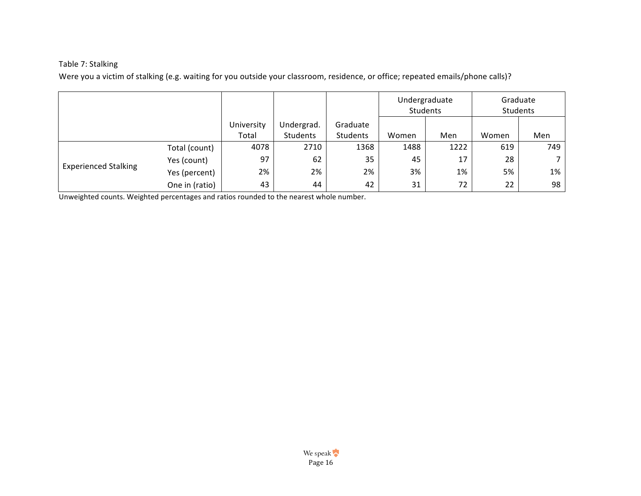# Table 7: Stalking

Were you a victim of stalking (e.g. waiting for you outside your classroom, residence, or office; repeated emails/phone calls)?

|                             |                |                     | Undergraduate<br>Students |                      |       | Graduate<br>Students |       |                 |
|-----------------------------|----------------|---------------------|---------------------------|----------------------|-------|----------------------|-------|-----------------|
|                             |                | University<br>Total | Undergrad.<br>Students    | Graduate<br>Students | Women | Men                  | Women | Men             |
|                             | Total (count)  | 4078                | 2710                      | 1368                 | 1488  | 1222                 | 619   | 749             |
|                             | Yes (count)    | 97                  | 62                        | 35                   | 45    | 17                   | 28    |                 |
| <b>Experienced Stalking</b> | Yes (percent)  | 2%                  | 2%                        | 2%                   | 3%    | 1%                   | 5%    | 1%              |
|                             | One in (ratio) | 43                  | 44                        | 42                   | 31    | 72                   | 22    | 98 <sub>1</sub> |

Unweighted counts. Weighted percentages and ratios rounded to the nearest whole number.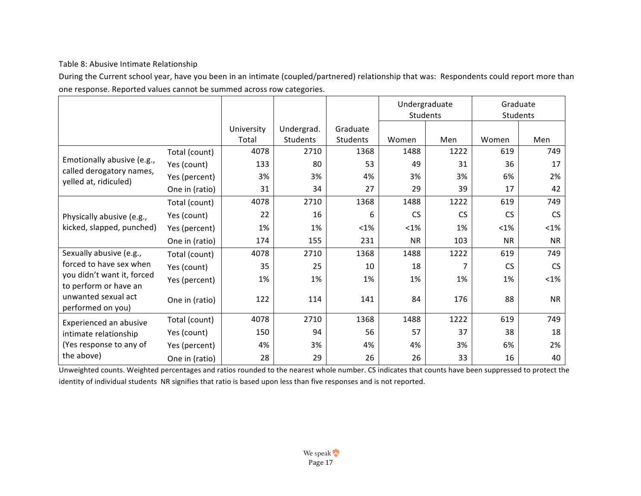# Table 8: Abusive Intimate Relationship

During the Current school year, have you been in an intimate (coupled/partnered) relationship that was: Respondents could report more than one response. Reported values cannot be summed across row categories.

|                                                     |                |                     |                        |                      | Undergraduate<br>Students |           | Graduate<br>Students |           |
|-----------------------------------------------------|----------------|---------------------|------------------------|----------------------|---------------------------|-----------|----------------------|-----------|
|                                                     |                | University<br>Total | Undergrad.<br>Students | Graduate<br>Students | Women                     | Men       | Women                | Men       |
|                                                     | Total (count)  | 4078                | 2710                   | 1368                 | 1488                      | 1222      | 619                  | 749       |
| Emotionally abusive (e.g.,                          | Yes (count)    | 133                 | 80                     | 53                   | 49                        | 31        | 36                   | 17        |
| called derogatory names,                            | Yes (percent)  | 3%                  | 3%                     | 4%                   | 3%                        | 3%        | 6%                   | 2%        |
| yelled at, ridiculed)                               | One in (ratio) | 31                  | 34                     | 27                   | 29                        | 39        | 17                   | 42        |
|                                                     | Total (count)  | 4078                | 2710                   | 1368                 | 1488                      | 1222      | 619                  | 749       |
| Physically abusive (e.g.,                           | Yes (count)    | 22                  | 16                     | 6                    | <b>CS</b>                 | <b>CS</b> | <b>CS</b>            | <b>CS</b> |
| kicked, slapped, punched)                           | Yes (percent)  | 1%                  | 1%                     | $<1\%$               | $<$ 1%                    | 1%        | $< 1\%$              | $<$ 1%    |
|                                                     | One in (ratio) | 174                 | 155                    | 231                  | <b>NR</b>                 | 103       | <b>NR</b>            | <b>NR</b> |
| Sexually abusive (e.g.,                             | Total (count)  | 4078                | 2710                   | 1368                 | 1488                      | 1222      | 619                  | 749       |
| forced to have sex when                             | Yes (count)    | 35                  | 25                     | 10                   | 18                        |           | <b>CS</b>            | <b>CS</b> |
| you didn't want it, forced<br>to perform or have an | Yes (percent)  | 1%                  | 1%                     | 1%                   | 1%                        | 1%        | 1%                   | $<$ 1%    |
| unwanted sexual act<br>performed on you)            | One in (ratio) | 122                 | 114                    | 141                  | 84                        | 176       | 88                   | <b>NR</b> |
| Experienced an abusive                              | Total (count)  | 4078                | 2710                   | 1368                 | 1488                      | 1222      | 619                  | 749       |
| intimate relationship                               | Yes (count)    | 150                 | 94                     | 56                   | 57                        | 37        | 38                   | 18        |
| (Yes response to any of                             | Yes (percent)  | 4%                  | 3%                     | 4%                   | 4%                        | 3%        | 6%                   | 2%        |
| the above)                                          | One in (ratio) | 28                  | 29                     | 26                   | 26                        | 33        | 16                   | 40        |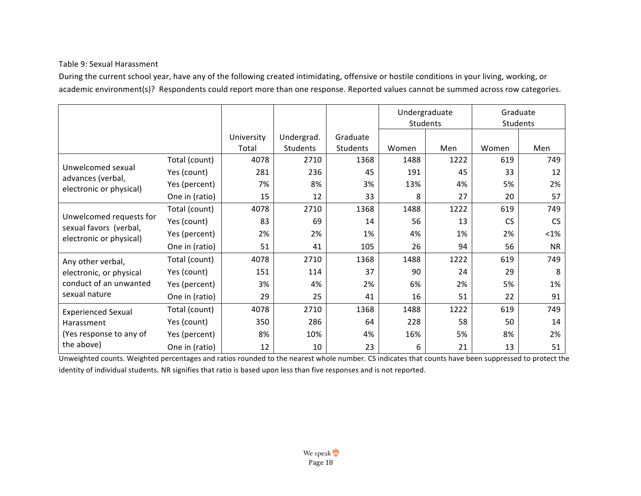# Table 9: Sexual Harassment

During the current school year, have any of the following created intimidating, offensive or hostile conditions in your living, working, or academic environment(s)? Respondents could report more than one response. Reported values cannot be summed across row categories.

|                                                   |                |            |            |                 | Undergraduate<br>Students |      | Graduate<br>Students |           |
|---------------------------------------------------|----------------|------------|------------|-----------------|---------------------------|------|----------------------|-----------|
|                                                   |                | University | Undergrad. | Graduate        |                           |      |                      |           |
|                                                   |                | Total      | Students   | <b>Students</b> | Women                     | Men  | Women                | Men       |
|                                                   | Total (count)  | 4078       | 2710       | 1368            | 1488                      | 1222 | 619                  | 749       |
| Unwelcomed sexual<br>advances (verbal,            | Yes (count)    | 281        | 236        | 45              | 191                       | 45   | 33                   | 12        |
| electronic or physical)                           | Yes (percent)  | 7%         | 8%         | 3%              | 13%                       | 4%   | 5%                   | 2%        |
|                                                   | One in (ratio) | 15         | 12         | 33              | 8                         | 27   | 20                   | 57        |
|                                                   | Total (count)  | 4078       | 2710       | 1368            | 1488                      | 1222 | 619                  | 749       |
| Unwelcomed requests for                           | Yes (count)    | 83         | 69         | 14              | 56                        | 13   | <b>CS</b>            | <b>CS</b> |
| sexual favors (verbal,<br>electronic or physical) | Yes (percent)  | 2%         | 2%         | 1%              | 4%                        | 1%   | 2%                   | $< 1\%$   |
|                                                   | One in (ratio) | 51         | 41         | 105             | 26                        | 94   | 56                   | <b>NR</b> |
| Any other verbal,                                 | Total (count)  | 4078       | 2710       | 1368            | 1488                      | 1222 | 619                  | 749       |
| electronic, or physical                           | Yes (count)    | 151        | 114        | 37              | 90                        | 24   | 29                   | 8         |
| conduct of an unwanted                            | Yes (percent)  | 3%         | 4%         | 2%              | 6%                        | 2%   | 5%                   | 1%        |
| sexual nature                                     | One in (ratio) | 29         | 25         | 41              | 16                        | 51   | 22                   | 91        |
| <b>Experienced Sexual</b>                         | Total (count)  | 4078       | 2710       | 1368            | 1488                      | 1222 | 619                  | 749       |
| Harassment<br>(Yes response to any of             | Yes (count)    | 350        | 286        | 64              | 228                       | 58   | 50                   | 14        |
|                                                   | Yes (percent)  | 8%         | 10%        | 4%              | 16%                       | 5%   | 8%                   | 2%        |
| the above)                                        | One in (ratio) | 12         | 10         | 23              | 6                         | 21   | 13                   | 51        |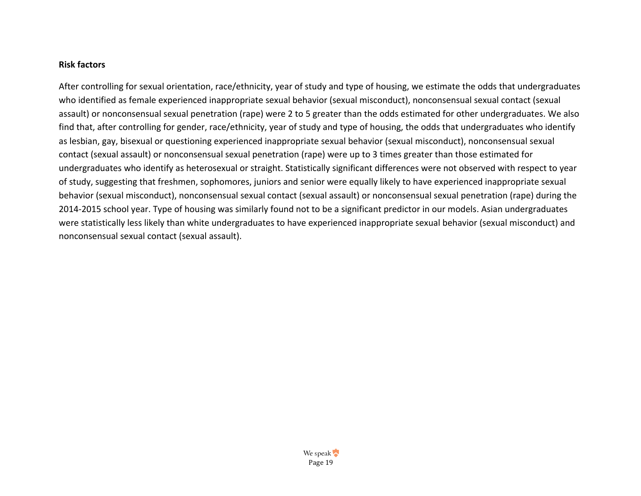#### **Risk factors**

After controlling for sexual orientation, race/ethnicity, year of study and type of housing, we estimate the odds that undergraduates who identified as female experienced inappropriate sexual behavior (sexual misconduct), nonconsensual sexual contact (sexual assault) or nonconsensual sexual penetration (rape) were 2 to 5 greater than the odds estimated for other undergraduates. We also find that, after controlling for gender, race/ethnicity, year of study and type of housing, the odds that undergraduates who identify as lesbian, gay, bisexual or questioning experienced inappropriate sexual behavior (sexual misconduct), nonconsensual sexual contact (sexual assault) or nonconsensual sexual penetration (rape) were up to 3 times greater than those estimated for undergraduates who identify as heterosexual or straight. Statistically significant differences were not observed with respect to year of study, suggesting that freshmen, sophomores, juniors and senior were equally likely to have experienced inappropriate sexual behavior (sexual misconduct), nonconsensual sexual contact (sexual assault) or nonconsensual sexual penetration (rape) during the 2014-2015 school year. Type of housing was similarly found not to be a significant predictor in our models. Asian undergraduates were statistically less likely than white undergraduates to have experienced inappropriate sexual behavior (sexual misconduct) and nonconsensual sexual contact (sexual assault).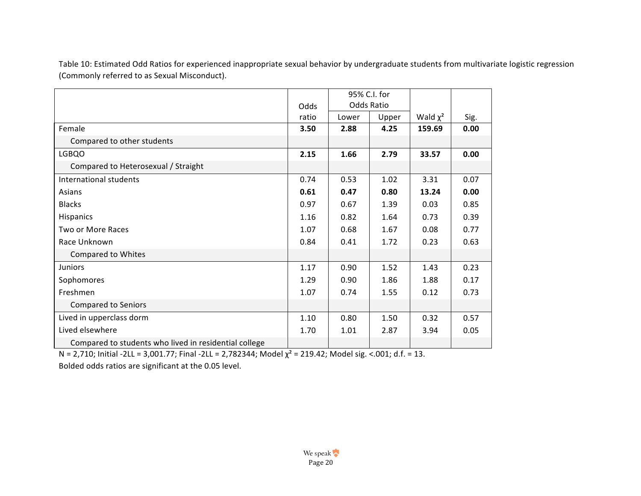Table 10: Estimated Odd Ratios for experienced inappropriate sexual behavior by undergraduate students from multivariate logistic regression (Commonly referred to as Sexual Misconduct).

|                                                       |       |       | 95% C.I. for |               |      |
|-------------------------------------------------------|-------|-------|--------------|---------------|------|
|                                                       | Odds  |       | Odds Ratio   |               |      |
|                                                       | ratio | Lower | Upper        | Wald $\chi^2$ | Sig. |
| Female                                                | 3.50  | 2.88  | 4.25         | 159.69        | 0.00 |
| Compared to other students                            |       |       |              |               |      |
| LGBQO                                                 | 2.15  | 1.66  | 2.79         | 33.57         | 0.00 |
| Compared to Heterosexual / Straight                   |       |       |              |               |      |
| International students                                | 0.74  | 0.53  | 1.02         | 3.31          | 0.07 |
| Asians                                                | 0.61  | 0.47  | 0.80         | 13.24         | 0.00 |
| <b>Blacks</b>                                         | 0.97  | 0.67  | 1.39         | 0.03          | 0.85 |
| Hispanics                                             | 1.16  | 0.82  | 1.64         | 0.73          | 0.39 |
| <b>Two or More Races</b>                              | 1.07  | 0.68  | 1.67         | 0.08          | 0.77 |
| Race Unknown                                          | 0.84  | 0.41  | 1.72         | 0.23          | 0.63 |
| <b>Compared to Whites</b>                             |       |       |              |               |      |
| <b>Juniors</b>                                        | 1.17  | 0.90  | 1.52         | 1.43          | 0.23 |
| Sophomores                                            | 1.29  | 0.90  | 1.86         | 1.88          | 0.17 |
| Freshmen                                              | 1.07  | 0.74  | 1.55         | 0.12          | 0.73 |
| <b>Compared to Seniors</b>                            |       |       |              |               |      |
| Lived in upperclass dorm                              | 1.10  | 0.80  | 1.50         | 0.32          | 0.57 |
| Lived elsewhere                                       | 1.70  | 1.01  | 2.87         | 3.94          | 0.05 |
| Compared to students who lived in residential college |       |       |              |               |      |

N = 2,710; Initial -2LL = 3,001.77; Final -2LL = 2,782344; Model  $\chi^2$  = 219.42; Model sig. <.001; d.f. = 13.

Bolded odds ratios are significant at the 0.05 level.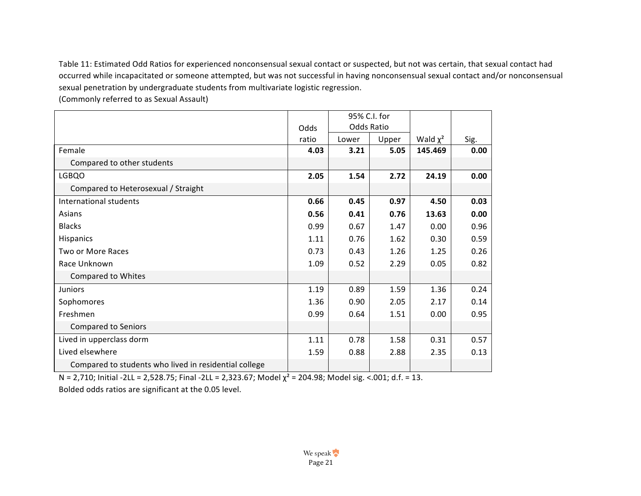Table 11: Estimated Odd Ratios for experienced nonconsensual sexual contact or suspected, but not was certain, that sexual contact had occurred while incapacitated or someone attempted, but was not successful in having nonconsensual sexual contact and/or nonconsensual sexual penetration by undergraduate students from multivariate logistic regression.

(Commonly referred to as Sexual Assault)

|                                                       |       | 95% C.I. for      |       |               |      |
|-------------------------------------------------------|-------|-------------------|-------|---------------|------|
|                                                       | Odds  | <b>Odds Ratio</b> |       |               |      |
|                                                       | ratio | Lower             | Upper | Wald $\chi^2$ | Sig. |
| Female                                                | 4.03  | 3.21              | 5.05  | 145.469       | 0.00 |
| Compared to other students                            |       |                   |       |               |      |
| LGBQO                                                 | 2.05  | 1.54              | 2.72  | 24.19         | 0.00 |
| Compared to Heterosexual / Straight                   |       |                   |       |               |      |
| International students                                | 0.66  | 0.45              | 0.97  | 4.50          | 0.03 |
| Asians                                                | 0.56  | 0.41              | 0.76  | 13.63         | 0.00 |
| <b>Blacks</b>                                         | 0.99  | 0.67              | 1.47  | 0.00          | 0.96 |
| Hispanics                                             | 1.11  | 0.76              | 1.62  | 0.30          | 0.59 |
| Two or More Races                                     | 0.73  | 0.43              | 1.26  | 1.25          | 0.26 |
| Race Unknown                                          | 1.09  | 0.52              | 2.29  | 0.05          | 0.82 |
| Compared to Whites                                    |       |                   |       |               |      |
| Juniors                                               | 1.19  | 0.89              | 1.59  | 1.36          | 0.24 |
| Sophomores                                            | 1.36  | 0.90              | 2.05  | 2.17          | 0.14 |
| Freshmen                                              | 0.99  | 0.64              | 1.51  | 0.00          | 0.95 |
| <b>Compared to Seniors</b>                            |       |                   |       |               |      |
| Lived in upperclass dorm                              | 1.11  | 0.78              | 1.58  | 0.31          | 0.57 |
| Lived elsewhere                                       | 1.59  | 0.88              | 2.88  | 2.35          | 0.13 |
| Compared to students who lived in residential college |       |                   |       |               |      |

N = 2,710; Initial -2LL = 2,528.75; Final -2LL = 2,323.67; Model  $χ² = 204.98$ ; Model sig. <.001; d.f. = 13.

Bolded odds ratios are significant at the 0.05 level.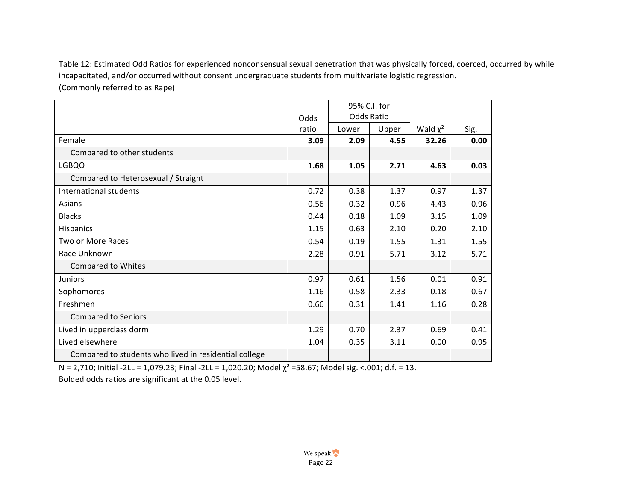Table 12: Estimated Odd Ratios for experienced nonconsensual sexual penetration that was physically forced, coerced, occurred by while incapacitated, and/or occurred without consent undergraduate students from multivariate logistic regression. (Commonly referred to as Rape)

|                                                       |       | 95% C.I. for |       |               |      |
|-------------------------------------------------------|-------|--------------|-------|---------------|------|
|                                                       | Odds  | Odds Ratio   |       |               |      |
|                                                       | ratio | Lower        | Upper | Wald $\chi^2$ | Sig. |
| Female                                                | 3.09  | 2.09         | 4.55  | 32.26         | 0.00 |
| Compared to other students                            |       |              |       |               |      |
| <b>LGBQO</b>                                          | 1.68  | 1.05         | 2.71  | 4.63          | 0.03 |
| Compared to Heterosexual / Straight                   |       |              |       |               |      |
| International students                                | 0.72  | 0.38         | 1.37  | 0.97          | 1.37 |
| Asians                                                | 0.56  | 0.32         | 0.96  | 4.43          | 0.96 |
| <b>Blacks</b>                                         | 0.44  | 0.18         | 1.09  | 3.15          | 1.09 |
| Hispanics                                             | 1.15  | 0.63         | 2.10  | 0.20          | 2.10 |
| Two or More Races                                     | 0.54  | 0.19         | 1.55  | 1.31          | 1.55 |
| Race Unknown                                          | 2.28  | 0.91         | 5.71  | 3.12          | 5.71 |
| <b>Compared to Whites</b>                             |       |              |       |               |      |
| Juniors                                               | 0.97  | 0.61         | 1.56  | 0.01          | 0.91 |
| Sophomores                                            | 1.16  | 0.58         | 2.33  | 0.18          | 0.67 |
| Freshmen                                              | 0.66  | 0.31         | 1.41  | 1.16          | 0.28 |
| <b>Compared to Seniors</b>                            |       |              |       |               |      |
| Lived in upperclass dorm                              | 1.29  | 0.70         | 2.37  | 0.69          | 0.41 |
| Lived elsewhere                                       | 1.04  | 0.35         | 3.11  | 0.00          | 0.95 |
| Compared to students who lived in residential college |       |              |       |               |      |

N = 2,710; Initial -2LL = 1,079.23; Final -2LL = 1,020.20; Model  $\chi^2$  =58.67; Model sig. <.001; d.f. = 13.

Bolded odds ratios are significant at the 0.05 level.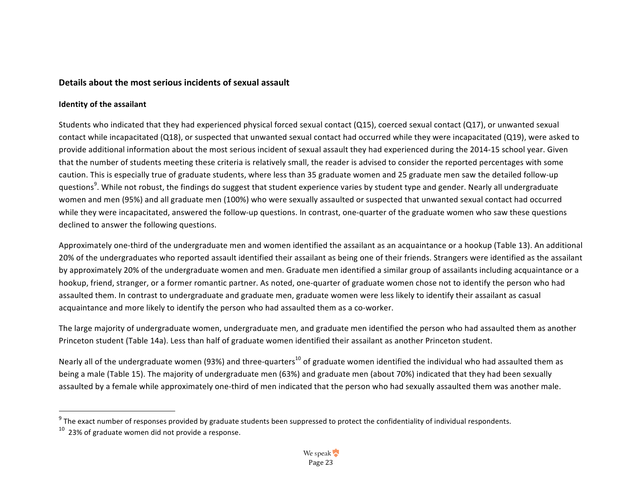#### **Details about the most serious incidents of sexual assault**

#### **Identity of the assailant**

Students who indicated that they had experienced physical forced sexual contact  $(Q15)$ , coerced sexual contact  $(Q17)$ , or unwanted sexual contact while incapacitated (Q18), or suspected that unwanted sexual contact had occurred while they were incapacitated (Q19), were asked to provide additional information about the most serious incident of sexual assault they had experienced during the 2014-15 school year. Given that the number of students meeting these criteria is relatively small, the reader is advised to consider the reported percentages with some caution. This is especially true of graduate students, where less than 35 graduate women and 25 graduate men saw the detailed follow-up questions<sup>9</sup>. While not robust, the findings do suggest that student experience varies by student type and gender. Nearly all undergraduate women and men (95%) and all graduate men (100%) who were sexually assaulted or suspected that unwanted sexual contact had occurred while they were incapacitated, answered the follow-up questions. In contrast, one-quarter of the graduate women who saw these questions declined to answer the following questions.

Approximately one-third of the undergraduate men and women identified the assailant as an acquaintance or a hookup (Table 13). An additional 20% of the undergraduates who reported assault identified their assailant as being one of their friends. Strangers were identified as the assailant by approximately 20% of the undergraduate women and men. Graduate men identified a similar group of assailants including acquaintance or a hookup, friend, stranger, or a former romantic partner. As noted, one-quarter of graduate women chose not to identify the person who had assaulted them. In contrast to undergraduate and graduate men, graduate women were less likely to identify their assailant as casual acquaintance and more likely to identify the person who had assaulted them as a co-worker.

The large majority of undergraduate women, undergraduate men, and graduate men identified the person who had assaulted them as another Princeton student (Table 14a). Less than half of graduate women identified their assailant as another Princeton student.

Nearly all of the undergraduate women (93%) and three-quarters<sup>10</sup> of graduate women identified the individual who had assaulted them as being a male (Table 15). The majority of undergraduate men (63%) and graduate men (about 70%) indicated that they had been sexually assaulted by a female while approximately one-third of men indicated that the person who had sexually assaulted them was another male.

 $9$  The exact number of responses provided by graduate students been suppressed to protect the confidentiality of individual respondents.

 $10$  23% of graduate women did not provide a response.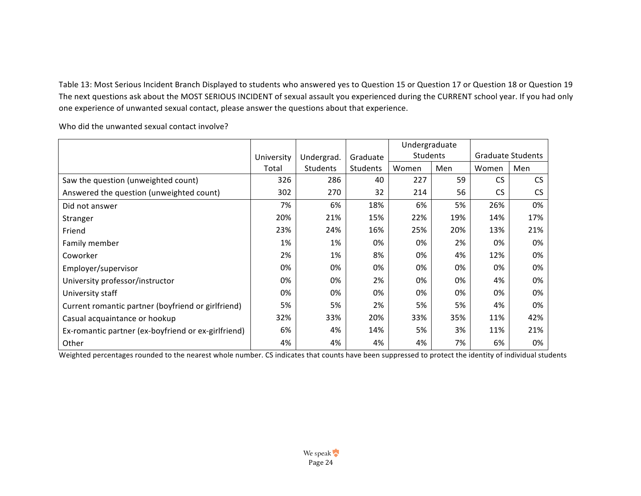Table 13: Most Serious Incident Branch Displayed to students who answered yes to Question 15 or Question 17 or Question 18 or Question 19 The next questions ask about the MOST SERIOUS INCIDENT of sexual assault you experienced during the CURRENT school year. If you had only one experience of unwanted sexual contact, please answer the questions about that experience.

|                                                     |            |            |          | Undergraduate |     |           |                          |
|-----------------------------------------------------|------------|------------|----------|---------------|-----|-----------|--------------------------|
|                                                     | University | Undergrad. | Graduate | Students      |     |           | <b>Graduate Students</b> |
|                                                     | Total      | Students   | Students | Women         | Men | Women     | Men                      |
| Saw the question (unweighted count)                 | 326        | 286        | 40       | 227           | 59  | <b>CS</b> | <b>CS</b>                |
| Answered the question (unweighted count)            | 302        | 270        | 32       | 214           | 56  | <b>CS</b> | CS                       |
| Did not answer                                      | 7%         | 6%         | 18%      | 6%            | 5%  | 26%       | 0%                       |
| Stranger                                            | 20%        | 21%        | 15%      | 22%           | 19% | 14%       | 17%                      |
| Friend                                              | 23%        | 24%        | 16%      | 25%           | 20% | 13%       | 21%                      |
| Family member                                       | 1%         | 1%         | 0%       | 0%            | 2%  | 0%        | 0%                       |
| Coworker                                            | 2%         | 1%         | 8%       | 0%            | 4%  | 12%       | 0%                       |
| Employer/supervisor                                 | 0%         | 0%         | 0%       | 0%            | 0%  | 0%        | 0%                       |
| University professor/instructor                     | 0%         | 0%         | 2%       | 0%            | 0%  | 4%        | 0%                       |
| University staff                                    | 0%         | 0%         | 0%       | 0%            | 0%  | 0%        | 0%                       |
| Current romantic partner (boyfriend or girlfriend)  | 5%         | 5%         | 2%       | 5%            | 5%  | 4%        | 0%                       |
| Casual acquaintance or hookup                       | 32%        | 33%        | 20%      | 33%           | 35% | 11%       | 42%                      |
| Ex-romantic partner (ex-boyfriend or ex-girlfriend) | 6%         | 4%         | 14%      | 5%            | 3%  | 11%       | 21%                      |
| Other                                               | 4%         | 4%         | 4%       | 4%            | 7%  | 6%        | 0%                       |

Who did the unwanted sexual contact involve?

Weighted percentages rounded to the nearest whole number. CS indicates that counts have been suppressed to protect the identity of individual students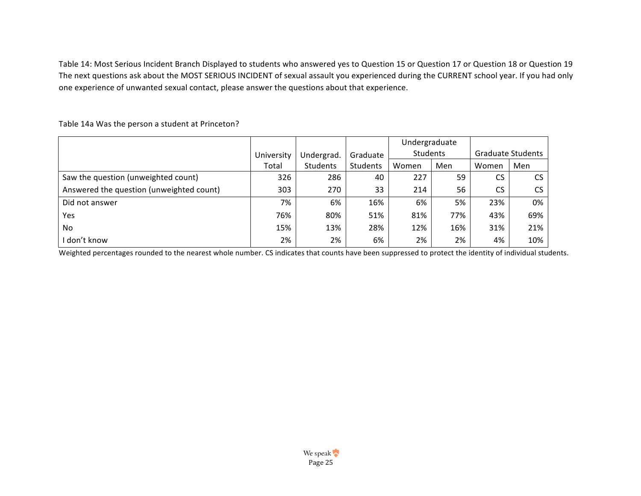Table 14: Most Serious Incident Branch Displayed to students who answered yes to Question 15 or Question 17 or Question 18 or Question 19 The next questions ask about the MOST SERIOUS INCIDENT of sexual assault you experienced during the CURRENT school year. If you had only one experience of unwanted sexual contact, please answer the questions about that experience.

|                                          |            |            |          | Undergraduate |     |                   |     |
|------------------------------------------|------------|------------|----------|---------------|-----|-------------------|-----|
|                                          | University | Undergrad. | Graduate | Students      |     | Graduate Students |     |
|                                          | Total      | Students   | Students | Women         | Men | Women             | Men |
| Saw the question (unweighted count)      | 326        | 286        | 40       | 227           | 59  | <b>CS</b>         | CS  |
| Answered the question (unweighted count) | 303        | 270        | 33       | 214           | 56  | <b>CS</b>         | CS  |
| Did not answer                           | 7%         | 6%         | 16%      | 6%            | 5%  | 23%               | 0%  |
| Yes                                      | 76%        | 80%        | 51%      | 81%           | 77% | 43%               | 69% |
| No                                       | 15%        | 13%        | 28%      | 12%           | 16% | 31%               | 21% |
| I don't know                             | 2%         | 2%         | 6%       | 2%            | 2%  | 4%                | 10% |

Table 14a Was the person a student at Princeton?

Weighted percentages rounded to the nearest whole number. CS indicates that counts have been suppressed to protect the identity of individual students.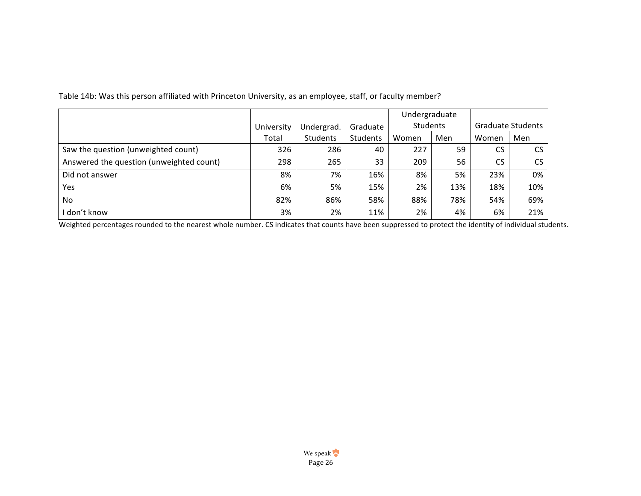|                                          |            |                 |                 | Undergraduate |     |                   |     |
|------------------------------------------|------------|-----------------|-----------------|---------------|-----|-------------------|-----|
|                                          | University | Undergrad.      | Graduate        | Students      |     | Graduate Students |     |
|                                          | Total      | <b>Students</b> | <b>Students</b> | Women         | Men | Women             | Men |
| Saw the question (unweighted count)      | 326        | 286             | 40              | 227           | 59  | CS                | CS. |
| Answered the question (unweighted count) | 298        | 265             | 33              | 209           | 56  | <b>CS</b>         | CS. |
| Did not answer                           | 8%         | 7%              | 16%             | 8%            | 5%  | 23%               | 0%  |
| Yes                                      | 6%         | 5%              | 15%             | 2%            | 13% | 18%               | 10% |
| No.                                      | 82%        | 86%             | 58%             | 88%           | 78% | 54%               | 69% |
| I don't know                             | 3%         | 2%              | 11%             | 2%            | 4%  | 6%                | 21% |

Table 14b: Was this person affiliated with Princeton University, as an employee, staff, or faculty member?

Weighted percentages rounded to the nearest whole number. CS indicates that counts have been suppressed to protect the identity of individual students.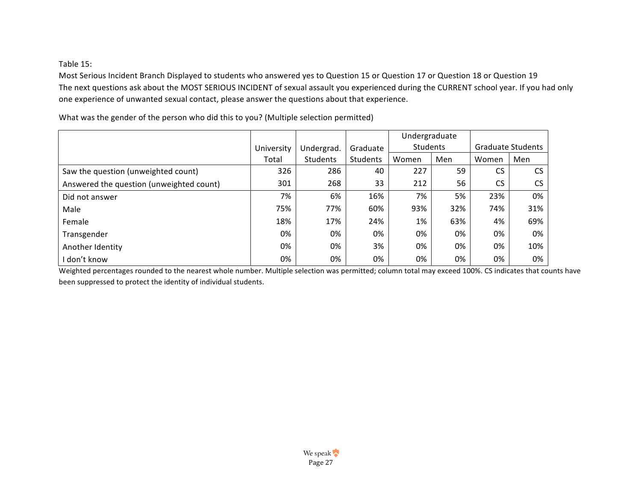Table 15:

Most Serious Incident Branch Displayed to students who answered yes to Question 15 or Question 17 or Question 18 or Question 19 The next questions ask about the MOST SERIOUS INCIDENT of sexual assault you experienced during the CURRENT school year. If you had only one experience of unwanted sexual contact, please answer the questions about that experience.

University Total Undergrad. Students Graduate Students Undergraduate Students | Graduate Students Women | Men | Women | Men Saw the question (unweighted count) 326 286 40 227 59 CS CS Answered the question (unweighted count)  $\begin{vmatrix} 301 & 268 & 33 \\ 33 & 212 & 56 \end{vmatrix}$  CS CS Did not answer 7% | 6% | 16% | 7% | 5% | 23% | 0% Male 75% 77% 60% 93% 32% 74% 31% Female 18% 17% 24% 1% 63% 4% 69% Transgender 0% 0% 0% 0% 0% 0% 0% Another Identity 0% | 3% | 0% | 0% | 0% | 10% l don't know 0% | 0% | 0% | 0% | 0% | 0% | 0%

What was the gender of the person who did this to you? (Multiple selection permitted)

Weighted percentages rounded to the nearest whole number. Multiple selection was permitted; column total may exceed 100%. CS indicates that counts have been suppressed to protect the identity of individual students.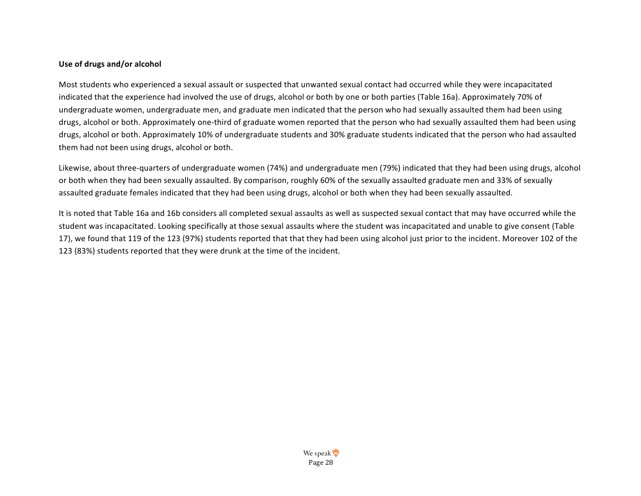#### Use of drugs and/or alcohol

Most students who experienced a sexual assault or suspected that unwanted sexual contact had occurred while they were incapacitated indicated that the experience had involved the use of drugs, alcohol or both by one or both parties (Table 16a). Approximately 70% of undergraduate women, undergraduate men, and graduate men indicated that the person who had sexually assaulted them had been using drugs, alcohol or both. Approximately one-third of graduate women reported that the person who had sexually assaulted them had been using drugs, alcohol or both. Approximately 10% of undergraduate students and 30% graduate students indicated that the person who had assaulted them had not been using drugs, alcohol or both.

Likewise, about three-quarters of undergraduate women (74%) and undergraduate men (79%) indicated that they had been using drugs, alcohol or both when they had been sexually assaulted. By comparison, roughly 60% of the sexually assaulted graduate men and 33% of sexually assaulted graduate females indicated that they had been using drugs, alcohol or both when they had been sexually assaulted.

It is noted that Table 16a and 16b considers all completed sexual assaults as well as suspected sexual contact that may have occurred while the student was incapacitated. Looking specifically at those sexual assaults where the student was incapacitated and unable to give consent (Table 17), we found that 119 of the 123 (97%) students reported that that they had been using alcohol just prior to the incident. Moreover 102 of the 123 (83%) students reported that they were drunk at the time of the incident.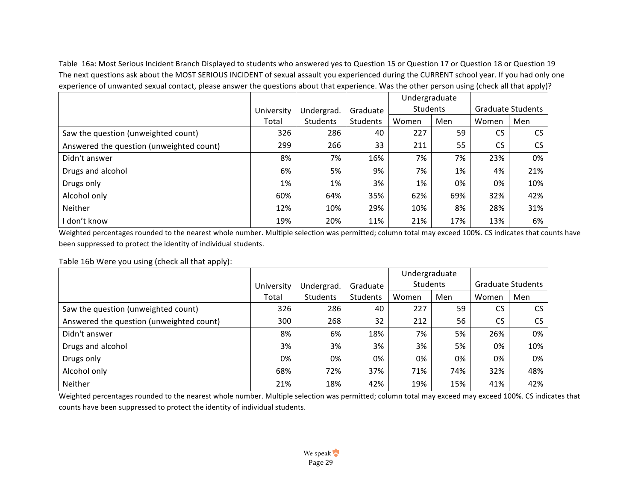Table 16a: Most Serious Incident Branch Displayed to students who answered yes to Question 15 or Question 17 or Question 18 or Question 19 The next questions ask about the MOST SERIOUS INCIDENT of sexual assault you experienced during the CURRENT school year. If you had only one experience of unwanted sexual contact, please answer the questions about that experience. Was the other person using (check all that apply)?

|                                          |            |            |          | Undergraduate |     |                          |     |
|------------------------------------------|------------|------------|----------|---------------|-----|--------------------------|-----|
|                                          | University | Undergrad. | Graduate | Students      |     | <b>Graduate Students</b> |     |
|                                          | Total      | Students   | Students | Women         | Men | Women                    | Men |
| Saw the question (unweighted count)      | 326        | 286        | 40       | 227           | 59  | <b>CS</b>                | CS  |
| Answered the question (unweighted count) | 299        | 266        | 33       | 211           | 55  | <b>CS</b>                | CS  |
| Didn't answer                            | 8%         | 7%         | 16%      | 7%            | 7%  | 23%                      | 0%  |
| Drugs and alcohol                        | 6%         | 5%         | 9%       | 7%            | 1%  | 4%                       | 21% |
| Drugs only                               | 1%         | 1%         | 3%       | 1%            | 0%  | 0%                       | 10% |
| Alcohol only                             | 60%        | 64%        | 35%      | 62%           | 69% | 32%                      | 42% |
| Neither                                  | 12%        | 10%        | 29%      | 10%           | 8%  | 28%                      | 31% |
| I don't know                             | 19%        | 20%        | 11%      | 21%           | 17% | 13%                      | 6%  |

Weighted percentages rounded to the nearest whole number. Multiple selection was permitted; column total may exceed 100%. CS indicates that counts have been suppressed to protect the identity of individual students.

#### Table 16b Were you using (check all that apply):

|                                          |            |            |          | Undergraduate |     |           |                          |
|------------------------------------------|------------|------------|----------|---------------|-----|-----------|--------------------------|
|                                          | University | Undergrad. | Graduate | Students      |     |           | <b>Graduate Students</b> |
|                                          | Total      | Students   | Students | Women         | Men | Women     | Men                      |
| Saw the question (unweighted count)      | 326        | 286        | 40       | 227           | 59  | CS.       | <b>CS</b>                |
| Answered the question (unweighted count) | 300        | 268        | 32       | 212           | 56  | <b>CS</b> | <b>CS</b>                |
| Didn't answer                            | 8%         | 6%         | 18%      | 7%            | 5%  | 26%       | 0%                       |
| Drugs and alcohol                        | 3%         | 3%         | 3%       | 3%            | 5%  | 0%        | 10%                      |
| Drugs only                               | 0%         | 0%         | 0%       | 0%            | 0%  | 0%        | 0%                       |
| Alcohol only                             | 68%        | 72%        | 37%      | 71%           | 74% | 32%       | 48%                      |
| Neither                                  | 21%        | 18%        | 42%      | 19%           | 15% | 41%       | 42%                      |

Weighted percentages rounded to the nearest whole number. Multiple selection was permitted; column total may exceed may exceed 100%. CS indicates that counts have been suppressed to protect the identity of individual students.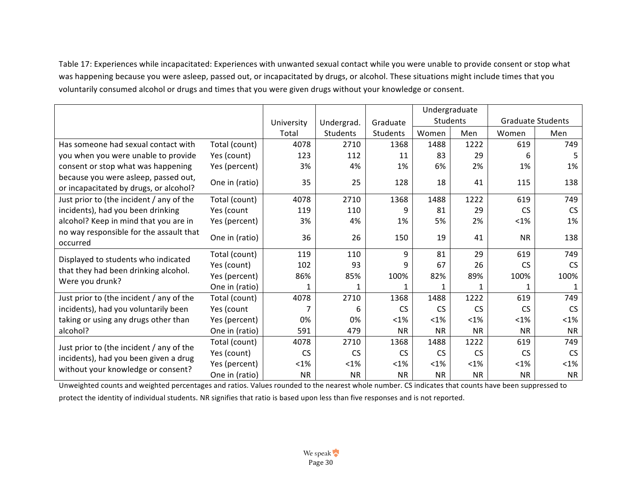Table 17: Experiences while incapacitated: Experiences with unwanted sexual contact while you were unable to provide consent or stop what was happening because you were asleep, passed out, or incapacitated by drugs, or alcohol. These situations might include times that you voluntarily consumed alcohol or drugs and times that you were given drugs without your knowledge or consent.

|                                                                                |                |            |            |           | Undergraduate |           |                          |              |
|--------------------------------------------------------------------------------|----------------|------------|------------|-----------|---------------|-----------|--------------------------|--------------|
|                                                                                |                | University | Undergrad. | Graduate  | Students      |           | <b>Graduate Students</b> |              |
|                                                                                |                | Total      | Students   | Students  | Women         | Men       | Women                    | Men          |
| Has someone had sexual contact with                                            | Total (count)  | 4078       | 2710       | 1368      | 1488          | 1222      | 619                      | 749          |
| you when you were unable to provide                                            | Yes (count)    | 123        | 112        | 11        | 83            | 29        | 6                        | 5            |
| consent or stop what was happening                                             | Yes (percent)  | 3%         | 4%         | 1%        | 6%            | 2%        | 1%                       | 1%           |
| because you were asleep, passed out,<br>or incapacitated by drugs, or alcohol? | One in (ratio) | 35         | 25         | 128       | 18            | 41        | 115                      | 138          |
| Just prior to (the incident / any of the                                       | Total (count)  | 4078       | 2710       | 1368      | 1488          | 1222      | 619                      | 749          |
| incidents), had you been drinking                                              | Yes (count     | 119        | 110        | 9         | 81            | 29        | <b>CS</b>                | <b>CS</b>    |
| alcohol? Keep in mind that you are in                                          | Yes (percent)  | 3%         | 4%         | 1%        | 5%            | 2%        | $< 1\%$                  | 1%           |
| no way responsible for the assault that<br>occurred                            | One in (ratio) | 36         | 26         | 150       | 19            | 41        | <b>NR</b>                | 138          |
| Displayed to students who indicated                                            | Total (count)  | 119        | 110        | 9         | 81            | 29        | 619                      | 749          |
| that they had been drinking alcohol.                                           | Yes (count)    | 102        | 93         | 9         | 67            | 26        | <b>CS</b>                | <b>CS</b>    |
| Were you drunk?                                                                | Yes (percent)  | 86%        | 85%        | 100%      | 82%           | 89%       | 100%                     | 100%         |
|                                                                                | One in (ratio) | 1          | 1          |           | 1             |           | 1                        | $\mathbf{1}$ |
| Just prior to (the incident / any of the                                       | Total (count)  | 4078       | 2710       | 1368      | 1488          | 1222      | 619                      | 749          |
| incidents), had you voluntarily been                                           | Yes (count     | 7          | 6          | <b>CS</b> | <b>CS</b>     | <b>CS</b> | <b>CS</b>                | <b>CS</b>    |
| taking or using any drugs other than                                           | Yes (percent)  | 0%         | 0%         | $< 1\%$   | $< 1\%$       | $< 1\%$   | $< 1\%$                  | $< 1\%$      |
| alcohol?                                                                       | One in (ratio) | 591        | 479        | <b>NR</b> | <b>NR</b>     | <b>NR</b> | <b>NR</b>                | <b>NR</b>    |
| Just prior to (the incident / any of the                                       | Total (count)  | 4078       | 2710       | 1368      | 1488          | 1222      | 619                      | 749          |
| incidents), had you been given a drug                                          | Yes (count)    | <b>CS</b>  | <b>CS</b>  | <b>CS</b> | <b>CS</b>     | <b>CS</b> | <b>CS</b>                | <b>CS</b>    |
| without your knowledge or consent?                                             | Yes (percent)  | $< 1\%$    | $< 1\%$    | $< 1\%$   | $< 1\%$       | $< 1\%$   | $< 1\%$                  | $<$ 1%       |
|                                                                                | One in (ratio) | <b>NR</b>  | <b>NR</b>  | <b>NR</b> | <b>NR</b>     | <b>NR</b> | <b>NR</b>                | <b>NR</b>    |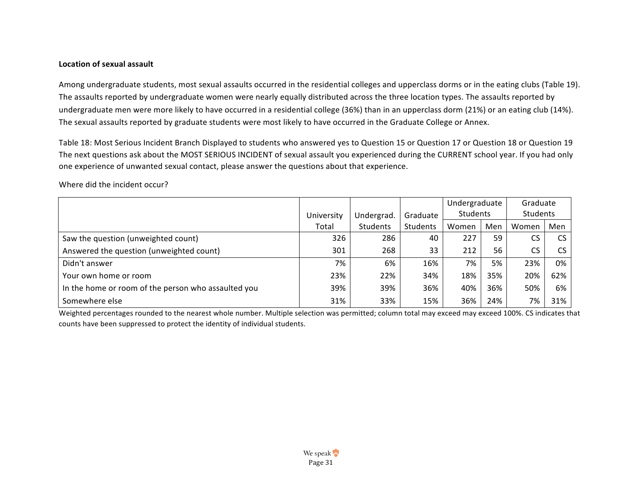#### Location of sexual assault

Among undergraduate students, most sexual assaults occurred in the residential colleges and upperclass dorms or in the eating clubs (Table 19). The assaults reported by undergraduate women were nearly equally distributed across the three location types. The assaults reported by undergraduate men were more likely to have occurred in a residential college (36%) than in an upperclass dorm (21%) or an eating club (14%). The sexual assaults reported by graduate students were most likely to have occurred in the Graduate College or Annex.

Table 18: Most Serious Incident Branch Displayed to students who answered yes to Question 15 or Question 17 or Question 18 or Question 19 The next questions ask about the MOST SERIOUS INCIDENT of sexual assault you experienced during the CURRENT school year. If you had only one experience of unwanted sexual contact, please answer the questions about that experience.

|                                                     |            |            |          | Undergraduate |     | Graduate        |           |
|-----------------------------------------------------|------------|------------|----------|---------------|-----|-----------------|-----------|
|                                                     | University | Undergrad. | Graduate | Students      |     | <b>Students</b> |           |
|                                                     | Total      | Students   | Students | Women         | Men | Women           | Men       |
| Saw the question (unweighted count)                 | 326        | 286        | 40       | 227           | 59  | CS              | <b>CS</b> |
| Answered the question (unweighted count)            | 301        | 268        | 33       | 212           | 56  | CS              | CS        |
| Didn't answer                                       | 7%         | 6%         | 16%      | 7%            | 5%  | 23%             | 0%        |
| Your own home or room                               | 23%        | 22%        | 34%      | 18%           | 35% | 20%             | 62%       |
| In the home or room of the person who assaulted you | 39%        | 39%        | 36%      | 40%           | 36% | 50%             | 6%        |
| Somewhere else                                      | 31%        | 33%        | 15%      | 36%           | 24% | 7%              | 31%       |

Where did the incident occur?

Weighted percentages rounded to the nearest whole number. Multiple selection was permitted; column total may exceed may exceed 100%. CS indicates that counts have been suppressed to protect the identity of individual students.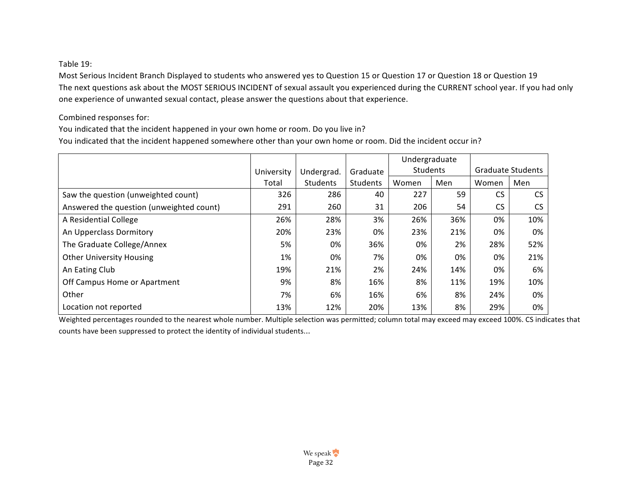# Table 19:

Most Serious Incident Branch Displayed to students who answered yes to Question 15 or Question 17 or Question 18 or Question 19 The next questions ask about the MOST SERIOUS INCIDENT of sexual assault you experienced during the CURRENT school year. If you had only one experience of unwanted sexual contact, please answer the questions about that experience.

Combined responses for:

You indicated that the incident happened in your own home or room. Do you live in? You indicated that the incident happened somewhere other than your own home or room. Did the incident occur in?

|                                          |            |            |          | Undergraduate |     |           |                          |
|------------------------------------------|------------|------------|----------|---------------|-----|-----------|--------------------------|
|                                          | University | Undergrad. | Graduate | Students      |     |           | <b>Graduate Students</b> |
|                                          | Total      | Students   | Students | Women         | Men | Women     | Men                      |
| Saw the question (unweighted count)      | 326        | 286        | 40       | 227           | 59  | CS        | CS.                      |
| Answered the question (unweighted count) | 291        | 260        | 31       | 206           | 54  | <b>CS</b> | <b>CS</b>                |
| A Residential College                    | 26%        | 28%        | 3%       | 26%           | 36% | 0%        | 10%                      |
| An Upperclass Dormitory                  | 20%        | 23%        | 0%       | 23%           | 21% | 0%        | 0%                       |
| The Graduate College/Annex               | 5%         | 0%         | 36%      | 0%            | 2%  | 28%       | 52%                      |
| <b>Other University Housing</b>          | 1%         | 0%         | 7%       | 0%            | 0%  | 0%        | 21%                      |
| An Eating Club                           | 19%        | 21%        | 2%       | 24%           | 14% | 0%        | 6%                       |
| Off Campus Home or Apartment             | 9%         | 8%         | 16%      | 8%            | 11% | 19%       | 10%                      |
| Other                                    | 7%         | 6%         | 16%      | 6%            | 8%  | 24%       | 0%                       |
| Location not reported                    | 13%        | 12%        | 20%      | 13%           | 8%  | 29%       | 0%                       |

Weighted percentages rounded to the nearest whole number. Multiple selection was permitted; column total may exceed may exceed 100%. CS indicates that counts have been suppressed to protect the identity of individual students...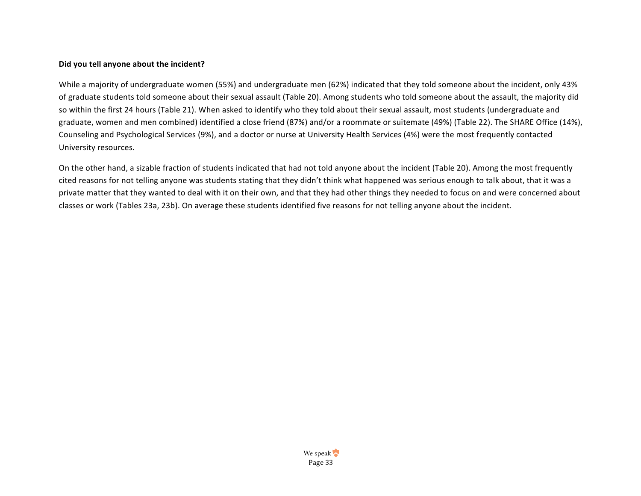#### Did you tell anyone about the incident?

While a majority of undergraduate women (55%) and undergraduate men (62%) indicated that they told someone about the incident, only 43% of graduate students told someone about their sexual assault (Table 20). Among students who told someone about the assault, the majority did so within the first 24 hours (Table 21). When asked to identify who they told about their sexual assault, most students (undergraduate and graduate, women and men combined) identified a close friend (87%) and/or a roommate or suitemate (49%) (Table 22). The SHARE Office (14%), Counseling and Psychological Services (9%), and a doctor or nurse at University Health Services (4%) were the most frequently contacted University resources.

On the other hand, a sizable fraction of students indicated that had not told anyone about the incident (Table 20). Among the most frequently cited reasons for not telling anyone was students stating that they didn't think what happened was serious enough to talk about, that it was a private matter that they wanted to deal with it on their own, and that they had other things they needed to focus on and were concerned about classes or work (Tables 23a, 23b). On average these students identified five reasons for not telling anyone about the incident.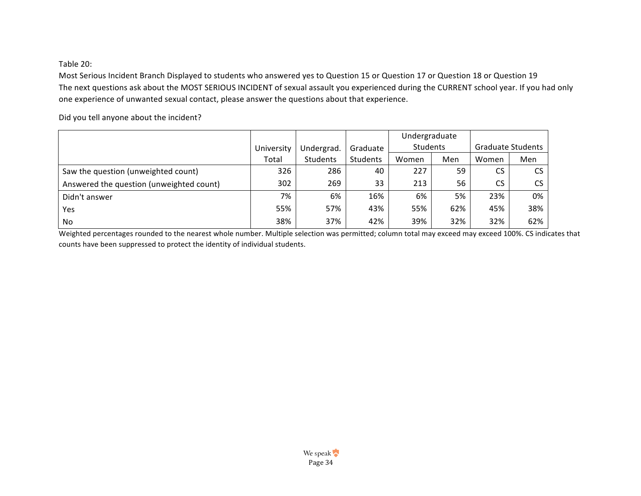# Table 20:

Most Serious Incident Branch Displayed to students who answered yes to Question 15 or Question 17 or Question 18 or Question 19 The next questions ask about the MOST SERIOUS INCIDENT of sexual assault you experienced during the CURRENT school year. If you had only one experience of unwanted sexual contact, please answer the questions about that experience.

Did you tell anyone about the incident?

|                                          |            |            |          | Undergraduate |     |                          |           |
|------------------------------------------|------------|------------|----------|---------------|-----|--------------------------|-----------|
|                                          | University | Undergrad. | Graduate | Students      |     | <b>Graduate Students</b> |           |
|                                          | Total      | Students   | Students | Women         | Men | Women                    | Men       |
| Saw the question (unweighted count)      | 326        | 286        | 40       | 227           | 59  | CS.                      | <b>CS</b> |
| Answered the question (unweighted count) | 302        | 269        | 33       | 213           | 56  | CS.                      | <b>CS</b> |
| Didn't answer                            | 7%         | 6%         | 16%      | 6%            | 5%  | 23%                      | 0%        |
| Yes                                      | 55%        | 57%        | 43%      | 55%           | 62% | 45%                      | 38%       |
| No                                       | 38%        | 37%        | 42%      | 39%           | 32% | 32%                      | 62%       |

Weighted percentages rounded to the nearest whole number. Multiple selection was permitted; column total may exceed may exceed 100%. CS indicates that counts have been suppressed to protect the identity of individual students.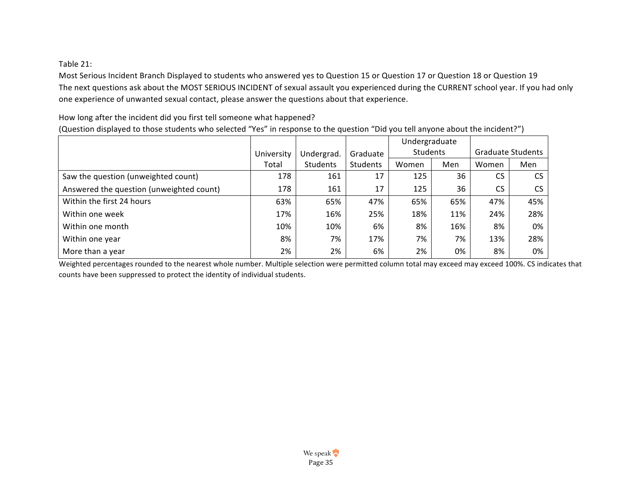Table 21:

Most Serious Incident Branch Displayed to students who answered yes to Question 15 or Question 17 or Question 18 or Question 19 The next questions ask about the MOST SERIOUS INCIDENT of sexual assault you experienced during the CURRENT school year. If you had only one experience of unwanted sexual contact, please answer the questions about that experience.

How long after the incident did you first tell someone what happened?

(Question displayed to those students who selected "Yes" in response to the question "Did you tell anyone about the incident?")

|                                          |            |            |          | Undergraduate |     |       |                          |
|------------------------------------------|------------|------------|----------|---------------|-----|-------|--------------------------|
|                                          | University | Undergrad. | Graduate | Students      |     |       | <b>Graduate Students</b> |
|                                          | Total      | Students   | Students | Women         | Men | Women | Men                      |
| Saw the question (unweighted count)      | 178        | 161        | 17       | 125           | 36  | CS.   | <b>CS</b>                |
| Answered the question (unweighted count) | 178        | 161        | 17       | 125           | 36  | CS.   | <b>CS</b>                |
| Within the first 24 hours                | 63%        | 65%        | 47%      | 65%           | 65% | 47%   | 45%                      |
| Within one week                          | 17%        | 16%        | 25%      | 18%           | 11% | 24%   | 28%                      |
| Within one month                         | 10%        | 10%        | 6%       | 8%            | 16% | 8%    | 0%                       |
| Within one year                          | 8%         | 7%         | 17%      | 7%            | 7%  | 13%   | 28%                      |
| More than a year                         | 2%         | 2%         | 6%       | 2%            | 0%  | 8%    | 0%                       |

Weighted percentages rounded to the nearest whole number. Multiple selection were permitted column total may exceed may exceed 100%. CS indicates that counts have been suppressed to protect the identity of individual students.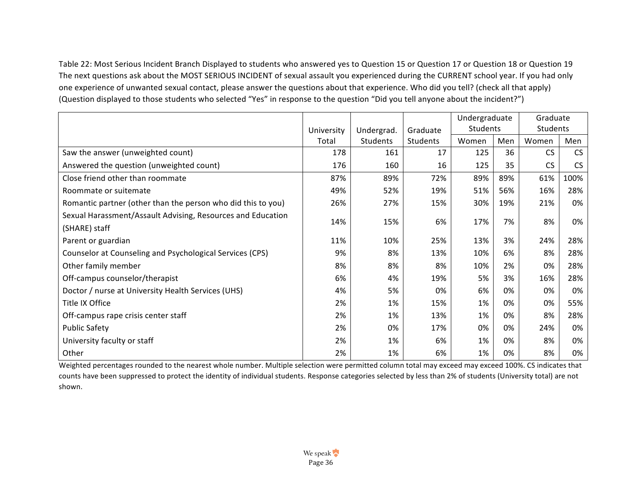Table 22: Most Serious Incident Branch Displayed to students who answered yes to Question 15 or Question 17 or Question 18 or Question 19 The next questions ask about the MOST SERIOUS INCIDENT of sexual assault you experienced during the CURRENT school year. If you had only one experience of unwanted sexual contact, please answer the questions about that experience. Who did you tell? (check all that apply) (Question displayed to those students who selected "Yes" in response to the question "Did you tell anyone about the incident?")

|                                                              |            |                 |                 | Undergraduate   |     | Graduate  |           |
|--------------------------------------------------------------|------------|-----------------|-----------------|-----------------|-----|-----------|-----------|
|                                                              | University | Undergrad.      | Graduate        | <b>Students</b> |     | Students  |           |
|                                                              | Total      | <b>Students</b> | <b>Students</b> | Women           | Men | Women     | Men       |
| Saw the answer (unweighted count)                            | 178        | 161             | 17              | 125             | 36  | <b>CS</b> | CS        |
| Answered the question (unweighted count)                     | 176        | 160             | 16              | 125             | 35  | <b>CS</b> | <b>CS</b> |
| Close friend other than roommate                             | 87%        | 89%             | 72%             | 89%             | 89% | 61%       | 100%      |
| Roommate or suitemate                                        | 49%        | 52%             | 19%             | 51%             | 56% | 16%       | 28%       |
| Romantic partner (other than the person who did this to you) | 26%        | 27%             | 15%             | 30%             | 19% | 21%       | 0%        |
| Sexual Harassment/Assault Advising, Resources and Education  | 14%        | 15%             | 6%              | 17%             | 7%  | 8%        | 0%        |
| (SHARE) staff                                                |            |                 |                 |                 |     |           |           |
| Parent or guardian                                           | 11%        | 10%             | 25%             | 13%             | 3%  | 24%       | 28%       |
| Counselor at Counseling and Psychological Services (CPS)     | 9%         | 8%              | 13%             | 10%             | 6%  | 8%        | 28%       |
| Other family member                                          | 8%         | 8%              | 8%              | 10%             | 2%  | 0%        | 28%       |
| Off-campus counselor/therapist                               | 6%         | 4%              | 19%             | 5%              | 3%  | 16%       | 28%       |
| Doctor / nurse at University Health Services (UHS)           | 4%         | 5%              | 0%              | 6%              | 0%  | 0%        | 0%        |
| Title IX Office                                              | 2%         | 1%              | 15%             | 1%              | 0%  | 0%        | 55%       |
| Off-campus rape crisis center staff                          | 2%         | 1%              | 13%             | 1%              | 0%  | 8%        | 28%       |
| <b>Public Safety</b>                                         | 2%         | 0%              | 17%             | 0%              | 0%  | 24%       | 0%        |
| University faculty or staff                                  | 2%         | 1%              | 6%              | 1%              | 0%  | 8%        | 0%        |
| Other                                                        | 2%         | 1%              | 6%              | 1%              | 0%  | 8%        | 0%        |

Weighted percentages rounded to the nearest whole number. Multiple selection were permitted column total may exceed may exceed 100%. CS indicates that counts have been suppressed to protect the identity of individual students. Response categories selected by less than 2% of students (University total) are not shown.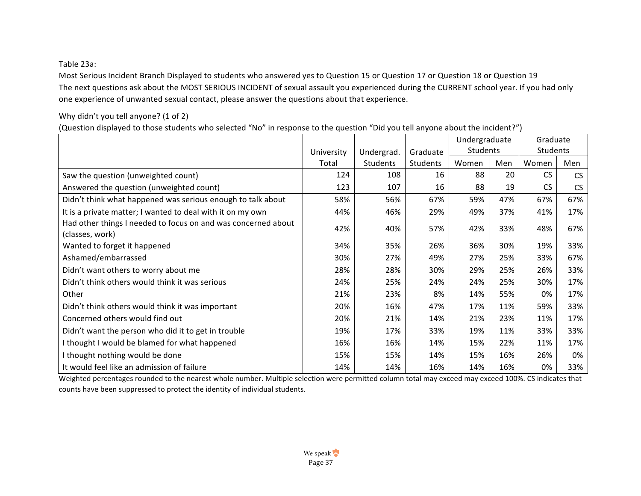Table 23a:

Most Serious Incident Branch Displayed to students who answered yes to Question 15 or Question 17 or Question 18 or Question 19 The next questions ask about the MOST SERIOUS INCIDENT of sexual assault you experienced during the CURRENT school year. If you had only one experience of unwanted sexual contact, please answer the questions about that experience.

# Why didn't you tell anyone? (1 of 2)

(Question displayed to those students who selected "No" in response to the question "Did you tell anyone about the incident?")

|                                                                                  |            |            |          | Undergraduate |     | Graduate  |     |
|----------------------------------------------------------------------------------|------------|------------|----------|---------------|-----|-----------|-----|
|                                                                                  | University | Undergrad. | Graduate | Students      |     | Students  |     |
|                                                                                  | Total      | Students   | Students | Women         | Men | Women     | Men |
| Saw the question (unweighted count)                                              | 124        | 108        | 16       | 88            | 20  | <b>CS</b> | CS  |
| Answered the question (unweighted count)                                         | 123        | 107        | 16       | 88            | 19  | <b>CS</b> | CS  |
| Didn't think what happened was serious enough to talk about                      | 58%        | 56%        | 67%      | 59%           | 47% | 67%       | 67% |
| It is a private matter; I wanted to deal with it on my own                       | 44%        | 46%        | 29%      | 49%           | 37% | 41%       | 17% |
| Had other things I needed to focus on and was concerned about<br>(classes, work) | 42%        | 40%        | 57%      | 42%           | 33% | 48%       | 67% |
| Wanted to forget it happened                                                     | 34%        | 35%        | 26%      | 36%           | 30% | 19%       | 33% |
| Ashamed/embarrassed                                                              | 30%        | 27%        | 49%      | 27%           | 25% | 33%       | 67% |
| Didn't want others to worry about me                                             | 28%        | 28%        | 30%      | 29%           | 25% | 26%       | 33% |
| Didn't think others would think it was serious                                   | 24%        | 25%        | 24%      | 24%           | 25% | 30%       | 17% |
| Other                                                                            | 21%        | 23%        | 8%       | 14%           | 55% | 0%        | 17% |
| Didn't think others would think it was important                                 | 20%        | 16%        | 47%      | 17%           | 11% | 59%       | 33% |
| Concerned others would find out                                                  | 20%        | 21%        | 14%      | 21%           | 23% | 11%       | 17% |
| Didn't want the person who did it to get in trouble                              | 19%        | 17%        | 33%      | 19%           | 11% | 33%       | 33% |
| I thought I would be blamed for what happened                                    | 16%        | 16%        | 14%      | 15%           | 22% | 11%       | 17% |
| I thought nothing would be done                                                  | 15%        | 15%        | 14%      | 15%           | 16% | 26%       | 0%  |
| It would feel like an admission of failure                                       | 14%        | 14%        | 16%      | 14%           | 16% | 0%        | 33% |

Weighted percentages rounded to the nearest whole number. Multiple selection were permitted column total may exceed may exceed 100%. CS indicates that counts have been suppressed to protect the identity of individual students.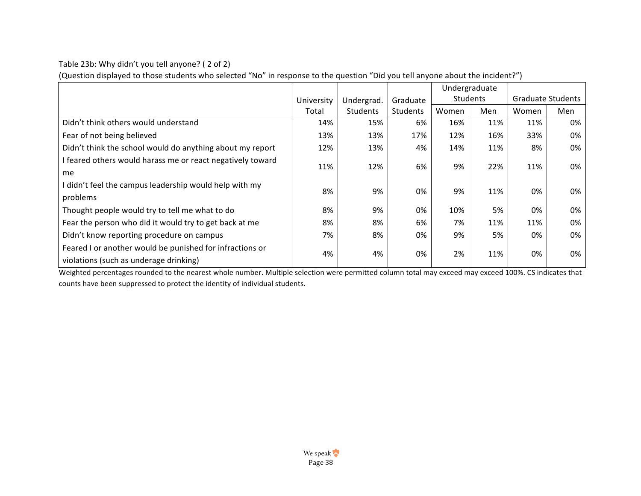Table 23b: Why didn't you tell anyone? ( 2 of 2)

(Question displayed to those students who selected "No" in response to the question "Did you tell anyone about the incident?")

|                                                            |            |            |          |       | Undergraduate |                          |     |
|------------------------------------------------------------|------------|------------|----------|-------|---------------|--------------------------|-----|
|                                                            | University | Undergrad. | Graduate |       | Students      | <b>Graduate Students</b> |     |
|                                                            | Total      | Students   | Students | Women | Men           | Women                    | Men |
| Didn't think others would understand                       | 14%        | 15%        | 6%       | 16%   | 11%           | 11%                      | 0%  |
| Fear of not being believed                                 | 13%        | 13%        | 17%      | 12%   | 16%           | 33%                      | 0%  |
| Didn't think the school would do anything about my report  | 12%        | 13%        | 4%       | 14%   | 11%           | 8%                       | 0%  |
| I feared others would harass me or react negatively toward | 11%        | 12%        | 6%       | 9%    | 22%           | 11%                      | 0%  |
| me                                                         |            |            |          |       |               |                          |     |
| I didn't feel the campus leadership would help with my     | 8%         | 9%         | 0%       | 9%    | 11%           | 0%                       | 0%  |
| problems                                                   |            |            |          |       |               |                          |     |
| Thought people would try to tell me what to do             | 8%         | 9%         | 0%       | 10%   | 5%            | 0%                       | 0%  |
| Fear the person who did it would try to get back at me     | 8%         | 8%         | 6%       | 7%    | 11%           | 11%                      | 0%  |
| Didn't know reporting procedure on campus                  | 7%         | 8%         | 0%       | 9%    | 5%            | 0%                       | 0%  |
| Feared I or another would be punished for infractions or   | 4%         | 4%         | 0%       | 2%    | 11%           | 0%                       | 0%  |
| violations (such as underage drinking)                     |            |            |          |       |               |                          |     |

Weighted percentages rounded to the nearest whole number. Multiple selection were permitted column total may exceed may exceed 100%. CS indicates that counts have been suppressed to protect the identity of individual students.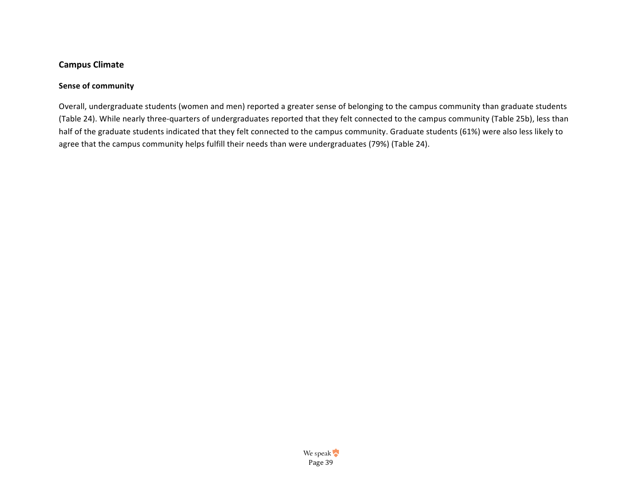# **Campus Climate**

## **Sense of community**

Overall, undergraduate students (women and men) reported a greater sense of belonging to the campus community than graduate students (Table 24). While nearly three-quarters of undergraduates reported that they felt connected to the campus community (Table 25b), less than half of the graduate students indicated that they felt connected to the campus community. Graduate students (61%) were also less likely to agree that the campus community helps fulfill their needs than were undergraduates (79%) (Table 24).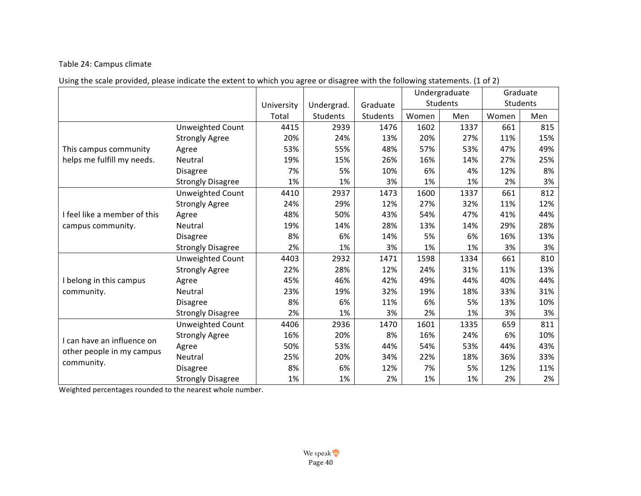# Table 24: Campus climate

| Using the scale provided, please indicate the extent to which you agree or disagree with the following statements. (1 of 2) |  |  |  |  |  |
|-----------------------------------------------------------------------------------------------------------------------------|--|--|--|--|--|
|-----------------------------------------------------------------------------------------------------------------------------|--|--|--|--|--|

|                              |                          |            |                 |          |       | Undergraduate |       | Graduate |
|------------------------------|--------------------------|------------|-----------------|----------|-------|---------------|-------|----------|
|                              |                          | University | Undergrad.      | Graduate |       | Students      |       | Students |
|                              |                          | Total      | <b>Students</b> | Students | Women | Men           | Women | Men      |
|                              | Unweighted Count         | 4415       | 2939            | 1476     | 1602  | 1337          | 661   | 815      |
|                              | <b>Strongly Agree</b>    | 20%        | 24%             | 13%      | 20%   | 27%           | 11%   | 15%      |
| This campus community        | Agree                    | 53%        | 55%             | 48%      | 57%   | 53%           | 47%   | 49%      |
| helps me fulfill my needs.   | Neutral                  | 19%        | 15%             | 26%      | 16%   | 14%           | 27%   | 25%      |
|                              | <b>Disagree</b>          | 7%         | 5%              | 10%      | 6%    | 4%            | 12%   | 8%       |
|                              | <b>Strongly Disagree</b> | 1%         | 1%              | 3%       | 1%    | 1%            | 2%    | 3%       |
|                              | Unweighted Count         | 4410       | 2937            | 1473     | 1600  | 1337          | 661   | 812      |
|                              | <b>Strongly Agree</b>    | 24%        | 29%             | 12%      | 27%   | 32%           | 11%   | 12%      |
| I feel like a member of this | Agree                    | 48%        | 50%             | 43%      | 54%   | 47%           | 41%   | 44%      |
| campus community.            | Neutral                  | 19%        | 14%             | 28%      | 13%   | 14%           | 29%   | 28%      |
|                              | <b>Disagree</b>          | 8%         | 6%              | 14%      | 5%    | 6%            | 16%   | 13%      |
|                              | <b>Strongly Disagree</b> | 2%         | 1%              | 3%       | 1%    | 1%            | 3%    | 3%       |
|                              | <b>Unweighted Count</b>  | 4403       | 2932            | 1471     | 1598  | 1334          | 661   | 810      |
|                              | <b>Strongly Agree</b>    | 22%        | 28%             | 12%      | 24%   | 31%           | 11%   | 13%      |
| I belong in this campus      | Agree                    | 45%        | 46%             | 42%      | 49%   | 44%           | 40%   | 44%      |
| community.                   | Neutral                  | 23%        | 19%             | 32%      | 19%   | 18%           | 33%   | 31%      |
|                              | <b>Disagree</b>          | 8%         | 6%              | 11%      | 6%    | 5%            | 13%   | 10%      |
|                              | <b>Strongly Disagree</b> | 2%         | 1%              | 3%       | 2%    | 1%            | 3%    | 3%       |
|                              | Unweighted Count         | 4406       | 2936            | 1470     | 1601  | 1335          | 659   | 811      |
| I can have an influence on   | <b>Strongly Agree</b>    | 16%        | 20%             | 8%       | 16%   | 24%           | 6%    | 10%      |
| other people in my campus    | Agree                    | 50%        | 53%             | 44%      | 54%   | 53%           | 44%   | 43%      |
|                              | Neutral                  | 25%        | 20%             | 34%      | 22%   | 18%           | 36%   | 33%      |
| community.                   | <b>Disagree</b>          | 8%         | 6%              | 12%      | 7%    | 5%            | 12%   | 11%      |
|                              | <b>Strongly Disagree</b> | 1%         | 1%              | 2%       | 1%    | 1%            | 2%    | 2%       |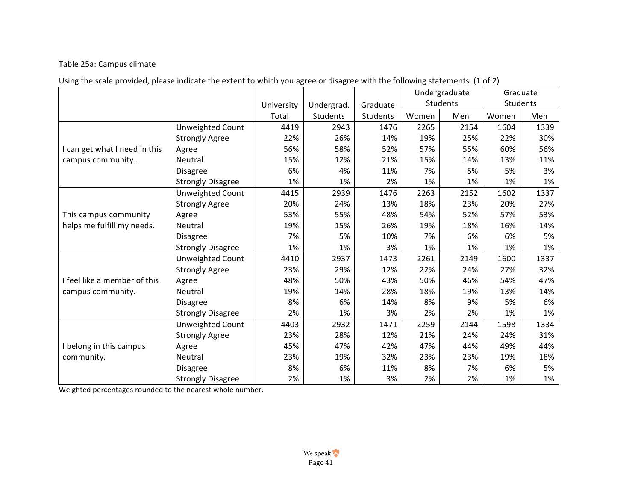# Table 25a: Campus climate

|  | Using the scale provided, please indicate the extent to which you agree or disagree with the following statements. (1 of 2) |  |  |  |  |
|--|-----------------------------------------------------------------------------------------------------------------------------|--|--|--|--|
|--|-----------------------------------------------------------------------------------------------------------------------------|--|--|--|--|

|                               |                          |            |            |          |       | Undergraduate |       | Graduate |
|-------------------------------|--------------------------|------------|------------|----------|-------|---------------|-------|----------|
|                               |                          | University | Undergrad. | Graduate |       | Students      |       | Students |
|                               |                          | Total      | Students   | Students | Women | Men           | Women | Men      |
|                               | Unweighted Count         | 4419       | 2943       | 1476     | 2265  | 2154          | 1604  | 1339     |
|                               | <b>Strongly Agree</b>    | 22%        | 26%        | 14%      | 19%   | 25%           | 22%   | 30%      |
| I can get what I need in this | Agree                    | 56%        | 58%        | 52%      | 57%   | 55%           | 60%   | 56%      |
| campus community              | <b>Neutral</b>           | 15%        | 12%        | 21%      | 15%   | 14%           | 13%   | 11%      |
|                               | <b>Disagree</b>          | 6%         | 4%         | 11%      | 7%    | 5%            | 5%    | 3%       |
|                               | <b>Strongly Disagree</b> | 1%         | 1%         | 2%       | 1%    | 1%            | 1%    | 1%       |
|                               | Unweighted Count         | 4415       | 2939       | 1476     | 2263  | 2152          | 1602  | 1337     |
|                               | <b>Strongly Agree</b>    | 20%        | 24%        | 13%      | 18%   | 23%           | 20%   | 27%      |
| This campus community         | Agree                    | 53%        | 55%        | 48%      | 54%   | 52%           | 57%   | 53%      |
| helps me fulfill my needs.    | Neutral                  | 19%        | 15%        | 26%      | 19%   | 18%           | 16%   | 14%      |
|                               | <b>Disagree</b>          | 7%         | 5%         | 10%      | 7%    | 6%            | 6%    | 5%       |
|                               | <b>Strongly Disagree</b> | 1%         | 1%         | 3%       | 1%    | 1%            | 1%    | 1%       |
|                               | <b>Unweighted Count</b>  | 4410       | 2937       | 1473     | 2261  | 2149          | 1600  | 1337     |
|                               | <b>Strongly Agree</b>    | 23%        | 29%        | 12%      | 22%   | 24%           | 27%   | 32%      |
| I feel like a member of this  | Agree                    | 48%        | 50%        | 43%      | 50%   | 46%           | 54%   | 47%      |
| campus community.             | Neutral                  | 19%        | 14%        | 28%      | 18%   | 19%           | 13%   | 14%      |
|                               | <b>Disagree</b>          | 8%         | 6%         | 14%      | 8%    | 9%            | 5%    | 6%       |
|                               | <b>Strongly Disagree</b> | 2%         | 1%         | 3%       | 2%    | 2%            | 1%    | 1%       |
|                               | Unweighted Count         | 4403       | 2932       | 1471     | 2259  | 2144          | 1598  | 1334     |
|                               | <b>Strongly Agree</b>    | 23%        | 28%        | 12%      | 21%   | 24%           | 24%   | 31%      |
| I belong in this campus       | Agree                    | 45%        | 47%        | 42%      | 47%   | 44%           | 49%   | 44%      |
| community.                    | Neutral                  | 23%        | 19%        | 32%      | 23%   | 23%           | 19%   | 18%      |
|                               | <b>Disagree</b>          | 8%         | 6%         | 11%      | 8%    | 7%            | 6%    | 5%       |
|                               | <b>Strongly Disagree</b> | 2%         | 1%         | 3%       | 2%    | 2%            | 1%    | 1%       |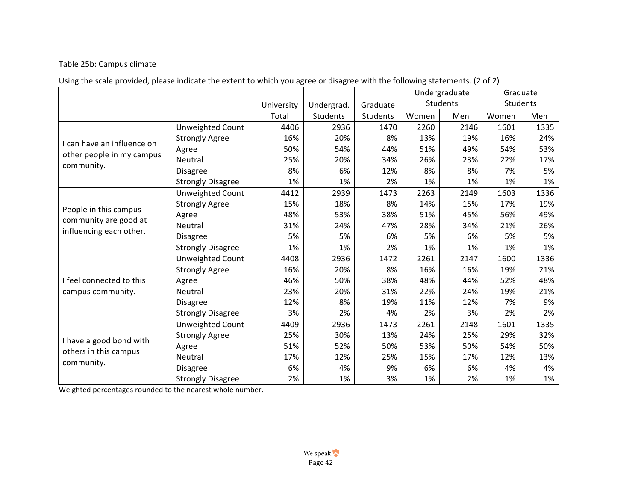# Table 25b: Campus climate

|  | Using the scale provided, please indicate the extent to which you agree or disagree with the following statements. (2 of 2) |  |  |  |  |
|--|-----------------------------------------------------------------------------------------------------------------------------|--|--|--|--|
|--|-----------------------------------------------------------------------------------------------------------------------------|--|--|--|--|

|                                                  |                          |            |            |          |       | Undergraduate |       | Graduate |
|--------------------------------------------------|--------------------------|------------|------------|----------|-------|---------------|-------|----------|
|                                                  |                          | University | Undergrad. | Graduate |       | Students      |       | Students |
|                                                  |                          | Total      | Students   | Students | Women | Men           | Women | Men      |
|                                                  | Unweighted Count         | 4406       | 2936       | 1470     | 2260  | 2146          | 1601  | 1335     |
| I can have an influence on                       | <b>Strongly Agree</b>    | 16%        | 20%        | 8%       | 13%   | 19%           | 16%   | 24%      |
|                                                  | Agree                    | 50%        | 54%        | 44%      | 51%   | 49%           | 54%   | 53%      |
| other people in my campus                        | Neutral                  | 25%        | 20%        | 34%      | 26%   | 23%           | 22%   | 17%      |
| community.                                       | <b>Disagree</b>          | 8%         | 6%         | 12%      | 8%    | 8%            | 7%    | 5%       |
|                                                  | <b>Strongly Disagree</b> | 1%         | 1%         | 2%       | 1%    | 1%            | 1%    | 1%       |
|                                                  | <b>Unweighted Count</b>  | 4412       | 2939       | 1473     | 2263  | 2149          | 1603  | 1336     |
|                                                  | <b>Strongly Agree</b>    | 15%        | 18%        | 8%       | 14%   | 15%           | 17%   | 19%      |
| People in this campus                            | Agree                    | 48%        | 53%        | 38%      | 51%   | 45%           | 56%   | 49%      |
| community are good at                            | Neutral                  | 31%        | 24%        | 47%      | 28%   | 34%           | 21%   | 26%      |
| influencing each other.                          | <b>Disagree</b>          | 5%         | 5%         | 6%       | 5%    | 6%            | 5%    | 5%       |
|                                                  | <b>Strongly Disagree</b> | 1%         | 1%         | 2%       | 1%    | 1%            | 1%    | 1%       |
|                                                  | <b>Unweighted Count</b>  | 4408       | 2936       | 1472     | 2261  | 2147          | 1600  | 1336     |
|                                                  | <b>Strongly Agree</b>    | 16%        | 20%        | 8%       | 16%   | 16%           | 19%   | 21%      |
| I feel connected to this                         | Agree                    | 46%        | 50%        | 38%      | 48%   | 44%           | 52%   | 48%      |
| campus community.                                | Neutral                  | 23%        | 20%        | 31%      | 22%   | 24%           | 19%   | 21%      |
|                                                  | <b>Disagree</b>          | 12%        | 8%         | 19%      | 11%   | 12%           | 7%    | 9%       |
|                                                  | <b>Strongly Disagree</b> | 3%         | 2%         | 4%       | 2%    | 3%            | 2%    | 2%       |
|                                                  | Unweighted Count         | 4409       | 2936       | 1473     | 2261  | 2148          | 1601  | 1335     |
|                                                  | <b>Strongly Agree</b>    | 25%        | 30%        | 13%      | 24%   | 25%           | 29%   | 32%      |
| I have a good bond with<br>others in this campus | Agree                    | 51%        | 52%        | 50%      | 53%   | 50%           | 54%   | 50%      |
|                                                  | Neutral                  | 17%        | 12%        | 25%      | 15%   | 17%           | 12%   | 13%      |
| community.                                       | <b>Disagree</b>          | 6%         | 4%         | 9%       | 6%    | 6%            | 4%    | 4%       |
|                                                  | <b>Strongly Disagree</b> | 2%         | 1%         | 3%       | 1%    | 2%            | 1%    | 1%       |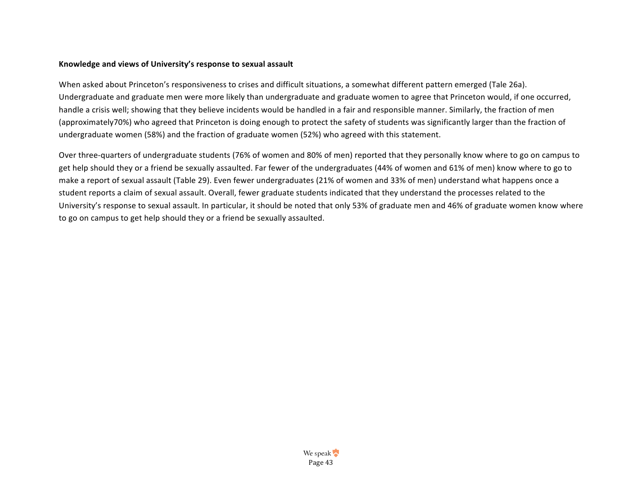#### Knowledge and views of University's response to sexual assault

When asked about Princeton's responsiveness to crises and difficult situations, a somewhat different pattern emerged (Tale 26a). Undergraduate and graduate men were more likely than undergraduate and graduate women to agree that Princeton would, if one occurred, handle a crisis well; showing that they believe incidents would be handled in a fair and responsible manner. Similarly, the fraction of men (approximately70%) who agreed that Princeton is doing enough to protect the safety of students was significantly larger than the fraction of undergraduate women (58%) and the fraction of graduate women (52%) who agreed with this statement.

Over three-quarters of undergraduate students (76% of women and 80% of men) reported that they personally know where to go on campus to get help should they or a friend be sexually assaulted. Far fewer of the undergraduates (44% of women and 61% of men) know where to go to make a report of sexual assault (Table 29). Even fewer undergraduates (21% of women and 33% of men) understand what happens once a student reports a claim of sexual assault. Overall, fewer graduate students indicated that they understand the processes related to the University's response to sexual assault. In particular, it should be noted that only 53% of graduate men and 46% of graduate women know where to go on campus to get help should they or a friend be sexually assaulted.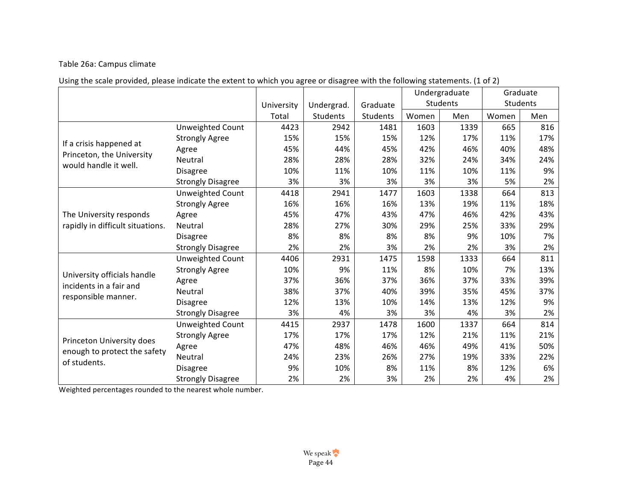# Table 26a: Campus climate

|  | Using the scale provided, please indicate the extent to which you agree or disagree with the following statements. (1 of 2) |  |  |  |  |
|--|-----------------------------------------------------------------------------------------------------------------------------|--|--|--|--|
|--|-----------------------------------------------------------------------------------------------------------------------------|--|--|--|--|

|                                                    |                          |            |            |          |       | Undergraduate   |       | Graduate |
|----------------------------------------------------|--------------------------|------------|------------|----------|-------|-----------------|-------|----------|
|                                                    |                          | University | Undergrad. | Graduate |       | <b>Students</b> |       | Students |
|                                                    |                          | Total      | Students   | Students | Women | Men             | Women | Men      |
|                                                    | Unweighted Count         | 4423       | 2942       | 1481     | 1603  | 1339            | 665   | 816      |
|                                                    | <b>Strongly Agree</b>    | 15%        | 15%        | 15%      | 12%   | 17%             | 11%   | 17%      |
| If a crisis happened at                            | Agree                    | 45%        | 44%        | 45%      | 42%   | 46%             | 40%   | 48%      |
| Princeton, the University<br>would handle it well. | Neutral                  | 28%        | 28%        | 28%      | 32%   | 24%             | 34%   | 24%      |
|                                                    | <b>Disagree</b>          | 10%        | 11%        | 10%      | 11%   | 10%             | 11%   | 9%       |
|                                                    | <b>Strongly Disagree</b> | 3%         | 3%         | 3%       | 3%    | 3%              | 5%    | 2%       |
|                                                    | Unweighted Count         | 4418       | 2941       | 1477     | 1603  | 1338            | 664   | 813      |
|                                                    | <b>Strongly Agree</b>    | 16%        | 16%        | 16%      | 13%   | 19%             | 11%   | 18%      |
| The University responds                            | Agree                    | 45%        | 47%        | 43%      | 47%   | 46%             | 42%   | 43%      |
| rapidly in difficult situations.                   | Neutral                  | 28%        | 27%        | 30%      | 29%   | 25%             | 33%   | 29%      |
|                                                    | <b>Disagree</b>          | 8%         | 8%         | 8%       | 8%    | 9%              | 10%   | 7%       |
|                                                    | <b>Strongly Disagree</b> | 2%         | 2%         | 3%       | 2%    | 2%              | 3%    | 2%       |
|                                                    | <b>Unweighted Count</b>  | 4406       | 2931       | 1475     | 1598  | 1333            | 664   | 811      |
| University officials handle                        | <b>Strongly Agree</b>    | 10%        | 9%         | 11%      | 8%    | 10%             | 7%    | 13%      |
| incidents in a fair and                            | Agree                    | 37%        | 36%        | 37%      | 36%   | 37%             | 33%   | 39%      |
|                                                    | Neutral                  | 38%        | 37%        | 40%      | 39%   | 35%             | 45%   | 37%      |
| responsible manner.                                | <b>Disagree</b>          | 12%        | 13%        | 10%      | 14%   | 13%             | 12%   | 9%       |
|                                                    | <b>Strongly Disagree</b> | 3%         | 4%         | 3%       | 3%    | 4%              | 3%    | 2%       |
|                                                    | Unweighted Count         | 4415       | 2937       | 1478     | 1600  | 1337            | 664   | 814      |
| Princeton University does                          | <b>Strongly Agree</b>    | 17%        | 17%        | 17%      | 12%   | 21%             | 11%   | 21%      |
| enough to protect the safety                       | Agree                    | 47%        | 48%        | 46%      | 46%   | 49%             | 41%   | 50%      |
| of students.                                       | Neutral                  | 24%        | 23%        | 26%      | 27%   | 19%             | 33%   | 22%      |
|                                                    | <b>Disagree</b>          | 9%         | 10%        | 8%       | 11%   | 8%              | 12%   | 6%       |
|                                                    | <b>Strongly Disagree</b> | 2%         | 2%         | 3%       | 2%    | 2%              | 4%    | 2%       |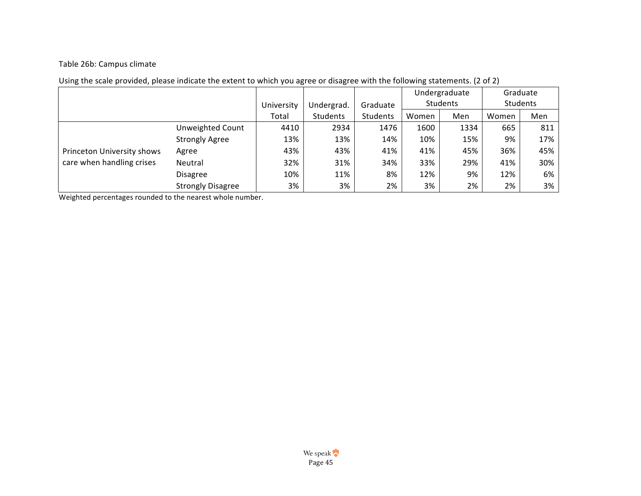## Table 26b: Campus climate

|                            |                          |            |            |          | Undergraduate |          | Graduate |                 |
|----------------------------|--------------------------|------------|------------|----------|---------------|----------|----------|-----------------|
|                            |                          | University | Undergrad. | Graduate |               | Students |          | <b>Students</b> |
|                            |                          | Total      | Students   | Students | Women         | Men      | Women    | Men             |
|                            | <b>Unweighted Count</b>  | 4410       | 2934       | 1476     | 1600          | 1334     | 665      | 811             |
|                            | <b>Strongly Agree</b>    | 13%        | 13%        | 14%      | 10%           | 15%      | 9%       | 17%             |
| Princeton University shows | Agree                    | 43%        | 43%        | 41%      | 41%           | 45%      | 36%      | 45%             |
| care when handling crises  | Neutral                  | 32%        | 31%        | 34%      | 33%           | 29%      | 41%      | 30%             |
|                            | <b>Disagree</b>          | 10%        | 11%        | 8%       | 12%           | 9%       | 12%      | 6%              |
|                            | <b>Strongly Disagree</b> | 3%         | 3%         | 2%       | 3%            | 2%       | 2%       | 3%              |

# Using the scale provided, please indicate the extent to which you agree or disagree with the following statements. (2 of 2)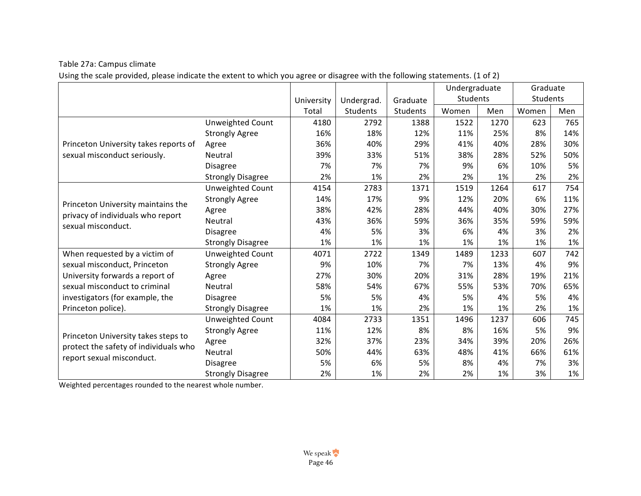Table 27a: Campus climate

Using the scale provided, please indicate the extent to which you agree or disagree with the following statements. (1 of 2)

|                                       |                          |            |            |          | Undergraduate |      | Graduate |     |
|---------------------------------------|--------------------------|------------|------------|----------|---------------|------|----------|-----|
|                                       |                          | University | Undergrad. | Graduate | Students      |      | Students |     |
|                                       |                          | Total      | Students   | Students | Women         | Men  | Women    | Men |
|                                       | <b>Unweighted Count</b>  | 4180       | 2792       | 1388     | 1522          | 1270 | 623      | 765 |
| Princeton University takes reports of | <b>Strongly Agree</b>    | 16%        | 18%        | 12%      | 11%           | 25%  | 8%       | 14% |
|                                       | Agree                    | 36%        | 40%        | 29%      | 41%           | 40%  | 28%      | 30% |
| sexual misconduct seriously.          | Neutral                  | 39%        | 33%        | 51%      | 38%           | 28%  | 52%      | 50% |
|                                       | <b>Disagree</b>          | 7%         | 7%         | 7%       | 9%            | 6%   | 10%      | 5%  |
|                                       | <b>Strongly Disagree</b> | 2%         | 1%         | 2%       | 2%            | 1%   | 2%       | 2%  |
|                                       | Unweighted Count         | 4154       | 2783       | 1371     | 1519          | 1264 | 617      | 754 |
| Princeton University maintains the    | <b>Strongly Agree</b>    | 14%        | 17%        | 9%       | 12%           | 20%  | 6%       | 11% |
| privacy of individuals who report     | Agree                    | 38%        | 42%        | 28%      | 44%           | 40%  | 30%      | 27% |
| sexual misconduct.                    | Neutral                  | 43%        | 36%        | 59%      | 36%           | 35%  | 59%      | 59% |
|                                       | <b>Disagree</b>          | 4%         | 5%         | 3%       | 6%            | 4%   | 3%       | 2%  |
|                                       | <b>Strongly Disagree</b> | 1%         | 1%         | 1%       | 1%            | 1%   | 1%       | 1%  |
| When requested by a victim of         | Unweighted Count         | 4071       | 2722       | 1349     | 1489          | 1233 | 607      | 742 |
| sexual misconduct, Princeton          | <b>Strongly Agree</b>    | 9%         | 10%        | 7%       | 7%            | 13%  | 4%       | 9%  |
| University forwards a report of       | Agree                    | 27%        | 30%        | 20%      | 31%           | 28%  | 19%      | 21% |
| sexual misconduct to criminal         | Neutral                  | 58%        | 54%        | 67%      | 55%           | 53%  | 70%      | 65% |
| investigators (for example, the       | <b>Disagree</b>          | 5%         | 5%         | 4%       | 5%            | 4%   | 5%       | 4%  |
| Princeton police).                    | <b>Strongly Disagree</b> | 1%         | 1%         | 2%       | 1%            | 1%   | 2%       | 1%  |
|                                       | Unweighted Count         | 4084       | 2733       | 1351     | 1496          | 1237 | 606      | 745 |
|                                       | <b>Strongly Agree</b>    | 11%        | 12%        | 8%       | 8%            | 16%  | 5%       | 9%  |
| Princeton University takes steps to   | Agree                    | 32%        | 37%        | 23%      | 34%           | 39%  | 20%      | 26% |
| protect the safety of individuals who | Neutral                  | 50%        | 44%        | 63%      | 48%           | 41%  | 66%      | 61% |
| report sexual misconduct.             | <b>Disagree</b>          | 5%         | 6%         | 5%       | 8%            | 4%   | 7%       | 3%  |
|                                       | <b>Strongly Disagree</b> | 2%         | 1%         | 2%       | 2%            | 1%   | 3%       | 1%  |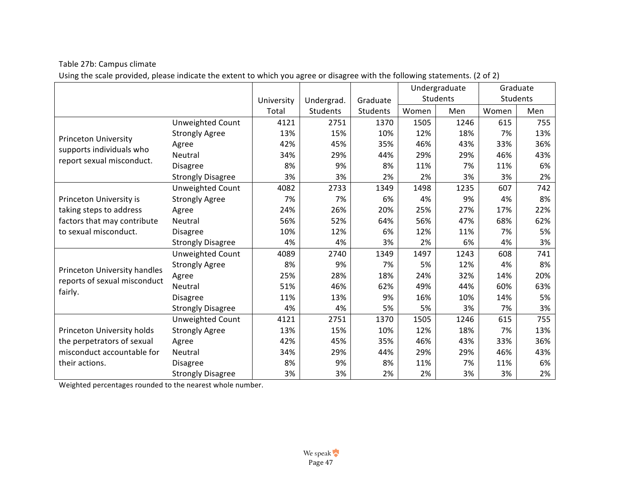## Table 27b: Campus climate

Using the scale provided, please indicate the extent to which you agree or disagree with the following statements. (2 of 2)

|                                                         |                          |            |                 |          |       | Undergraduate |       | Graduate |
|---------------------------------------------------------|--------------------------|------------|-----------------|----------|-------|---------------|-------|----------|
|                                                         |                          | University | Undergrad.      | Graduate |       | Students      |       | Students |
|                                                         |                          | Total      | <b>Students</b> | Students | Women | Men           | Women | Men      |
|                                                         | Unweighted Count         | 4121       | 2751            | 1370     | 1505  | 1246          | 615   | 755      |
|                                                         | <b>Strongly Agree</b>    | 13%        | 15%             | 10%      | 12%   | 18%           | 7%    | 13%      |
| <b>Princeton University</b><br>supports individuals who | Agree                    | 42%        | 45%             | 35%      | 46%   | 43%           | 33%   | 36%      |
|                                                         | Neutral                  | 34%        | 29%             | 44%      | 29%   | 29%           | 46%   | 43%      |
| report sexual misconduct.                               | <b>Disagree</b>          | 8%         | 9%              | 8%       | 11%   | 7%            | 11%   | 6%       |
|                                                         | <b>Strongly Disagree</b> | 3%         | 3%              | 2%       | 2%    | 3%            | 3%    | 2%       |
|                                                         | Unweighted Count         | 4082       | 2733            | 1349     | 1498  | 1235          | 607   | 742      |
| Princeton University is                                 | <b>Strongly Agree</b>    | 7%         | 7%              | 6%       | 4%    | 9%            | 4%    | 8%       |
| taking steps to address                                 | Agree                    | 24%        | 26%             | 20%      | 25%   | 27%           | 17%   | 22%      |
| factors that may contribute                             | Neutral                  | 56%        | 52%             | 64%      | 56%   | 47%           | 68%   | 62%      |
| to sexual misconduct.                                   | <b>Disagree</b>          | 10%        | 12%             | 6%       | 12%   | 11%           | 7%    | 5%       |
|                                                         | <b>Strongly Disagree</b> | 4%         | 4%              | 3%       | 2%    | 6%            | 4%    | 3%       |
|                                                         | Unweighted Count         | 4089       | 2740            | 1349     | 1497  | 1243          | 608   | 741      |
| Princeton University handles                            | <b>Strongly Agree</b>    | 8%         | 9%              | 7%       | 5%    | 12%           | 4%    | 8%       |
| reports of sexual misconduct                            | Agree                    | 25%        | 28%             | 18%      | 24%   | 32%           | 14%   | 20%      |
|                                                         | Neutral                  | 51%        | 46%             | 62%      | 49%   | 44%           | 60%   | 63%      |
| fairly.                                                 | <b>Disagree</b>          | 11%        | 13%             | 9%       | 16%   | 10%           | 14%   | 5%       |
|                                                         | <b>Strongly Disagree</b> | 4%         | 4%              | 5%       | 5%    | 3%            | 7%    | 3%       |
|                                                         | Unweighted Count         | 4121       | 2751            | 1370     | 1505  | 1246          | 615   | 755      |
| Princeton University holds                              | <b>Strongly Agree</b>    | 13%        | 15%             | 10%      | 12%   | 18%           | 7%    | 13%      |
| the perpetrators of sexual                              | Agree                    | 42%        | 45%             | 35%      | 46%   | 43%           | 33%   | 36%      |
| misconduct accountable for                              | Neutral                  | 34%        | 29%             | 44%      | 29%   | 29%           | 46%   | 43%      |
| their actions.                                          | <b>Disagree</b>          | 8%         | 9%              | 8%       | 11%   | 7%            | 11%   | 6%       |
|                                                         | <b>Strongly Disagree</b> | 3%         | 3%              | 2%       | 2%    | 3%            | 3%    | 2%       |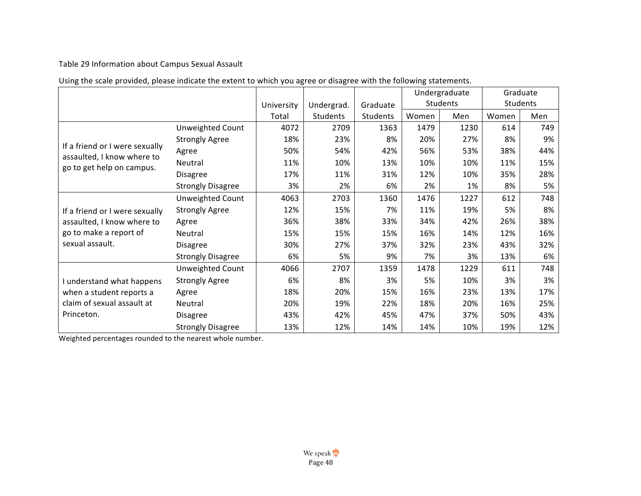# Table 29 Information about Campus Sexual Assault

| Using the scale provided, please indicate the extent to which you agree or disagree with the following statements. |  |
|--------------------------------------------------------------------------------------------------------------------|--|
|--------------------------------------------------------------------------------------------------------------------|--|

|                                                         |                          |            |            |          |       | Undergraduate |       | Graduate |
|---------------------------------------------------------|--------------------------|------------|------------|----------|-------|---------------|-------|----------|
|                                                         |                          | University | Undergrad. | Graduate |       | Students      |       | Students |
|                                                         |                          | Total      | Students   | Students | Women | Men           | Women | Men      |
|                                                         | Unweighted Count         | 4072       | 2709       | 1363     | 1479  | 1230          | 614   | 749      |
|                                                         | <b>Strongly Agree</b>    | 18%        | 23%        | 8%       | 20%   | 27%           | 8%    | 9%       |
| If a friend or I were sexually                          | Agree                    | 50%        | 54%        | 42%      | 56%   | 53%           | 38%   | 44%      |
| assaulted, I know where to<br>go to get help on campus. | Neutral                  | 11%        | 10%        | 13%      | 10%   | 10%           | 11%   | 15%      |
|                                                         | Disagree                 | 17%        | 11%        | 31%      | 12%   | 10%           | 35%   | 28%      |
|                                                         | <b>Strongly Disagree</b> | 3%         | 2%         | 6%       | 2%    | 1%            | 8%    | 5%       |
|                                                         | Unweighted Count         | 4063       | 2703       | 1360     | 1476  | 1227          | 612   | 748      |
| If a friend or I were sexually                          | <b>Strongly Agree</b>    | 12%        | 15%        | 7%       | 11%   | 19%           | 5%    | 8%       |
| assaulted, I know where to                              | Agree                    | 36%        | 38%        | 33%      | 34%   | 42%           | 26%   | 38%      |
| go to make a report of                                  | Neutral                  | 15%        | 15%        | 15%      | 16%   | 14%           | 12%   | 16%      |
| sexual assault.                                         | <b>Disagree</b>          | 30%        | 27%        | 37%      | 32%   | 23%           | 43%   | 32%      |
|                                                         | <b>Strongly Disagree</b> | 6%         | 5%         | 9%       | 7%    | 3%            | 13%   | 6%       |
|                                                         | Unweighted Count         | 4066       | 2707       | 1359     | 1478  | 1229          | 611   | 748      |
| I understand what happens                               | <b>Strongly Agree</b>    | 6%         | 8%         | 3%       | 5%    | 10%           | 3%    | 3%       |
| when a student reports a<br>claim of sexual assault at  | Agree                    | 18%        | 20%        | 15%      | 16%   | 23%           | 13%   | 17%      |
|                                                         | Neutral                  | 20%        | 19%        | 22%      | 18%   | 20%           | 16%   | 25%      |
| Princeton.                                              | <b>Disagree</b>          | 43%        | 42%        | 45%      | 47%   | 37%           | 50%   | 43%      |
|                                                         | <b>Strongly Disagree</b> | 13%        | 12%        | 14%      | 14%   | 10%           | 19%   | 12%      |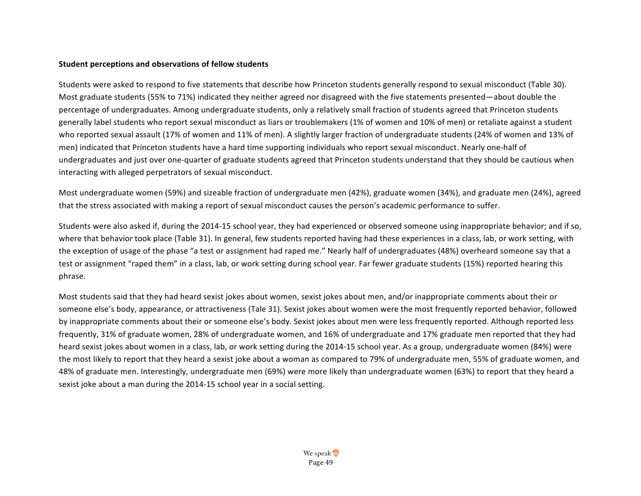#### **Student perceptions and observations of fellow students**

Students were asked to respond to five statements that describe how Princeton students generally respond to sexual misconduct (Table 30). Most graduate students (55% to 71%) indicated they neither agreed nor disagreed with the five statements presented—about double the percentage of undergraduates. Among undergraduate students, only a relatively small fraction of students agreed that Princeton students generally label students who report sexual misconduct as liars or troublemakers (1% of women and 10% of men) or retaliate against a student who reported sexual assault (17% of women and 11% of men). A slightly larger fraction of undergraduate students (24% of women and 13% of men) indicated that Princeton students have a hard time supporting individuals who report sexual misconduct. Nearly one-half of undergraduates and just over one-quarter of graduate students agreed that Princeton students understand that they should be cautious when interacting with alleged perpetrators of sexual misconduct.

Most undergraduate women (59%) and sizeable fraction of undergraduate men (42%), graduate women (34%), and graduate men (24%), agreed that the stress associated with making a report of sexual misconduct causes the person's academic performance to suffer.

Students were also asked if, during the 2014-15 school year, they had experienced or observed someone using inappropriate behavior; and if so, where that behavior took place (Table 31). In general, few students reported having had these experiences in a class, lab, or work setting, with the exception of usage of the phase "a test or assignment had raped me." Nearly half of undergraduates (48%) overheard someone say that a test or assignment "raped them" in a class, lab, or work setting during school year. Far fewer graduate students (15%) reported hearing this phrase.

Most students said that they had heard sexist jokes about women, sexist jokes about men, and/or inappropriate comments about their or someone else's body, appearance, or attractiveness (Tale 31). Sexist jokes about women were the most frequently reported behavior, followed by inappropriate comments about their or someone else's body. Sexist jokes about men were less frequently reported. Although reported less frequently, 31% of graduate women, 28% of undergraduate women, and 16% of undergraduate and 17% graduate men reported that they had heard sexist jokes about women in a class, lab, or work setting during the 2014-15 school year. As a group, undergraduate women (84%) were the most likely to report that they heard a sexist joke about a woman as compared to 79% of undergraduate men, 55% of graduate women, and 48% of graduate men. Interestingly, undergraduate men (69%) were more likely than undergraduate women (63%) to report that they heard a sexist joke about a man during the 2014-15 school year in a social setting.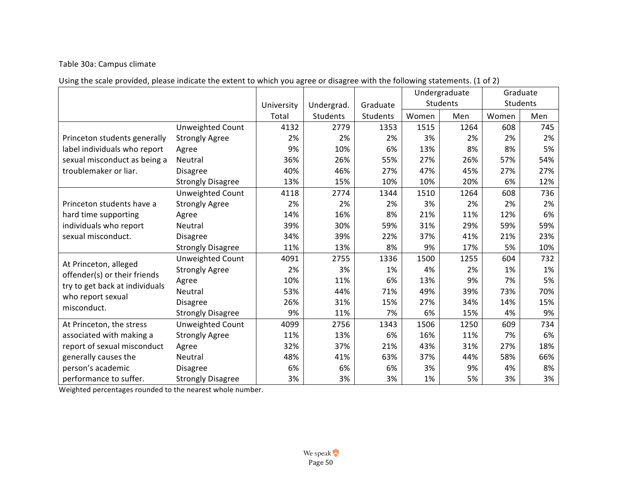## Table 30a: Campus climate

Using the scale provided, please indicate the extent to which you agree or disagree with the following statements. (1 of 2)

|                                  |                          |            |                 |          |       | Undergraduate   |       | Graduate |
|----------------------------------|--------------------------|------------|-----------------|----------|-------|-----------------|-------|----------|
|                                  |                          | University | Undergrad.      | Graduate |       | <b>Students</b> |       | Students |
|                                  |                          | Total      | <b>Students</b> | Students | Women | Men             | Women | Men      |
|                                  | Unweighted Count         | 4132       | 2779            | 1353     | 1515  | 1264            | 608   | 745      |
| Princeton students generally     | <b>Strongly Agree</b>    | 2%         | 2%              | 2%       | 3%    | 2%              | 2%    | 2%       |
| label individuals who report     | Agree                    | 9%         | 10%             | 6%       | 13%   | 8%              | 8%    | 5%       |
| sexual misconduct as being a     | Neutral                  | 36%        | 26%             | 55%      | 27%   | 26%             | 57%   | 54%      |
| troublemaker or liar.            | <b>Disagree</b>          | 40%        | 46%             | 27%      | 47%   | 45%             | 27%   | 27%      |
|                                  | <b>Strongly Disagree</b> | 13%        | 15%             | 10%      | 10%   | 20%             | 6%    | 12%      |
|                                  | Unweighted Count         | 4118       | 2774            | 1344     | 1510  | 1264            | 608   | 736      |
| Princeton students have a        | <b>Strongly Agree</b>    | 2%         | 2%              | 2%       | 3%    | 2%              | 2%    | 2%       |
| hard time supporting             | Agree                    | 14%        | 16%             | 8%       | 21%   | 11%             | 12%   | 6%       |
| individuals who report           | <b>Neutral</b>           | 39%        | 30%             | 59%      | 31%   | 29%             | 59%   | 59%      |
| sexual misconduct.               | <b>Disagree</b>          | 34%        | 39%             | 22%      | 37%   | 41%             | 21%   | 23%      |
|                                  | <b>Strongly Disagree</b> | 11%        | 13%             | 8%       | 9%    | 17%             | 5%    | 10%      |
| At Princeton, alleged            | Unweighted Count         | 4091       | 2755            | 1336     | 1500  | 1255            | 604   | 732      |
| offender(s) or their friends     | <b>Strongly Agree</b>    | 2%         | 3%              | 1%       | 4%    | 2%              | 1%    | 1%       |
|                                  | Agree                    | 10%        | 11%             | 6%       | 13%   | 9%              | 7%    | 5%       |
| try to get back at individuals   | Neutral                  | 53%        | 44%             | 71%      | 49%   | 39%             | 73%   | 70%      |
| who report sexual<br>misconduct. | <b>Disagree</b>          | 26%        | 31%             | 15%      | 27%   | 34%             | 14%   | 15%      |
|                                  | <b>Strongly Disagree</b> | 9%         | 11%             | 7%       | 6%    | 15%             | 4%    | 9%       |
| At Princeton, the stress         | Unweighted Count         | 4099       | 2756            | 1343     | 1506  | 1250            | 609   | 734      |
| associated with making a         | <b>Strongly Agree</b>    | 11%        | 13%             | 6%       | 16%   | 11%             | 7%    | 6%       |
| report of sexual misconduct      | Agree                    | 32%        | 37%             | 21%      | 43%   | 31%             | 27%   | 18%      |
| generally causes the             | Neutral                  | 48%        | 41%             | 63%      | 37%   | 44%             | 58%   | 66%      |
| person's academic                | <b>Disagree</b>          | 6%         | 6%              | 6%       | 3%    | 9%              | 4%    | 8%       |
| performance to suffer.           | <b>Strongly Disagree</b> | 3%         | 3%              | 3%       | 1%    | 5%              | 3%    | 3%       |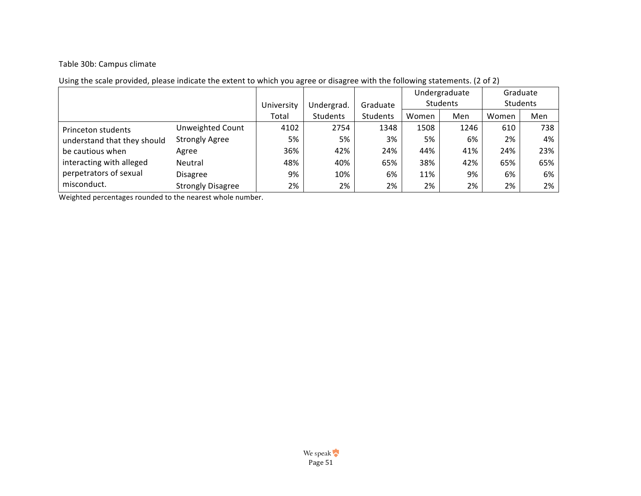## Table 30b: Campus climate

|                             |                          |            |            |          | Undergraduate |          |       | Graduate |  |
|-----------------------------|--------------------------|------------|------------|----------|---------------|----------|-------|----------|--|
|                             |                          | University | Undergrad. | Graduate |               | Students |       | Students |  |
|                             |                          | Total      | Students   | Students | Women         | Men      | Women | Men      |  |
| Princeton students          | Unweighted Count         | 4102       | 2754       | 1348     | 1508          | 1246     | 610   | 738      |  |
| understand that they should | <b>Strongly Agree</b>    | 5%         | 5%         | 3%       | 5%            | 6%       | 2%    | 4%       |  |
| be cautious when            | Agree                    | 36%        | 42%        | 24%      | 44%           | 41%      | 24%   | 23%      |  |
| interacting with alleged    | Neutral                  | 48%        | 40%        | 65%      | 38%           | 42%      | 65%   | 65%      |  |
| perpetrators of sexual      | <b>Disagree</b>          | 9%         | 10%        | 6%       | 11%           | 9%       | 6%    | 6%       |  |
| misconduct.                 | <b>Strongly Disagree</b> | 2%         | 2%         | 2%       | 2%            | 2%       | 2%    | 2%       |  |

# Using the scale provided, please indicate the extent to which you agree or disagree with the following statements. (2 of 2)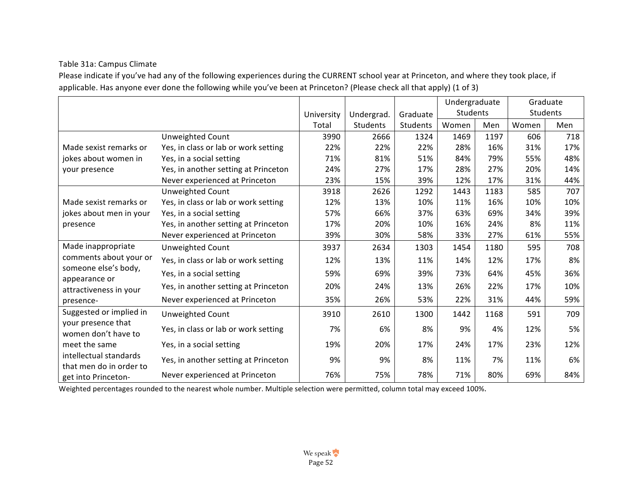## Table 31a: Campus Climate

Please indicate if you've had any of the following experiences during the CURRENT school year at Princeton, and where they took place, if applicable. Has anyone ever done the following while you've been at Princeton? (Please check all that apply) (1 of 3)

|                                                   |                                      |            |            |          | Undergraduate |      |       | Graduate |
|---------------------------------------------------|--------------------------------------|------------|------------|----------|---------------|------|-------|----------|
|                                                   |                                      | University | Undergrad. | Graduate | Students      |      |       | Students |
|                                                   |                                      | Total      | Students   | Students | Women         | Men  | Women | Men      |
|                                                   | Unweighted Count                     | 3990       | 2666       | 1324     | 1469          | 1197 | 606   | 718      |
| Made sexist remarks or                            | Yes, in class or lab or work setting | 22%        | 22%        | 22%      | 28%           | 16%  | 31%   | 17%      |
| jokes about women in                              | Yes, in a social setting             | 71%        | 81%        | 51%      | 84%           | 79%  | 55%   | 48%      |
| your presence                                     | Yes, in another setting at Princeton | 24%        | 27%        | 17%      | 28%           | 27%  | 20%   | 14%      |
|                                                   | Never experienced at Princeton       | 23%        | 15%        | 39%      | 12%           | 17%  | 31%   | 44%      |
|                                                   | Unweighted Count                     | 3918       | 2626       | 1292     | 1443          | 1183 | 585   | 707      |
| Made sexist remarks or                            | Yes, in class or lab or work setting | 12%        | 13%        | 10%      | 11%           | 16%  | 10%   | 10%      |
| jokes about men in your                           | Yes, in a social setting             | 57%        | 66%        | 37%      | 63%           | 69%  | 34%   | 39%      |
| presence                                          | Yes, in another setting at Princeton | 17%        | 20%        | 10%      | 16%           | 24%  | 8%    | 11%      |
|                                                   | Never experienced at Princeton       | 39%        | 30%        | 58%      | 33%           | 27%  | 61%   | 55%      |
| Made inappropriate                                | Unweighted Count                     | 3937       | 2634       | 1303     | 1454          | 1180 | 595   | 708      |
| comments about your or                            | Yes, in class or lab or work setting | 12%        | 13%        | 11%      | 14%           | 12%  | 17%   | 8%       |
| someone else's body,                              | Yes, in a social setting             | 59%        | 69%        | 39%      | 73%           | 64%  | 45%   | 36%      |
| appearance or<br>attractiveness in your           | Yes, in another setting at Princeton | 20%        | 24%        | 13%      | 26%           | 22%  | 17%   | 10%      |
| presence-                                         | Never experienced at Princeton       | 35%        | 26%        | 53%      | 22%           | 31%  | 44%   | 59%      |
| Suggested or implied in                           | Unweighted Count                     | 3910       | 2610       | 1300     | 1442          | 1168 | 591   | 709      |
| your presence that                                | Yes, in class or lab or work setting | 7%         | 6%         | 8%       | 9%            | 4%   | 12%   | 5%       |
| women don't have to                               |                                      |            |            |          |               |      |       |          |
| meet the same                                     | Yes, in a social setting             | 19%        | 20%        | 17%      | 24%           | 17%  | 23%   | 12%      |
| intellectual standards<br>that men do in order to | Yes, in another setting at Princeton | 9%         | 9%         | 8%       | 11%           | 7%   | 11%   | 6%       |
| get into Princeton-                               | Never experienced at Princeton       | 76%        | 75%        | 78%      | 71%           | 80%  | 69%   | 84%      |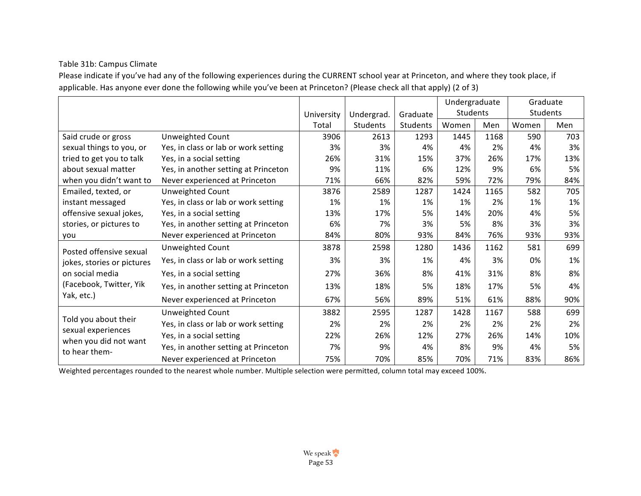## Table 31b: Campus Climate

Please indicate if you've had any of the following experiences during the CURRENT school year at Princeton, and where they took place, if applicable. Has anyone ever done the following while you've been at Princeton? (Please check all that apply) (2 of 3)

|                                                                                      |                                      |            |            |          | Undergraduate |      |       | Graduate |
|--------------------------------------------------------------------------------------|--------------------------------------|------------|------------|----------|---------------|------|-------|----------|
|                                                                                      |                                      | University | Undergrad. | Graduate | Students      |      |       | Students |
|                                                                                      |                                      | Total      | Students   | Students | Women         | Men  | Women | Men      |
| Said crude or gross                                                                  | Unweighted Count                     | 3906       | 2613       | 1293     | 1445          | 1168 | 590   | 703      |
| sexual things to you, or                                                             | Yes, in class or lab or work setting | 3%         | 3%         | 4%       | 4%            | 2%   | 4%    | 3%       |
| tried to get you to talk                                                             | Yes, in a social setting             | 26%        | 31%        | 15%      | 37%           | 26%  | 17%   | 13%      |
| about sexual matter                                                                  | Yes, in another setting at Princeton | 9%         | 11%        | 6%       | 12%           | 9%   | 6%    | 5%       |
| when you didn't want to                                                              | Never experienced at Princeton       | 71%        | 66%        | 82%      | 59%           | 72%  | 79%   | 84%      |
| Emailed, texted, or                                                                  | Unweighted Count                     | 3876       | 2589       | 1287     | 1424          | 1165 | 582   | 705      |
| instant messaged                                                                     | Yes, in class or lab or work setting | 1%         | 1%         | 1%       | 1%            | 2%   | 1%    | 1%       |
| offensive sexual jokes,                                                              | Yes, in a social setting             | 13%        | 17%        | 5%       | 14%           | 20%  | 4%    | 5%       |
| stories, or pictures to                                                              | Yes, in another setting at Princeton | 6%         | 7%         | 3%       | 5%            | 8%   | 3%    | 3%       |
| you                                                                                  | Never experienced at Princeton       | 84%        | 80%        | 93%      | 84%           | 76%  | 93%   | 93%      |
| Posted offensive sexual                                                              | Unweighted Count                     | 3878       | 2598       | 1280     | 1436          | 1162 | 581   | 699      |
| jokes, stories or pictures                                                           | Yes, in class or lab or work setting | 3%         | 3%         | 1%       | 4%            | 3%   | 0%    | 1%       |
| on social media                                                                      | Yes, in a social setting             | 27%        | 36%        | 8%       | 41%           | 31%  | 8%    | 8%       |
| (Facebook, Twitter, Yik                                                              | Yes, in another setting at Princeton | 13%        | 18%        | 5%       | 18%           | 17%  | 5%    | 4%       |
| Yak, etc.)                                                                           | Never experienced at Princeton       | 67%        | 56%        | 89%      | 51%           | 61%  | 88%   | 90%      |
|                                                                                      | Unweighted Count                     | 3882       | 2595       | 1287     | 1428          | 1167 | 588   | 699      |
| Told you about their<br>sexual experiences<br>when you did not want<br>to hear them- | Yes, in class or lab or work setting | 2%         | 2%         | 2%       | 2%            | 2%   | 2%    | 2%       |
|                                                                                      | Yes, in a social setting             | 22%        | 26%        | 12%      | 27%           | 26%  | 14%   | 10%      |
|                                                                                      | Yes, in another setting at Princeton | 7%         | 9%         | 4%       | 8%            | 9%   | 4%    | 5%       |
|                                                                                      | Never experienced at Princeton       | 75%        | 70%        | 85%      | 70%           | 71%  | 83%   | 86%      |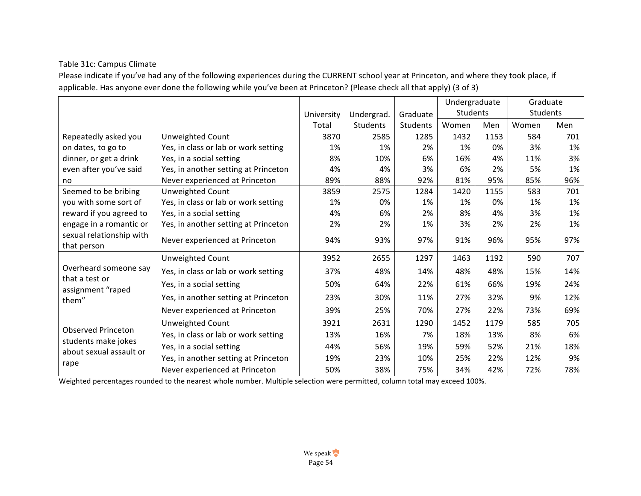## Table 31c: Campus Climate

Please indicate if you've had any of the following experiences during the CURRENT school year at Princeton, and where they took place, if applicable. Has anyone ever done the following while you've been at Princeton? (Please check all that apply) (3 of 3)

|                                                                             |                                      |            |            |          | Undergraduate |      |       | Graduate |
|-----------------------------------------------------------------------------|--------------------------------------|------------|------------|----------|---------------|------|-------|----------|
|                                                                             |                                      | University | Undergrad. | Graduate | Students      |      |       | Students |
|                                                                             |                                      | Total      | Students   | Students | Women         | Men  | Women | Men      |
| Repeatedly asked you                                                        | Unweighted Count                     | 3870       | 2585       | 1285     | 1432          | 1153 | 584   | 701      |
| on dates, to go to                                                          | Yes, in class or lab or work setting | 1%         | 1%         | 2%       | 1%            | 0%   | 3%    | 1%       |
| dinner, or get a drink                                                      | Yes, in a social setting             | 8%         | 10%        | 6%       | 16%           | 4%   | 11%   | 3%       |
| even after you've said                                                      | Yes, in another setting at Princeton | 4%         | 4%         | 3%       | 6%            | 2%   | 5%    | 1%       |
| no                                                                          | Never experienced at Princeton       | 89%        | 88%        | 92%      | 81%           | 95%  | 85%   | 96%      |
| Seemed to be bribing                                                        | Unweighted Count                     | 3859       | 2575       | 1284     | 1420          | 1155 | 583   | 701      |
| you with some sort of                                                       | Yes, in class or lab or work setting | 1%         | 0%         | 1%       | 1%            | 0%   | 1%    | 1%       |
| reward if you agreed to                                                     | Yes, in a social setting             | 4%         | 6%         | 2%       | 8%            | 4%   | 3%    | 1%       |
| engage in a romantic or                                                     | Yes, in another setting at Princeton | 2%         | 2%         | 1%       | 3%            | 2%   | 2%    | 1%       |
| sexual relationship with<br>that person                                     | Never experienced at Princeton       | 94%        | 93%        | 97%      | 91%           | 96%  | 95%   | 97%      |
|                                                                             | Unweighted Count                     | 3952       | 2655       | 1297     | 1463          | 1192 | 590   | 707      |
| Overheard someone say                                                       | Yes, in class or lab or work setting | 37%        | 48%        | 14%      | 48%           | 48%  | 15%   | 14%      |
| that a test or<br>assignment "raped                                         | Yes, in a social setting             | 50%        | 64%        | 22%      | 61%           | 66%  | 19%   | 24%      |
| them"                                                                       | Yes, in another setting at Princeton | 23%        | 30%        | 11%      | 27%           | 32%  | 9%    | 12%      |
|                                                                             | Never experienced at Princeton       | 39%        | 25%        | 70%      | 27%           | 22%  | 73%   | 69%      |
|                                                                             | Unweighted Count                     | 3921       | 2631       | 1290     | 1452          | 1179 | 585   | 705      |
| <b>Observed Princeton</b><br>students make jokes<br>about sexual assault or | Yes, in class or lab or work setting | 13%        | 16%        | 7%       | 18%           | 13%  | 8%    | 6%       |
|                                                                             | Yes, in a social setting             | 44%        | 56%        | 19%      | 59%           | 52%  | 21%   | 18%      |
|                                                                             | Yes, in another setting at Princeton | 19%        | 23%        | 10%      | 25%           | 22%  | 12%   | 9%       |
| rape                                                                        | Never experienced at Princeton       | 50%        | 38%        | 75%      | 34%           | 42%  | 72%   | 78%      |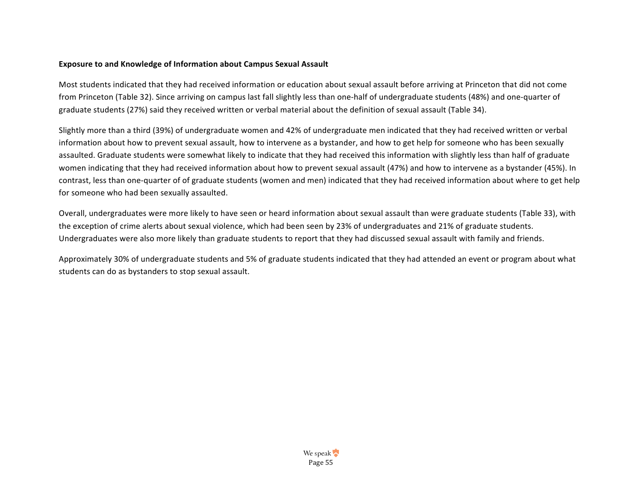#### **Exposure to and Knowledge of Information about Campus Sexual Assault**

Most students indicated that they had received information or education about sexual assault before arriving at Princeton that did not come from Princeton (Table 32). Since arriving on campus last fall slightly less than one-half of undergraduate students (48%) and one-quarter of graduate students (27%) said they received written or verbal material about the definition of sexual assault (Table 34).

Slightly more than a third (39%) of undergraduate women and 42% of undergraduate men indicated that they had received written or verbal information about how to prevent sexual assault, how to intervene as a bystander, and how to get help for someone who has been sexually assaulted. Graduate students were somewhat likely to indicate that they had received this information with slightly less than half of graduate women indicating that they had received information about how to prevent sexual assault (47%) and how to intervene as a bystander (45%). In contrast, less than one-quarter of of graduate students (women and men) indicated that they had received information about where to get help for someone who had been sexually assaulted.

Overall, undergraduates were more likely to have seen or heard information about sexual assault than were graduate students (Table 33), with the exception of crime alerts about sexual violence, which had been seen by 23% of undergraduates and 21% of graduate students. Undergraduates were also more likely than graduate students to report that they had discussed sexual assault with family and friends.

Approximately 30% of undergraduate students and 5% of graduate students indicated that they had attended an event or program about what students can do as bystanders to stop sexual assault.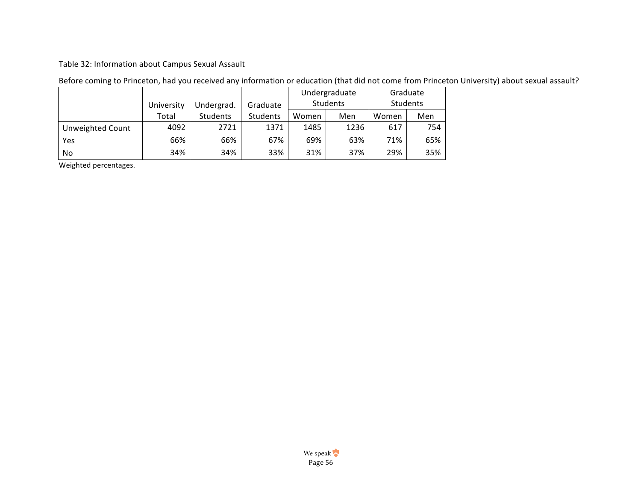## Table 32: Information about Campus Sexual Assault

|                         |            |            |                 |       | Undergraduate | Graduate |          |  |
|-------------------------|------------|------------|-----------------|-------|---------------|----------|----------|--|
|                         | University | Undergrad. | Graduate        |       | Students      |          | Students |  |
|                         | Total      | Students   | <b>Students</b> | Women | Men           | Women    | Men      |  |
| <b>Unweighted Count</b> | 4092       | 2721       | 1371            | 1485  | 1236          | 617      | 754      |  |
| Yes                     | 66%        | 66%        | 67%             | 69%   | 63%           | 71%      | 65%      |  |
| No                      | 34%        | 34%        | 33%             | 31%   | 37%           | 29%      | 35%      |  |

## Before coming to Princeton, had you received any information or education (that did not come from Princeton University) about sexual assault?

Weighted percentages.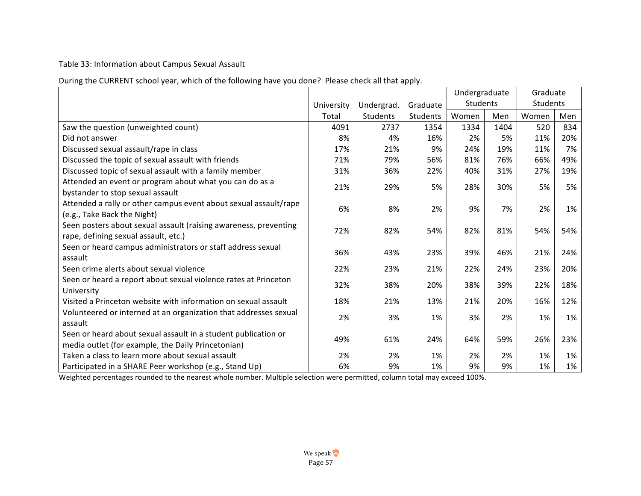## Table 33: Information about Campus Sexual Assault

During the CURRENT school year, which of the following have you done? Please check all that apply.

|                                                                                                                      |            |                 |          | Undergraduate |      | Graduate |     |
|----------------------------------------------------------------------------------------------------------------------|------------|-----------------|----------|---------------|------|----------|-----|
|                                                                                                                      | University | Undergrad.      | Graduate | Students      |      | Students |     |
|                                                                                                                      | Total      | <b>Students</b> | Students | Women         | Men  | Women    | Men |
| Saw the question (unweighted count)                                                                                  | 4091       | 2737            | 1354     | 1334          | 1404 | 520      | 834 |
| Did not answer                                                                                                       | 8%         | 4%              | 16%      | 2%            | 5%   | 11%      | 20% |
| Discussed sexual assault/rape in class                                                                               | 17%        | 21%             | 9%       | 24%           | 19%  | 11%      | 7%  |
| Discussed the topic of sexual assault with friends                                                                   | 71%        | 79%             | 56%      | 81%           | 76%  | 66%      | 49% |
| Discussed topic of sexual assault with a family member                                                               | 31%        | 36%             | 22%      | 40%           | 31%  | 27%      | 19% |
| Attended an event or program about what you can do as a<br>bystander to stop sexual assault                          | 21%        | 29%             | 5%       | 28%           | 30%  | 5%       | 5%  |
| Attended a rally or other campus event about sexual assault/rape<br>(e.g., Take Back the Night)                      | 6%         | 8%              | 2%       | 9%            | 7%   | 2%       | 1%  |
| Seen posters about sexual assault (raising awareness, preventing<br>rape, defining sexual assault, etc.)             | 72%        | 82%             | 54%      | 82%           | 81%  | 54%      | 54% |
| Seen or heard campus administrators or staff address sexual<br>assault                                               | 36%        | 43%             | 23%      | 39%           | 46%  | 21%      | 24% |
| Seen crime alerts about sexual violence                                                                              | 22%        | 23%             | 21%      | 22%           | 24%  | 23%      | 20% |
| Seen or heard a report about sexual violence rates at Princeton<br>University                                        | 32%        | 38%             | 20%      | 38%           | 39%  | 22%      | 18% |
| Visited a Princeton website with information on sexual assault                                                       | 18%        | 21%             | 13%      | 21%           | 20%  | 16%      | 12% |
| Volunteered or interned at an organization that addresses sexual<br>assault                                          | 2%         | 3%              | 1%       | 3%            | 2%   | 1%       | 1%  |
| Seen or heard about sexual assault in a student publication or<br>media outlet (for example, the Daily Princetonian) | 49%        | 61%             | 24%      | 64%           | 59%  | 26%      | 23% |
| Taken a class to learn more about sexual assault                                                                     | 2%         | 2%              | 1%       | 2%            | 2%   | 1%       | 1%  |
| Participated in a SHARE Peer workshop (e.g., Stand Up)                                                               | 6%         | 9%              | 1%       | 9%            | 9%   | 1%       | 1%  |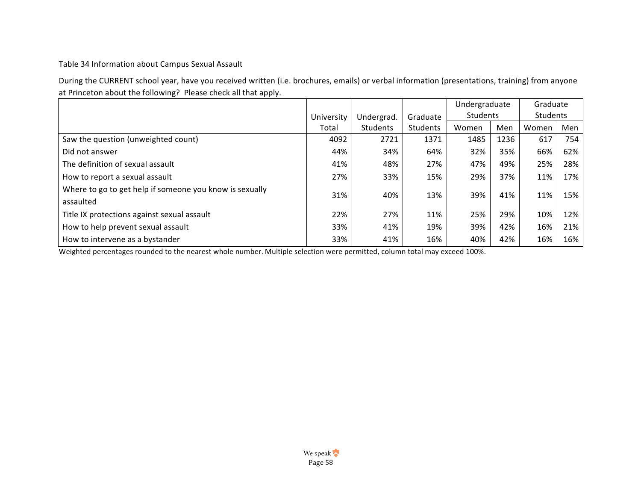Table 34 Information about Campus Sexual Assault

During the CURRENT school year, have you received written (i.e. brochures, emails) or verbal information (presentations, training) from anyone at Princeton about the following? Please check all that apply.

|                                                                      |            |                 |          | Undergraduate |      | Graduate |     |
|----------------------------------------------------------------------|------------|-----------------|----------|---------------|------|----------|-----|
|                                                                      | University | Undergrad.      | Graduate | Students      |      | Students |     |
|                                                                      | Total      | <b>Students</b> | Students | Women         | Men  | Women    | Men |
| Saw the question (unweighted count)                                  | 4092       | 2721            | 1371     | 1485          | 1236 | 617      | 754 |
| Did not answer                                                       | 44%        | 34%             | 64%      | 32%           | 35%  | 66%      | 62% |
| The definition of sexual assault                                     | 41%        | 48%             | 27%      | 47%           | 49%  | 25%      | 28% |
| How to report a sexual assault                                       | 27%        | 33%             | 15%      | 29%           | 37%  | 11%      | 17% |
| Where to go to get help if someone you know is sexually<br>assaulted | 31%        | 40%             | 13%      | 39%           | 41%  | 11%      | 15% |
| Title IX protections against sexual assault                          | 22%        | 27%             | 11%      | 25%           | 29%  | 10%      | 12% |
| How to help prevent sexual assault                                   | 33%        | 41%             | 19%      | 39%           | 42%  | 16%      | 21% |
| How to intervene as a bystander                                      | 33%        | 41%             | 16%      | 40%           | 42%  | 16%      | 16% |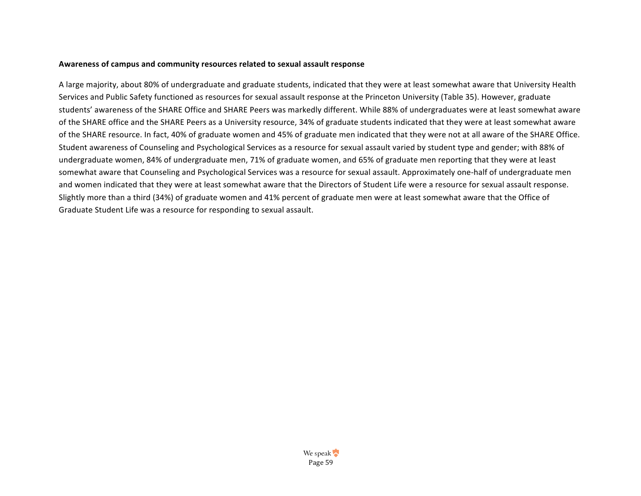#### Awareness of campus and community resources related to sexual assault response

A large majority, about 80% of undergraduate and graduate students, indicated that they were at least somewhat aware that University Health Services and Public Safety functioned as resources for sexual assault response at the Princeton University (Table 35). However, graduate students' awareness of the SHARE Office and SHARE Peers was markedly different. While 88% of undergraduates were at least somewhat aware of the SHARE office and the SHARE Peers as a University resource, 34% of graduate students indicated that they were at least somewhat aware of the SHARE resource. In fact, 40% of graduate women and 45% of graduate men indicated that they were not at all aware of the SHARE Office. Student awareness of Counseling and Psychological Services as a resource for sexual assault varied by student type and gender; with 88% of undergraduate women, 84% of undergraduate men, 71% of graduate women, and 65% of graduate men reporting that they were at least somewhat aware that Counseling and Psychological Services was a resource for sexual assault. Approximately one-half of undergraduate men and women indicated that they were at least somewhat aware that the Directors of Student Life were a resource for sexual assault response. Slightly more than a third (34%) of graduate women and 41% percent of graduate men were at least somewhat aware that the Office of Graduate Student Life was a resource for responding to sexual assault.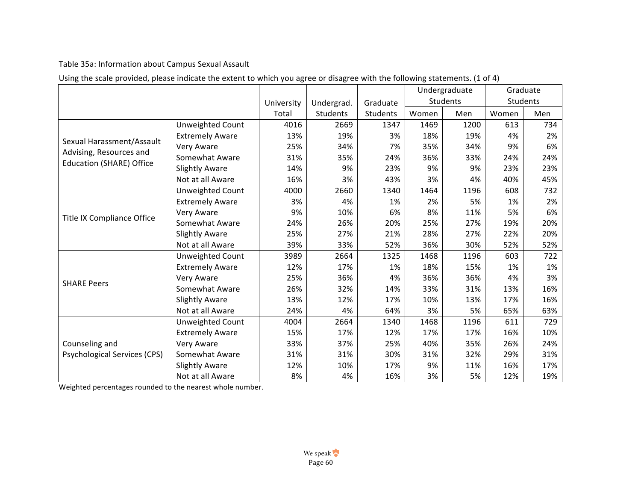Table 35a: Information about Campus Sexual Assault

|                                                      |                         |            |            |          |       | Undergraduate | Graduate |          |
|------------------------------------------------------|-------------------------|------------|------------|----------|-------|---------------|----------|----------|
|                                                      |                         | University | Undergrad. | Graduate |       | Students      |          | Students |
|                                                      |                         | Total      | Students   | Students | Women | Men           | Women    | Men      |
|                                                      | Unweighted Count        | 4016       | 2669       | 1347     | 1469  | 1200          | 613      | 734      |
|                                                      | <b>Extremely Aware</b>  | 13%        | 19%        | 3%       | 18%   | 19%           | 4%       | 2%       |
| Sexual Harassment/Assault<br>Advising, Resources and | Very Aware              | 25%        | 34%        | 7%       | 35%   | 34%           | 9%       | 6%       |
|                                                      | Somewhat Aware          | 31%        | 35%        | 24%      | 36%   | 33%           | 24%      | 24%      |
| <b>Education (SHARE) Office</b>                      | <b>Slightly Aware</b>   | 14%        | 9%         | 23%      | 9%    | 9%            | 23%      | 23%      |
|                                                      | Not at all Aware        | 16%        | 3%         | 43%      | 3%    | 4%            | 40%      | 45%      |
|                                                      | Unweighted Count        | 4000       | 2660       | 1340     | 1464  | 1196          | 608      | 732      |
|                                                      | <b>Extremely Aware</b>  | 3%         | 4%         | 1%       | 2%    | 5%            | 1%       | 2%       |
| <b>Title IX Compliance Office</b>                    | Very Aware              | 9%         | 10%        | 6%       | 8%    | 11%           | 5%       | 6%       |
|                                                      | Somewhat Aware          | 24%        | 26%        | 20%      | 25%   | 27%           | 19%      | 20%      |
|                                                      | <b>Slightly Aware</b>   | 25%        | 27%        | 21%      | 28%   | 27%           | 22%      | 20%      |
|                                                      | Not at all Aware        | 39%        | 33%        | 52%      | 36%   | 30%           | 52%      | 52%      |
|                                                      | <b>Unweighted Count</b> | 3989       | 2664       | 1325     | 1468  | 1196          | 603      | 722      |
|                                                      | <b>Extremely Aware</b>  | 12%        | 17%        | 1%       | 18%   | 15%           | 1%       | 1%       |
| <b>SHARE Peers</b>                                   | Very Aware              | 25%        | 36%        | 4%       | 36%   | 36%           | 4%       | 3%       |
|                                                      | Somewhat Aware          | 26%        | 32%        | 14%      | 33%   | 31%           | 13%      | 16%      |
|                                                      | <b>Slightly Aware</b>   | 13%        | 12%        | 17%      | 10%   | 13%           | 17%      | 16%      |
|                                                      | Not at all Aware        | 24%        | 4%         | 64%      | 3%    | 5%            | 65%      | 63%      |
|                                                      | Unweighted Count        | 4004       | 2664       | 1340     | 1468  | 1196          | 611      | 729      |
|                                                      | <b>Extremely Aware</b>  | 15%        | 17%        | 12%      | 17%   | 17%           | 16%      | 10%      |
| Counseling and                                       | Very Aware              | 33%        | 37%        | 25%      | 40%   | 35%           | 26%      | 24%      |
| Psychological Services (CPS)                         | Somewhat Aware          | 31%        | 31%        | 30%      | 31%   | 32%           | 29%      | 31%      |
|                                                      | <b>Slightly Aware</b>   | 12%        | 10%        | 17%      | 9%    | 11%           | 16%      | 17%      |
|                                                      | Not at all Aware        | 8%         | 4%         | 16%      | 3%    | 5%            | 12%      | 19%      |

Using the scale provided, please indicate the extent to which you agree or disagree with the following statements. (1 of 4)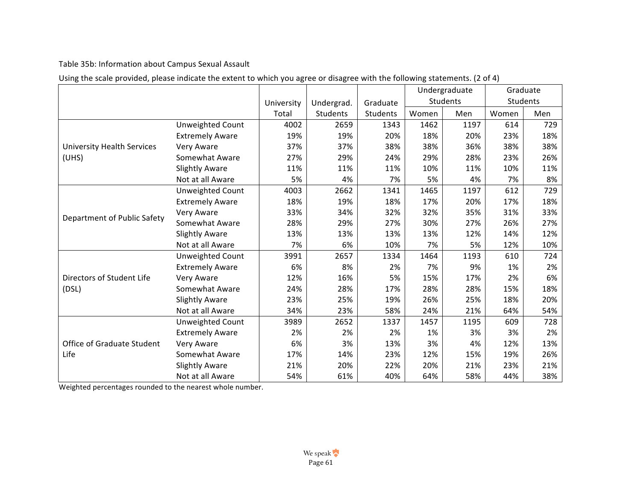Table 35b: Information about Campus Sexual Assault

|                                            |                        |            |            |          |       | Undergraduate |       | Graduate |
|--------------------------------------------|------------------------|------------|------------|----------|-------|---------------|-------|----------|
|                                            |                        | University | Undergrad. | Graduate |       | Students      |       | Students |
|                                            |                        | Total      | Students   | Students | Women | Men           | Women | Men      |
|                                            | Unweighted Count       | 4002       | 2659       | 1343     | 1462  | 1197          | 614   | 729      |
|                                            | <b>Extremely Aware</b> | 19%        | 19%        | 20%      | 18%   | 20%           | 23%   | 18%      |
| <b>University Health Services</b><br>(UHS) | Very Aware             | 37%        | 37%        | 38%      | 38%   | 36%           | 38%   | 38%      |
|                                            | Somewhat Aware         | 27%        | 29%        | 24%      | 29%   | 28%           | 23%   | 26%      |
|                                            | <b>Slightly Aware</b>  | 11%        | 11%        | 11%      | 10%   | 11%           | 10%   | 11%      |
|                                            | Not at all Aware       | 5%         | 4%         | 7%       | 5%    | 4%            | 7%    | 8%       |
|                                            | Unweighted Count       | 4003       | 2662       | 1341     | 1465  | 1197          | 612   | 729      |
|                                            | <b>Extremely Aware</b> | 18%        | 19%        | 18%      | 17%   | 20%           | 17%   | 18%      |
| Department of Public Safety                | Very Aware             | 33%        | 34%        | 32%      | 32%   | 35%           | 31%   | 33%      |
|                                            | Somewhat Aware         | 28%        | 29%        | 27%      | 30%   | 27%           | 26%   | 27%      |
|                                            | <b>Slightly Aware</b>  | 13%        | 13%        | 13%      | 13%   | 12%           | 14%   | 12%      |
|                                            | Not at all Aware       | 7%         | 6%         | 10%      | 7%    | 5%            | 12%   | 10%      |
|                                            | Unweighted Count       | 3991       | 2657       | 1334     | 1464  | 1193          | 610   | 724      |
|                                            | <b>Extremely Aware</b> | 6%         | 8%         | 2%       | 7%    | 9%            | 1%    | 2%       |
| Directors of Student Life                  | Very Aware             | 12%        | 16%        | 5%       | 15%   | 17%           | 2%    | 6%       |
| (DSL)                                      | Somewhat Aware         | 24%        | 28%        | 17%      | 28%   | 28%           | 15%   | 18%      |
|                                            | <b>Slightly Aware</b>  | 23%        | 25%        | 19%      | 26%   | 25%           | 18%   | 20%      |
|                                            | Not at all Aware       | 34%        | 23%        | 58%      | 24%   | 21%           | 64%   | 54%      |
|                                            | Unweighted Count       | 3989       | 2652       | 1337     | 1457  | 1195          | 609   | 728      |
|                                            | <b>Extremely Aware</b> | 2%         | 2%         | 2%       | 1%    | 3%            | 3%    | 2%       |
| Office of Graduate Student                 | Very Aware             | 6%         | 3%         | 13%      | 3%    | 4%            | 12%   | 13%      |
| Life                                       | Somewhat Aware         | 17%        | 14%        | 23%      | 12%   | 15%           | 19%   | 26%      |
|                                            | <b>Slightly Aware</b>  | 21%        | 20%        | 22%      | 20%   | 21%           | 23%   | 21%      |
|                                            | Not at all Aware       | 54%        | 61%        | 40%      | 64%   | 58%           | 44%   | 38%      |

Using the scale provided, please indicate the extent to which you agree or disagree with the following statements. (2 of 4)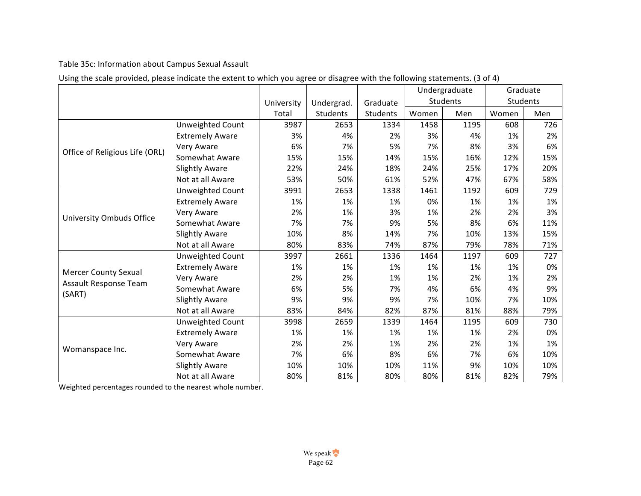Table 35c: Information about Campus Sexual Assault

|                                 |                         |            |            |          | Undergraduate<br>Graduate |          |       |          |
|---------------------------------|-------------------------|------------|------------|----------|---------------------------|----------|-------|----------|
|                                 |                         | University | Undergrad. | Graduate |                           | Students |       | Students |
|                                 |                         | Total      | Students   | Students | Women                     | Men      | Women | Men      |
|                                 | Unweighted Count        | 3987       | 2653       | 1334     | 1458                      | 1195     | 608   | 726      |
|                                 | <b>Extremely Aware</b>  | 3%         | 4%         | 2%       | 3%                        | 4%       | 1%    | 2%       |
| Office of Religious Life (ORL)  | Very Aware              | 6%         | 7%         | 5%       | 7%                        | 8%       | 3%    | 6%       |
|                                 | Somewhat Aware          | 15%        | 15%        | 14%      | 15%                       | 16%      | 12%   | 15%      |
|                                 | <b>Slightly Aware</b>   | 22%        | 24%        | 18%      | 24%                       | 25%      | 17%   | 20%      |
|                                 | Not at all Aware        | 53%        | 50%        | 61%      | 52%                       | 47%      | 67%   | 58%      |
|                                 | Unweighted Count        | 3991       | 2653       | 1338     | 1461                      | 1192     | 609   | 729      |
|                                 | <b>Extremely Aware</b>  | 1%         | 1%         | 1%       | 0%                        | 1%       | 1%    | 1%       |
|                                 | Very Aware              | 2%         | 1%         | 3%       | 1%                        | 2%       | 2%    | 3%       |
| <b>University Ombuds Office</b> | Somewhat Aware          | 7%         | 7%         | 9%       | 5%                        | 8%       | 6%    | 11%      |
|                                 | <b>Slightly Aware</b>   | 10%        | 8%         | 14%      | 7%                        | 10%      | 13%   | 15%      |
|                                 | Not at all Aware        | 80%        | 83%        | 74%      | 87%                       | 79%      | 78%   | 71%      |
|                                 | <b>Unweighted Count</b> | 3997       | 2661       | 1336     | 1464                      | 1197     | 609   | 727      |
| <b>Mercer County Sexual</b>     | <b>Extremely Aware</b>  | 1%         | 1%         | 1%       | 1%                        | 1%       | 1%    | 0%       |
|                                 | Very Aware              | 2%         | 2%         | 1%       | 1%                        | 2%       | 1%    | 2%       |
| Assault Response Team<br>(SART) | Somewhat Aware          | 6%         | 5%         | 7%       | 4%                        | 6%       | 4%    | 9%       |
|                                 | <b>Slightly Aware</b>   | 9%         | 9%         | 9%       | 7%                        | 10%      | 7%    | 10%      |
|                                 | Not at all Aware        | 83%        | 84%        | 82%      | 87%                       | 81%      | 88%   | 79%      |
|                                 | Unweighted Count        | 3998       | 2659       | 1339     | 1464                      | 1195     | 609   | 730      |
|                                 | <b>Extremely Aware</b>  | 1%         | 1%         | 1%       | 1%                        | 1%       | 2%    | 0%       |
| Womanspace Inc.                 | Very Aware              | 2%         | 2%         | 1%       | 2%                        | 2%       | 1%    | 1%       |
|                                 | Somewhat Aware          | 7%         | 6%         | 8%       | 6%                        | 7%       | 6%    | 10%      |
|                                 | <b>Slightly Aware</b>   | 10%        | 10%        | 10%      | 11%                       | 9%       | 10%   | 10%      |
|                                 | Not at all Aware        | 80%        | 81%        | 80%      | 80%                       | 81%      | 82%   | 79%      |

Using the scale provided, please indicate the extent to which you agree or disagree with the following statements. (3 of 4)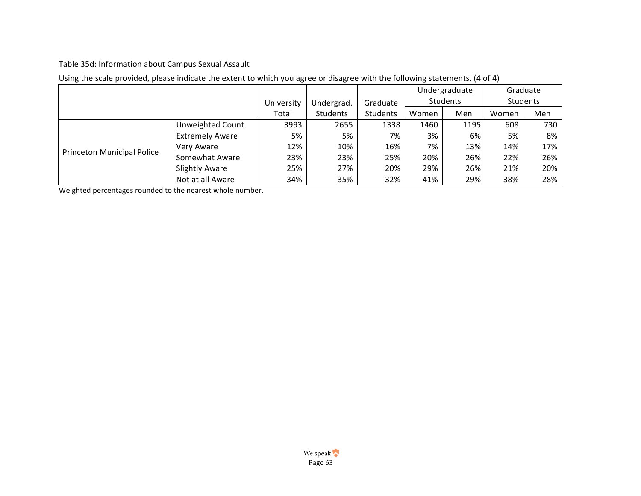## Table 35d: Information about Campus Sexual Assault

|                                   |                         |            |            |                 | Undergraduate |          | Graduate |     |
|-----------------------------------|-------------------------|------------|------------|-----------------|---------------|----------|----------|-----|
|                                   |                         | University | Undergrad. | Graduate        |               | Students | Students |     |
|                                   |                         | Total      | Students   | <b>Students</b> | Women         | Men      | Women    | Men |
|                                   | <b>Unweighted Count</b> | 3993       | 2655       | 1338            | 1460          | 1195     | 608      | 730 |
|                                   | <b>Extremely Aware</b>  | 5%         | 5%         | 7%              | 3%            | 6%       | 5%       | 8%  |
|                                   | Very Aware              | 12%        | 10%        | 16%             | 7%            | 13%      | 14%      | 17% |
| <b>Princeton Municipal Police</b> | Somewhat Aware          | 23%        | 23%        | 25%             | 20%           | 26%      | 22%      | 26% |
|                                   | <b>Slightly Aware</b>   | 25%        | 27%        | 20%             | 29%           | 26%      | 21%      | 20% |
|                                   | Not at all Aware        | 34%        | 35%        | 32%             | 41%           | 29%      | 38%      | 28% |

# Using the scale provided, please indicate the extent to which you agree or disagree with the following statements. (4 of 4)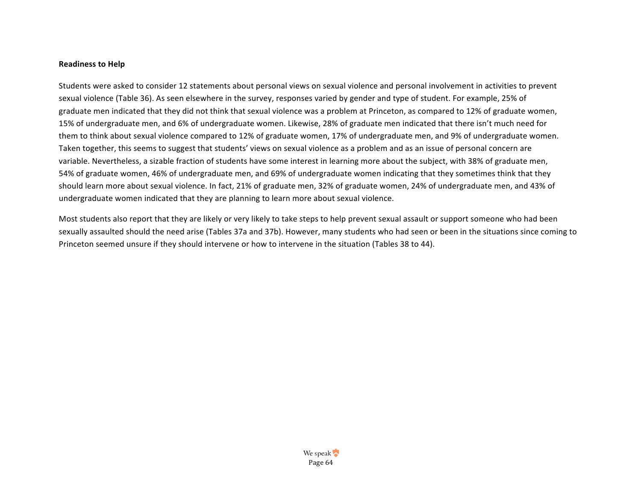#### **Readiness to Help**

Students were asked to consider 12 statements about personal views on sexual violence and personal involvement in activities to prevent sexual violence (Table 36). As seen elsewhere in the survey, responses varied by gender and type of student. For example, 25% of graduate men indicated that they did not think that sexual violence was a problem at Princeton, as compared to 12% of graduate women, 15% of undergraduate men, and 6% of undergraduate women. Likewise, 28% of graduate men indicated that there isn't much need for them to think about sexual violence compared to 12% of graduate women, 17% of undergraduate men, and 9% of undergraduate women. Taken together, this seems to suggest that students' views on sexual violence as a problem and as an issue of personal concern are variable. Nevertheless, a sizable fraction of students have some interest in learning more about the subject, with 38% of graduate men, 54% of graduate women, 46% of undergraduate men, and 69% of undergraduate women indicating that they sometimes think that they should learn more about sexual violence. In fact, 21% of graduate men, 32% of graduate women, 24% of undergraduate men, and 43% of undergraduate women indicated that they are planning to learn more about sexual violence.

Most students also report that they are likely or very likely to take steps to help prevent sexual assault or support someone who had been sexually assaulted should the need arise (Tables 37a and 37b). However, many students who had seen or been in the situations since coming to Princeton seemed unsure if they should intervene or how to intervene in the situation (Tables 38 to 44).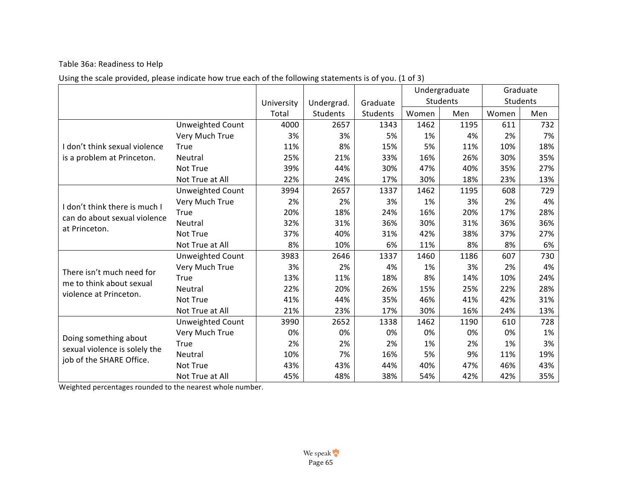# Table 36a: Readiness to Help

|  |  | Using the scale provided, please indicate how true each of the following statements is of you. (1 of 3) |  |
|--|--|---------------------------------------------------------------------------------------------------------|--|
|--|--|---------------------------------------------------------------------------------------------------------|--|

|                               |                         |            |                 |          |       | Undergraduate |       | Graduate |
|-------------------------------|-------------------------|------------|-----------------|----------|-------|---------------|-------|----------|
|                               |                         | University | Undergrad.      | Graduate |       | Students      |       | Students |
|                               |                         | Total      | <b>Students</b> | Students | Women | Men           | Women | Men      |
|                               | Unweighted Count        | 4000       | 2657            | 1343     | 1462  | 1195          | 611   | 732      |
|                               | Very Much True          | 3%         | 3%              | 5%       | 1%    | 4%            | 2%    | 7%       |
| don't think sexual violence   | True                    | 11%        | 8%              | 15%      | 5%    | 11%           | 10%   | 18%      |
| is a problem at Princeton.    | Neutral                 | 25%        | 21%             | 33%      | 16%   | 26%           | 30%   | 35%      |
|                               | Not True                | 39%        | 44%             | 30%      | 47%   | 40%           | 35%   | 27%      |
|                               | Not True at All         | 22%        | 24%             | 17%      | 30%   | 18%           | 23%   | 13%      |
|                               | Unweighted Count        | 3994       | 2657            | 1337     | 1462  | 1195          | 608   | 729      |
| don't think there is much I   | Very Much True          | 2%         | 2%              | 3%       | 1%    | 3%            | 2%    | 4%       |
| can do about sexual violence  | True                    | 20%        | 18%             | 24%      | 16%   | 20%           | 17%   | 28%      |
| at Princeton.                 | Neutral                 | 32%        | 31%             | 36%      | 30%   | 31%           | 36%   | 36%      |
|                               | Not True                | 37%        | 40%             | 31%      | 42%   | 38%           | 37%   | 27%      |
|                               | Not True at All         | 8%         | 10%             | 6%       | 11%   | 8%            | 8%    | 6%       |
|                               | <b>Unweighted Count</b> | 3983       | 2646            | 1337     | 1460  | 1186          | 607   | 730      |
| There isn't much need for     | Very Much True          | 3%         | 2%              | 4%       | 1%    | 3%            | 2%    | 4%       |
| me to think about sexual      | True                    | 13%        | 11%             | 18%      | 8%    | 14%           | 10%   | 24%      |
| violence at Princeton.        | Neutral                 | 22%        | 20%             | 26%      | 15%   | 25%           | 22%   | 28%      |
|                               | Not True                | 41%        | 44%             | 35%      | 46%   | 41%           | 42%   | 31%      |
|                               | Not True at All         | 21%        | 23%             | 17%      | 30%   | 16%           | 24%   | 13%      |
|                               | Unweighted Count        | 3990       | 2652            | 1338     | 1462  | 1190          | 610   | 728      |
| Doing something about         | Very Much True          | 0%         | 0%              | 0%       | 0%    | 0%            | 0%    | 1%       |
| sexual violence is solely the | True                    | 2%         | 2%              | 2%       | 1%    | 2%            | 1%    | 3%       |
| job of the SHARE Office.      | Neutral                 | 10%        | 7%              | 16%      | 5%    | 9%            | 11%   | 19%      |
|                               | Not True                | 43%        | 43%             | 44%      | 40%   | 47%           | 46%   | 43%      |
|                               | Not True at All         | 45%        | 48%             | 38%      | 54%   | 42%           | 42%   | 35%      |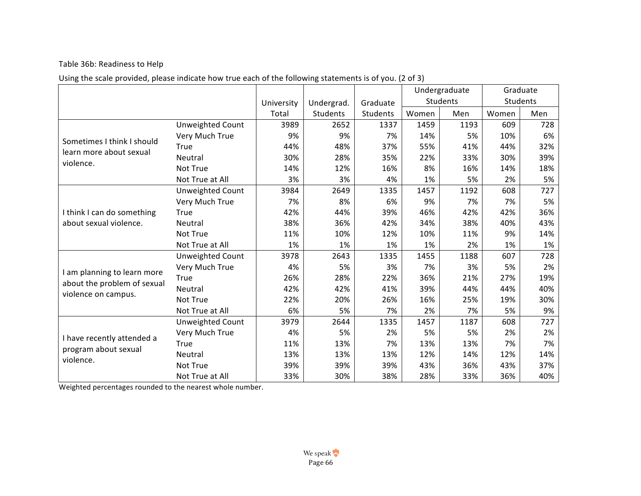# Table 36b: Readiness to Help

| Using the scale provided, please indicate how true each of the following statements is of you. (2 of 3) |  |
|---------------------------------------------------------------------------------------------------------|--|
|---------------------------------------------------------------------------------------------------------|--|

|                             |                         |            |            |                 | Undergraduate |          |       | Graduate |  |
|-----------------------------|-------------------------|------------|------------|-----------------|---------------|----------|-------|----------|--|
|                             |                         | University | Undergrad. | Graduate        |               | Students |       | Students |  |
|                             |                         | Total      | Students   | <b>Students</b> | Women         | Men      | Women | Men      |  |
|                             | Unweighted Count        | 3989       | 2652       | 1337            | 1459          | 1193     | 609   | 728      |  |
| Sometimes I think I should  | Very Much True          | 9%         | 9%         | 7%              | 14%           | 5%       | 10%   | 6%       |  |
| learn more about sexual     | <b>True</b>             | 44%        | 48%        | 37%             | 55%           | 41%      | 44%   | 32%      |  |
| violence.                   | Neutral                 | 30%        | 28%        | 35%             | 22%           | 33%      | 30%   | 39%      |  |
|                             | Not True                | 14%        | 12%        | 16%             | 8%            | 16%      | 14%   | 18%      |  |
|                             | Not True at All         | 3%         | 3%         | 4%              | 1%            | 5%       | 2%    | 5%       |  |
|                             | Unweighted Count        | 3984       | 2649       | 1335            | 1457          | 1192     | 608   | 727      |  |
|                             | Very Much True          | 7%         | 8%         | 6%              | 9%            | 7%       | 7%    | 5%       |  |
| I think I can do something  | True                    | 42%        | 44%        | 39%             | 46%           | 42%      | 42%   | 36%      |  |
| about sexual violence.      | Neutral                 | 38%        | 36%        | 42%             | 34%           | 38%      | 40%   | 43%      |  |
|                             | Not True                | 11%        | 10%        | 12%             | 10%           | 11%      | 9%    | 14%      |  |
|                             | Not True at All         | 1%         | 1%         | 1%              | 1%            | 2%       | 1%    | 1%       |  |
|                             | <b>Unweighted Count</b> | 3978       | 2643       | 1335            | 1455          | 1188     | 607   | 728      |  |
| I am planning to learn more | Very Much True          | 4%         | 5%         | 3%              | 7%            | 3%       | 5%    | 2%       |  |
| about the problem of sexual | True                    | 26%        | 28%        | 22%             | 36%           | 21%      | 27%   | 19%      |  |
| violence on campus.         | Neutral                 | 42%        | 42%        | 41%             | 39%           | 44%      | 44%   | 40%      |  |
|                             | Not True                | 22%        | 20%        | 26%             | 16%           | 25%      | 19%   | 30%      |  |
|                             | Not True at All         | 6%         | 5%         | 7%              | 2%            | 7%       | 5%    | 9%       |  |
|                             | Unweighted Count        | 3979       | 2644       | 1335            | 1457          | 1187     | 608   | 727      |  |
| I have recently attended a  | Very Much True          | 4%         | 5%         | 2%              | 5%            | 5%       | 2%    | 2%       |  |
| program about sexual        | <b>True</b>             | 11%        | 13%        | 7%              | 13%           | 13%      | 7%    | 7%       |  |
| violence.                   | Neutral                 | 13%        | 13%        | 13%             | 12%           | 14%      | 12%   | 14%      |  |
|                             | Not True                | 39%        | 39%        | 39%             | 43%           | 36%      | 43%   | 37%      |  |
|                             | Not True at All         | 33%        | 30%        | 38%             | 28%           | 33%      | 36%   | 40%      |  |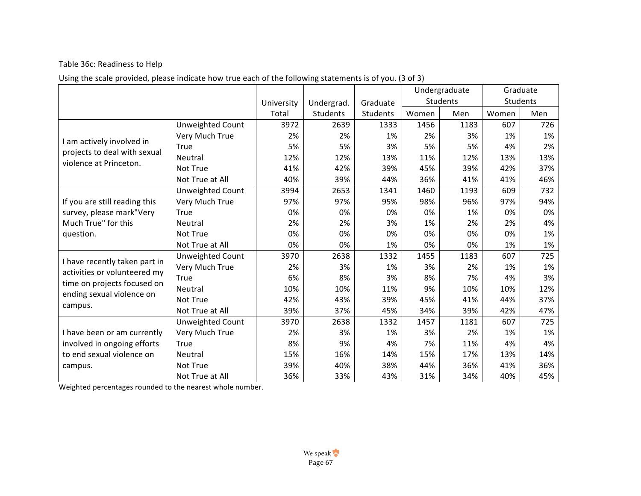## Table 36c: Readiness to Help

# Using the scale provided, please indicate how true each of the following statements is of you. (3 of 3)

|                                                          |                         |            |            |          |       | Undergraduate |       | Graduate |
|----------------------------------------------------------|-------------------------|------------|------------|----------|-------|---------------|-------|----------|
|                                                          |                         | University | Undergrad. | Graduate |       | Students      |       | Students |
|                                                          |                         | Total      | Students   | Students | Women | Men           | Women | Men      |
|                                                          | Unweighted Count        | 3972       | 2639       | 1333     | 1456  | 1183          | 607   | 726      |
|                                                          | Very Much True          | 2%         | 2%         | 1%       | 2%    | 3%            | 1%    | 1%       |
| I am actively involved in                                | True                    | 5%         | 5%         | 3%       | 5%    | 5%            | 4%    | 2%       |
| projects to deal with sexual                             | Neutral                 | 12%        | 12%        | 13%      | 11%   | 12%           | 13%   | 13%      |
| violence at Princeton.                                   | Not True                | 41%        | 42%        | 39%      | 45%   | 39%           | 42%   | 37%      |
|                                                          | Not True at All         | 40%        | 39%        | 44%      | 36%   | 41%           | 41%   | 46%      |
|                                                          | Unweighted Count        | 3994       | 2653       | 1341     | 1460  | 1193          | 609   | 732      |
| If you are still reading this                            | Very Much True          | 97%        | 97%        | 95%      | 98%   | 96%           | 97%   | 94%      |
| survey, please mark"Very                                 | True                    | 0%         | 0%         | 0%       | 0%    | 1%            | 0%    | 0%       |
| Much True" for this                                      | <b>Neutral</b>          | 2%         | 2%         | 3%       | 1%    | 2%            | 2%    | 4%       |
| question.                                                | Not True                | 0%         | 0%         | 0%       | 0%    | 0%            | 0%    | 1%       |
|                                                          | Not True at All         | 0%         | 0%         | 1%       | 0%    | 0%            | 1%    | 1%       |
| I have recently taken part in                            | <b>Unweighted Count</b> | 3970       | 2638       | 1332     | 1455  | 1183          | 607   | 725      |
| activities or volunteered my                             | Very Much True          | 2%         | 3%         | 1%       | 3%    | 2%            | 1%    | 1%       |
|                                                          | True                    | 6%         | 8%         | 3%       | 8%    | 7%            | 4%    | 3%       |
| time on projects focused on<br>ending sexual violence on | Neutral                 | 10%        | 10%        | 11%      | 9%    | 10%           | 10%   | 12%      |
|                                                          | Not True                | 42%        | 43%        | 39%      | 45%   | 41%           | 44%   | 37%      |
| campus.                                                  | Not True at All         | 39%        | 37%        | 45%      | 34%   | 39%           | 42%   | 47%      |
|                                                          | Unweighted Count        | 3970       | 2638       | 1332     | 1457  | 1181          | 607   | 725      |
| I have been or am currently                              | Very Much True          | 2%         | 3%         | 1%       | 3%    | 2%            | 1%    | 1%       |
| involved in ongoing efforts                              | True                    | 8%         | 9%         | 4%       | 7%    | 11%           | 4%    | 4%       |
| to end sexual violence on                                | Neutral                 | 15%        | 16%        | 14%      | 15%   | 17%           | 13%   | 14%      |
| campus.                                                  | Not True                | 39%        | 40%        | 38%      | 44%   | 36%           | 41%   | 36%      |
|                                                          | Not True at All         | 36%        | 33%        | 43%      | 31%   | 34%           | 40%   | 45%      |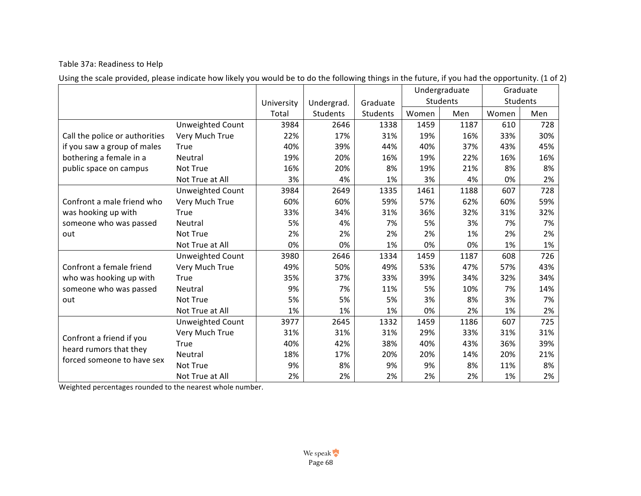## Table 37a: Readiness to Help

Using the scale provided, please indicate how likely you would be to do the following things in the future, if you had the opportunity. (1 of 2)

|                                |                         |            |            |          |       | Undergraduate |       | Graduate |  |
|--------------------------------|-------------------------|------------|------------|----------|-------|---------------|-------|----------|--|
|                                |                         | University | Undergrad. | Graduate |       | Students      |       | Students |  |
|                                |                         | Total      | Students   | Students | Women | Men           | Women | Men      |  |
|                                | Unweighted Count        | 3984       | 2646       | 1338     | 1459  | 1187          | 610   | 728      |  |
| Call the police or authorities | Very Much True          | 22%        | 17%        | 31%      | 19%   | 16%           | 33%   | 30%      |  |
| if you saw a group of males    | True                    | 40%        | 39%        | 44%      | 40%   | 37%           | 43%   | 45%      |  |
| bothering a female in a        | Neutral                 | 19%        | 20%        | 16%      | 19%   | 22%           | 16%   | 16%      |  |
| public space on campus         | Not True                | 16%        | 20%        | 8%       | 19%   | 21%           | 8%    | 8%       |  |
|                                | Not True at All         | 3%         | 4%         | 1%       | 3%    | 4%            | 0%    | 2%       |  |
|                                | Unweighted Count        | 3984       | 2649       | 1335     | 1461  | 1188          | 607   | 728      |  |
| Confront a male friend who     | Very Much True          | 60%        | 60%        | 59%      | 57%   | 62%           | 60%   | 59%      |  |
| was hooking up with            | True                    | 33%        | 34%        | 31%      | 36%   | 32%           | 31%   | 32%      |  |
| someone who was passed         | Neutral                 | 5%         | 4%         | 7%       | 5%    | 3%            | 7%    | 7%       |  |
| out                            | Not True                | 2%         | 2%         | 2%       | 2%    | 1%            | 2%    | 2%       |  |
|                                | Not True at All         | 0%         | 0%         | 1%       | 0%    | 0%            | 1%    | 1%       |  |
|                                | <b>Unweighted Count</b> | 3980       | 2646       | 1334     | 1459  | 1187          | 608   | 726      |  |
| Confront a female friend       | Very Much True          | 49%        | 50%        | 49%      | 53%   | 47%           | 57%   | 43%      |  |
| who was hooking up with        | True                    | 35%        | 37%        | 33%      | 39%   | 34%           | 32%   | 34%      |  |
| someone who was passed         | Neutral                 | 9%         | 7%         | 11%      | 5%    | 10%           | 7%    | 14%      |  |
| out                            | Not True                | 5%         | 5%         | 5%       | 3%    | 8%            | 3%    | 7%       |  |
|                                | Not True at All         | 1%         | 1%         | 1%       | 0%    | 2%            | 1%    | 2%       |  |
|                                | Unweighted Count        | 3977       | 2645       | 1332     | 1459  | 1186          | 607   | 725      |  |
| Confront a friend if you       | Very Much True          | 31%        | 31%        | 31%      | 29%   | 33%           | 31%   | 31%      |  |
| heard rumors that they         | True                    | 40%        | 42%        | 38%      | 40%   | 43%           | 36%   | 39%      |  |
| forced someone to have sex     | Neutral                 | 18%        | 17%        | 20%      | 20%   | 14%           | 20%   | 21%      |  |
|                                | Not True                | 9%         | 8%         | 9%       | 9%    | 8%            | 11%   | 8%       |  |
|                                | Not True at All         | 2%         | 2%         | 2%       | 2%    | 2%            | 1%    | 2%       |  |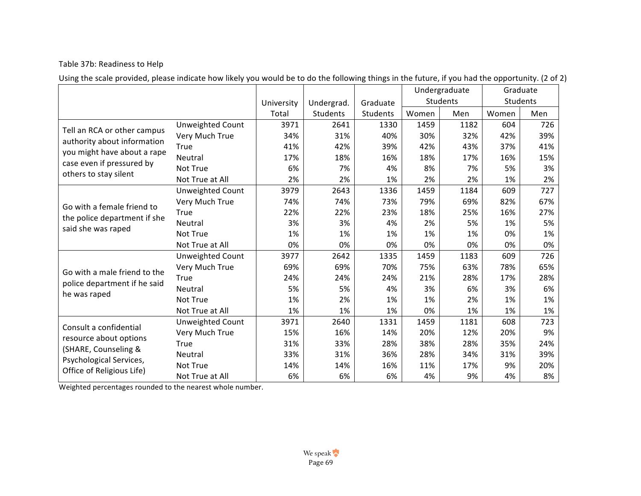## Table 37b: Readiness to Help

Using the scale provided, please indicate how likely you would be to do the following things in the future, if you had the opportunity. (2 of 2)

|                                                                                                                                                 |                         |            |            |          |       | Undergraduate |       | Graduate |
|-------------------------------------------------------------------------------------------------------------------------------------------------|-------------------------|------------|------------|----------|-------|---------------|-------|----------|
|                                                                                                                                                 |                         | University | Undergrad. | Graduate |       | Students      |       | Students |
|                                                                                                                                                 |                         | Total      | Students   | Students | Women | Men           | Women | Men      |
|                                                                                                                                                 | Unweighted Count        | 3971       | 2641       | 1330     | 1459  | 1182          | 604   | 726      |
| Tell an RCA or other campus<br>authority about information<br>you might have about a rape<br>case even if pressured by<br>others to stay silent | Very Much True          | 34%        | 31%        | 40%      | 30%   | 32%           | 42%   | 39%      |
|                                                                                                                                                 | True                    | 41%        | 42%        | 39%      | 42%   | 43%           | 37%   | 41%      |
|                                                                                                                                                 | Neutral                 | 17%        | 18%        | 16%      | 18%   | 17%           | 16%   | 15%      |
|                                                                                                                                                 | Not True                | 6%         | 7%         | 4%       | 8%    | 7%            | 5%    | 3%       |
|                                                                                                                                                 | Not True at All         | 2%         | 2%         | 1%       | 2%    | 2%            | 1%    | 2%       |
|                                                                                                                                                 | <b>Unweighted Count</b> | 3979       | 2643       | 1336     | 1459  | 1184          | 609   | 727      |
| Go with a female friend to                                                                                                                      | Very Much True          | 74%        | 74%        | 73%      | 79%   | 69%           | 82%   | 67%      |
|                                                                                                                                                 | True                    | 22%        | 22%        | 23%      | 18%   | 25%           | 16%   | 27%      |
| the police department if she<br>said she was raped                                                                                              | Neutral                 | 3%         | 3%         | 4%       | 2%    | 5%            | 1%    | 5%       |
|                                                                                                                                                 | Not True                | 1%         | 1%         | 1%       | 1%    | 1%            | 0%    | 1%       |
|                                                                                                                                                 | Not True at All         | 0%         | 0%         | 0%       | 0%    | 0%            | 0%    | 0%       |
|                                                                                                                                                 | Unweighted Count        | 3977       | 2642       | 1335     | 1459  | 1183          | 609   | 726      |
| Go with a male friend to the                                                                                                                    | Very Much True          | 69%        | 69%        | 70%      | 75%   | 63%           | 78%   | 65%      |
| police department if he said                                                                                                                    | True                    | 24%        | 24%        | 24%      | 21%   | 28%           | 17%   | 28%      |
| he was raped                                                                                                                                    | Neutral                 | 5%         | 5%         | 4%       | 3%    | 6%            | 3%    | 6%       |
|                                                                                                                                                 | Not True                | 1%         | 2%         | 1%       | 1%    | 2%            | 1%    | 1%       |
|                                                                                                                                                 | Not True at All         | 1%         | 1%         | 1%       | 0%    | 1%            | 1%    | 1%       |
| Consult a confidential                                                                                                                          | Unweighted Count        | 3971       | 2640       | 1331     | 1459  | 1181          | 608   | 723      |
| resource about options                                                                                                                          | Very Much True          | 15%        | 16%        | 14%      | 20%   | 12%           | 20%   | 9%       |
|                                                                                                                                                 | True                    | 31%        | 33%        | 28%      | 38%   | 28%           | 35%   | 24%      |
| (SHARE, Counseling &                                                                                                                            | Neutral                 | 33%        | 31%        | 36%      | 28%   | 34%           | 31%   | 39%      |
| Psychological Services,<br>Office of Religious Life)                                                                                            | Not True                | 14%        | 14%        | 16%      | 11%   | 17%           | 9%    | 20%      |
|                                                                                                                                                 | Not True at All         | 6%         | 6%         | 6%       | 4%    | 9%            | 4%    | 8%       |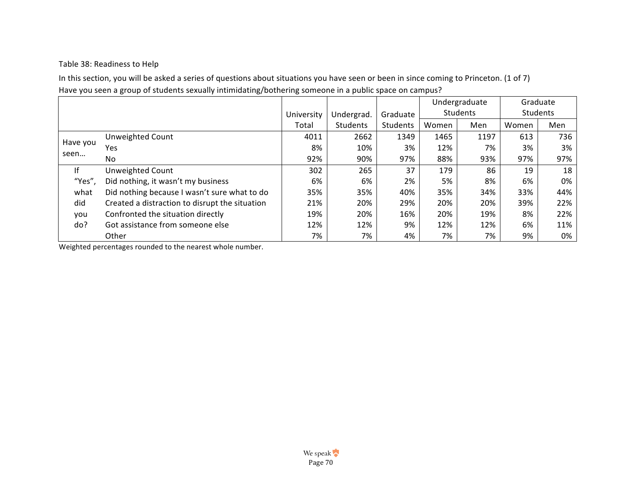## Table 38: Readiness to Help

In this section, you will be asked a series of questions about situations you have seen or been in since coming to Princeton. (1 of 7) Have you seen a group of students sexually intimidating/bothering someone in a public space on campus?

|          |                                                |            |            |          |       | Undergraduate |       | Graduate |
|----------|------------------------------------------------|------------|------------|----------|-------|---------------|-------|----------|
|          |                                                | University | Undergrad. | Graduate |       | Students      |       | Students |
|          |                                                | Total      | Students   | Students | Women | Men           | Women | Men      |
|          | Unweighted Count                               | 4011       | 2662       | 1349     | 1465  | 1197          | 613   | 736      |
| Have you | Yes                                            | 8%         | 10%        | 3%       | 12%   | 7%            | 3%    | 3%       |
| seen     | No.                                            | 92%        | 90%        | 97%      | 88%   | 93%           | 97%   | 97%      |
| f        | Unweighted Count                               | 302        | 265        | 37       | 179   | 86            | 19    | 18       |
| "Yes",   | Did nothing, it wasn't my business             | 6%         | 6%         | 2%       | 5%    | 8%            | 6%    | 0%       |
| what     | Did nothing because I wasn't sure what to do   | 35%        | 35%        | 40%      | 35%   | 34%           | 33%   | 44%      |
| did      | Created a distraction to disrupt the situation | 21%        | 20%        | 29%      | 20%   | 20%           | 39%   | 22%      |
| you      | Confronted the situation directly              | 19%        | 20%        | 16%      | 20%   | 19%           | 8%    | 22%      |
| do?      | Got assistance from someone else               | 12%        | 12%        | 9%       | 12%   | 12%           | 6%    | 11%      |
|          | Other                                          | 7%         | 7%         | 4%       | 7%    | 7%            | 9%    | 0%       |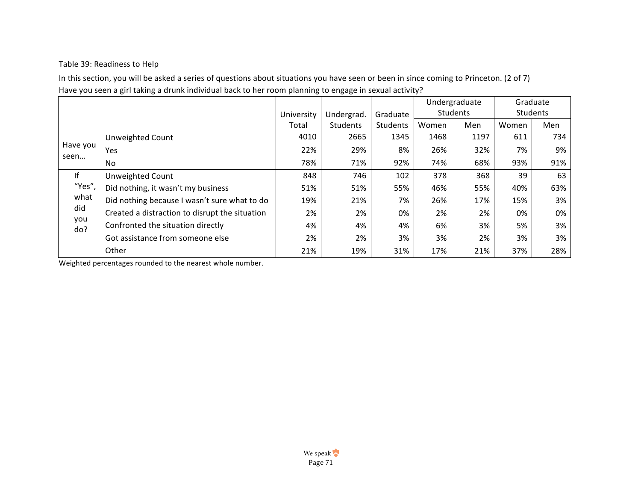## Table 39: Readiness to Help

In this section, you will be asked a series of questions about situations you have seen or been in since coming to Princeton. (2 of 7) Have you seen a girl taking a drunk individual back to her room planning to engage in sexual activity?

|                                           |                                                |            |            |          | Undergraduate |      | Graduate        |     |
|-------------------------------------------|------------------------------------------------|------------|------------|----------|---------------|------|-----------------|-----|
|                                           |                                                | University | Undergrad. | Graduate | Students      |      | <b>Students</b> |     |
|                                           |                                                | Total      | Students   | Students | Women         | Men  | Women           | Men |
| Have you<br>seen                          | Unweighted Count                               | 4010       | 2665       | 1345     | 1468          | 1197 | 611             | 734 |
|                                           | Yes                                            | 22%        | 29%        | 8%       | 26%           | 32%  | 7%              | 9%  |
|                                           | No.                                            | 78%        | 71%        | 92%      | 74%           | 68%  | 93%             | 91% |
| lf<br>"Yes",<br>what<br>did<br>you<br>do? | <b>Unweighted Count</b>                        | 848        | 746        | 102      | 378           | 368  | 39              | 63  |
|                                           | Did nothing, it wasn't my business             | 51%        | 51%        | 55%      | 46%           | 55%  | 40%             | 63% |
|                                           | Did nothing because I wasn't sure what to do   | 19%        | 21%        | 7%       | 26%           | 17%  | 15%             | 3%  |
|                                           | Created a distraction to disrupt the situation | 2%         | 2%         | 0%       | 2%            | 2%   | 0%              | 0%  |
|                                           | Confronted the situation directly              | 4%         | 4%         | 4%       | 6%            | 3%   | 5%              | 3%  |
|                                           | Got assistance from someone else               | 2%         | 2%         | 3%       | 3%            | 2%   | 3%              | 3%  |
|                                           | Other                                          | 21%        | 19%        | 31%      | 17%           | 21%  | 37%             | 28% |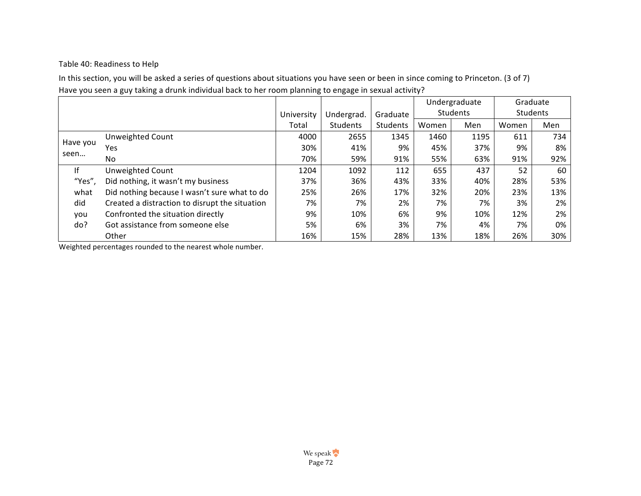# Table 40: Readiness to Help

In this section, you will be asked a series of questions about situations you have seen or been in since coming to Princeton. (3 of 7) Have you seen a guy taking a drunk individual back to her room planning to engage in sexual activity?

|          |                                                |            |            |          | Undergraduate |          | Graduate |     |
|----------|------------------------------------------------|------------|------------|----------|---------------|----------|----------|-----|
|          |                                                | University | Undergrad. | Graduate |               | Students | Students |     |
|          |                                                | Total      | Students   | Students | Women         | Men      | Women    | Men |
|          | <b>Unweighted Count</b>                        | 4000       | 2655       | 1345     | 1460          | 1195     | 611      | 734 |
| Have you | Yes                                            | 30%        | 41%        | 9%       | 45%           | 37%      | 9%       | 8%  |
| seen     | No.                                            | 70%        | 59%        | 91%      | 55%           | 63%      | 91%      | 92% |
| lf       | Unweighted Count                               | 1204       | 1092       | 112      | 655           | 437      | 52       | 60  |
| "Yes",   | Did nothing, it wasn't my business             | 37%        | 36%        | 43%      | 33%           | 40%      | 28%      | 53% |
| what     | Did nothing because I wasn't sure what to do   | 25%        | 26%        | 17%      | 32%           | 20%      | 23%      | 13% |
| did      | Created a distraction to disrupt the situation | 7%         | 7%         | 2%       | 7%            | 7%       | 3%       | 2%  |
| you      | Confronted the situation directly              | 9%         | 10%        | 6%       | 9%            | 10%      | 12%      | 2%  |
| do?      | Got assistance from someone else               | 5%         | 6%         | 3%       | 7%            | 4%       | 7%       | 0%  |
|          | Other                                          | 16%        | 15%        | 28%      | 13%           | 18%      | 26%      | 30% |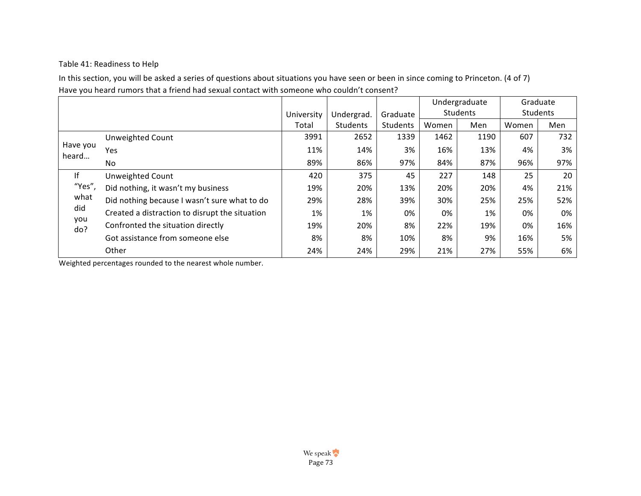# Table 41: Readiness to Help

In this section, you will be asked a series of questions about situations you have seen or been in since coming to Princeton. (4 of 7) Have you heard rumors that a friend had sexual contact with someone who couldn't consent?

|                   |                                                |            |            |          | Undergraduate |          | Graduate |     |
|-------------------|------------------------------------------------|------------|------------|----------|---------------|----------|----------|-----|
|                   |                                                | University | Undergrad. | Graduate |               | Students | Students |     |
|                   |                                                | Total      | Students   | Students | Women         | Men      | Women    | Men |
|                   | Unweighted Count                               | 3991       | 2652       | 1339     | 1462          | 1190     | 607      | 732 |
| Have you<br>heard | Yes                                            | 11%        | 14%        | 3%       | 16%           | 13%      | 4%       | 3%  |
|                   | No                                             | 89%        | 86%        | 97%      | 84%           | 87%      | 96%      | 97% |
| lf                | <b>Unweighted Count</b>                        | 420        | 375        | 45       | 227           | 148      | 25       | 20  |
| "Yes",            | Did nothing, it wasn't my business             | 19%        | 20%        | 13%      | 20%           | 20%      | 4%       | 21% |
| what              | Did nothing because I wasn't sure what to do   | 29%        | 28%        | 39%      | 30%           | 25%      | 25%      | 52% |
| did               | Created a distraction to disrupt the situation | 1%         | 1%         | 0%       | 0%            | 1%       | 0%       | 0%  |
| you<br>do?        | Confronted the situation directly              | 19%        | 20%        | 8%       | 22%           | 19%      | 0%       | 16% |
|                   | Got assistance from someone else               | 8%         | 8%         | 10%      | 8%            | 9%       | 16%      | 5%  |
|                   | Other                                          | 24%        | 24%        | 29%      | 21%           | 27%      | 55%      | 6%  |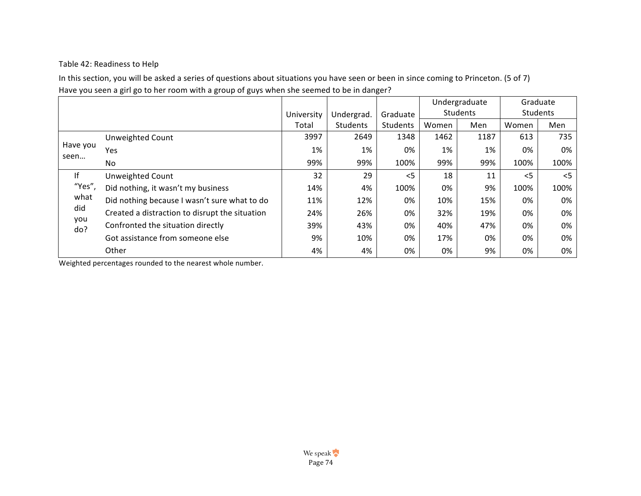# Table 42: Readiness to Help

In this section, you will be asked a series of questions about situations you have seen or been in since coming to Princeton. (5 of 7) Have you seen a girl go to her room with a group of guys when she seemed to be in danger?

|            |                                                |            |            |          | Undergraduate |          | Graduate |       |
|------------|------------------------------------------------|------------|------------|----------|---------------|----------|----------|-------|
|            |                                                | University | Undergrad. | Graduate |               | Students | Students |       |
|            |                                                | Total      | Students   | Students | Women         | Men      | Women    | Men   |
|            | Unweighted Count                               | 3997       | 2649       | 1348     | 1462          | 1187     | 613      | 735   |
| Have you   | Yes                                            | 1%         | 1%         | 0%       | 1%            | 1%       | 0%       | 0%    |
| seen       | No                                             | 99%        | 99%        | 100%     | 99%           | 99%      | 100%     | 100%  |
| lf         | Unweighted Count                               | 32         | 29         | $\leq$   | 18            | 11       | $<$ 5    | $<$ 5 |
| "Yes",     | Did nothing, it wasn't my business             | 14%        | 4%         | 100%     | 0%            | 9%       | 100%     | 100%  |
| what       | Did nothing because I wasn't sure what to do   | 11%        | 12%        | 0%       | 10%           | 15%      | 0%       | 0%    |
| did        | Created a distraction to disrupt the situation | 24%        | 26%        | 0%       | 32%           | 19%      | 0%       | 0%    |
| you<br>do? | Confronted the situation directly              | 39%        | 43%        | 0%       | 40%           | 47%      | 0%       | 0%    |
|            | Got assistance from someone else               | 9%         | 10%        | 0%       | 17%           | 0%       | 0%       | 0%    |
|            | Other                                          | 4%         | 4%         | 0%       | 0%            | 9%       | 0%       | 0%    |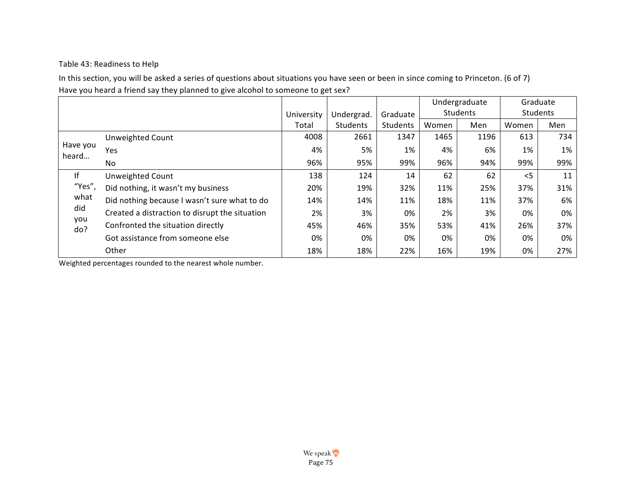# Table 43: Readiness to Help

In this section, you will be asked a series of questions about situations you have seen or been in since coming to Princeton. (6 of 7) Have you heard a friend say they planned to give alcohol to someone to get sex?

|            |                                                |            |            |          | Undergraduate |          | Graduate |     |
|------------|------------------------------------------------|------------|------------|----------|---------------|----------|----------|-----|
|            |                                                | University | Undergrad. | Graduate |               | Students | Students |     |
|            |                                                | Total      | Students   | Students | Women         | Men      | Women    | Men |
|            | Unweighted Count                               | 4008       | 2661       | 1347     | 1465          | 1196     | 613      | 734 |
| Have you   | Yes                                            | 4%         | 5%         | 1%       | 4%            | 6%       | 1%       | 1%  |
| heard      | No                                             | 96%        | 95%        | 99%      | 96%           | 94%      | 99%      | 99% |
| lf         | <b>Unweighted Count</b>                        | 138        | 124        | 14       | 62            | 62       | $<$ 5    | 11  |
| "Yes",     | Did nothing, it wasn't my business             | 20%        | 19%        | 32%      | 11%           | 25%      | 37%      | 31% |
| what       | Did nothing because I wasn't sure what to do   | 14%        | 14%        | 11%      | 18%           | 11%      | 37%      | 6%  |
| did        | Created a distraction to disrupt the situation | 2%         | 3%         | 0%       | 2%            | 3%       | 0%       | 0%  |
| you<br>do? | Confronted the situation directly              | 45%        | 46%        | 35%      | 53%           | 41%      | 26%      | 37% |
|            | Got assistance from someone else               | 0%         | 0%         | 0%       | 0%            | 0%       | 0%       | 0%  |
|            | Other                                          | 18%        | 18%        | 22%      | 16%           | 19%      | 0%       | 27% |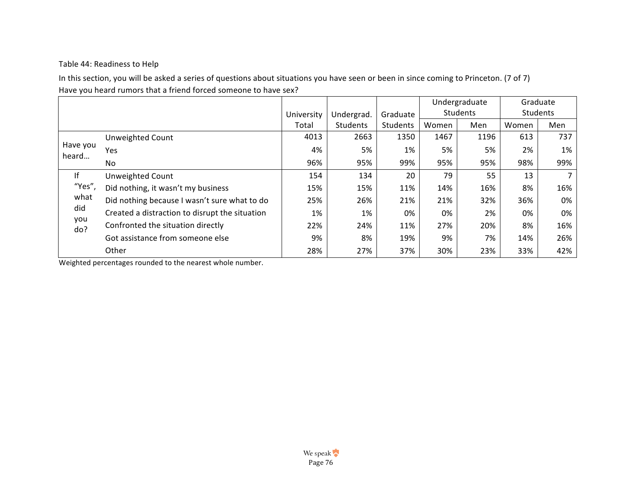# Table 44: Readiness to Help

In this section, you will be asked a series of questions about situations you have seen or been in since coming to Princeton. (7 of 7) Have you heard rumors that a friend forced someone to have sex?

|                   |                                                |            |            |          | Undergraduate |          | Graduate |     |
|-------------------|------------------------------------------------|------------|------------|----------|---------------|----------|----------|-----|
|                   |                                                | University | Undergrad. | Graduate |               | Students | Students |     |
|                   |                                                | Total      | Students   | Students | Women         | Men      | Women    | Men |
|                   | Unweighted Count                               | 4013       | 2663       | 1350     | 1467          | 1196     | 613      | 737 |
| Have you<br>heard | Yes                                            | 4%         | 5%         | 1%       | 5%            | 5%       | 2%       | 1%  |
|                   | No                                             | 96%        | 95%        | 99%      | 95%           | 95%      | 98%      | 99% |
| lf                | <b>Unweighted Count</b>                        | 154        | 134        | 20       | 79            | 55       | 13       |     |
| "Yes",            | Did nothing, it wasn't my business             | 15%        | 15%        | 11%      | 14%           | 16%      | 8%       | 16% |
| what              | Did nothing because I wasn't sure what to do   | 25%        | 26%        | 21%      | 21%           | 32%      | 36%      | 0%  |
| did               | Created a distraction to disrupt the situation | 1%         | 1%         | 0%       | 0%            | 2%       | 0%       | 0%  |
| you<br>do?        | Confronted the situation directly              | 22%        | 24%        | 11%      | 27%           | 20%      | 8%       | 16% |
|                   | Got assistance from someone else               | 9%         | 8%         | 19%      | 9%            | 7%       | 14%      | 26% |
|                   | Other                                          | 28%        | 27%        | 37%      | 30%           | 23%      | 33%      | 42% |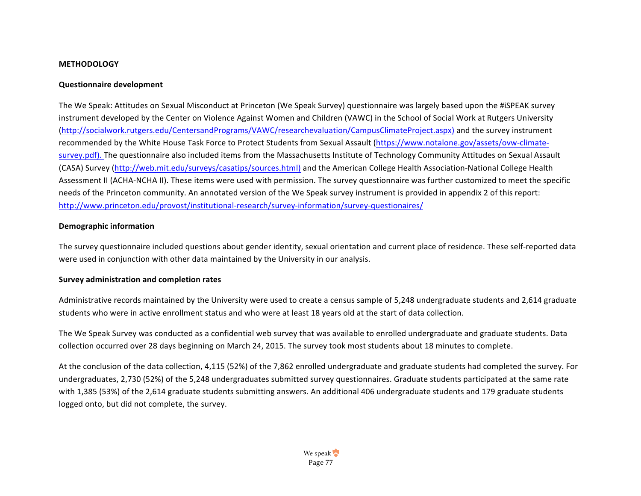#### **METHODOLOGY**

#### **Questionnaire development**

The We Speak: Attitudes on Sexual Misconduct at Princeton (We Speak Survey) questionnaire was largely based upon the #iSPEAK survey instrument developed by the Center on Violence Against Women and Children (VAWC) in the School of Social Work at Rutgers University (http://socialwork.rutgers.edu/CentersandPrograms/VAWC/researchevaluation/CampusClimateProject.aspx) and the survey instrument recommended by the White House Task Force to Protect Students from Sexual Assault (https://www.notalone.gov/assets/ovw-climatesurvey.pdf). The questionnaire also included items from the Massachusetts Institute of Technology Community Attitudes on Sexual Assault (CASA) Survey (http://web.mit.edu/surveys/casatips/sources.html) and the American College Health Association-National College Health Assessment II (ACHA-NCHA II). These items were used with permission. The survey questionnaire was further customized to meet the specific needs of the Princeton community. An annotated version of the We Speak survey instrument is provided in appendix 2 of this report: http://www.princeton.edu/provost/institutional-research/survey-information/survey-questionaires/

#### **Demographic information**

The survey questionnaire included questions about gender identity, sexual orientation and current place of residence. These self-reported data were used in conjunction with other data maintained by the University in our analysis.

#### **Survey administration and completion rates**

Administrative records maintained by the University were used to create a census sample of 5,248 undergraduate students and 2,614 graduate students who were in active enrollment status and who were at least 18 years old at the start of data collection.

The We Speak Survey was conducted as a confidential web survey that was available to enrolled undergraduate and graduate students. Data collection occurred over 28 days beginning on March 24, 2015. The survey took most students about 18 minutes to complete.

At the conclusion of the data collection, 4,115 (52%) of the 7,862 enrolled undergraduate and graduate students had completed the survey. For undergraduates, 2,730 (52%) of the 5,248 undergraduates submitted survey questionnaires. Graduate students participated at the same rate with 1,385 (53%) of the 2,614 graduate students submitting answers. An additional 406 undergraduate students and 179 graduate students logged onto, but did not complete, the survey.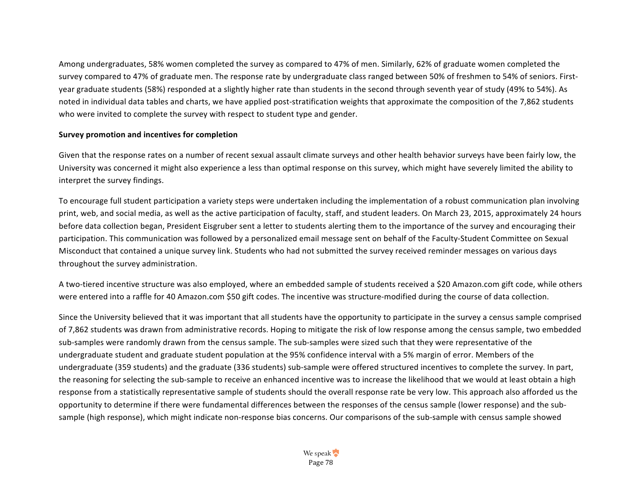Among undergraduates, 58% women completed the survey as compared to 47% of men. Similarly, 62% of graduate women completed the survey compared to 47% of graduate men. The response rate by undergraduate class ranged between 50% of freshmen to 54% of seniors. Firstyear graduate students (58%) responded at a slightly higher rate than students in the second through seventh year of study (49% to 54%). As noted in individual data tables and charts, we have applied post-stratification weights that approximate the composition of the 7,862 students who were invited to complete the survey with respect to student type and gender.

#### **Survey promotion and incentives for completion**

Given that the response rates on a number of recent sexual assault climate surveys and other health behavior surveys have been fairly low, the University was concerned it might also experience a less than optimal response on this survey, which might have severely limited the ability to interpret the survey findings.

To encourage full student participation a variety steps were undertaken including the implementation of a robust communication plan involving print, web, and social media, as well as the active participation of faculty, staff, and student leaders. On March 23, 2015, approximately 24 hours before data collection began, President Eisgruber sent a letter to students alerting them to the importance of the survey and encouraging their participation. This communication was followed by a personalized email message sent on behalf of the Faculty-Student Committee on Sexual Misconduct that contained a unique survey link. Students who had not submitted the survey received reminder messages on various days throughout the survey administration.

A two-tiered incentive structure was also employed, where an embedded sample of students received a \$20 Amazon.com gift code, while others were entered into a raffle for 40 Amazon.com \$50 gift codes. The incentive was structure-modified during the course of data collection.

Since the University believed that it was important that all students have the opportunity to participate in the survey a census sample comprised of 7,862 students was drawn from administrative records. Hoping to mitigate the risk of low response among the census sample, two embedded sub-samples were randomly drawn from the census sample. The sub-samples were sized such that they were representative of the undergraduate student and graduate student population at the 95% confidence interval with a 5% margin of error. Members of the undergraduate (359 students) and the graduate (336 students) sub-sample were offered structured incentives to complete the survey. In part, the reasoning for selecting the sub-sample to receive an enhanced incentive was to increase the likelihood that we would at least obtain a high response from a statistically representative sample of students should the overall response rate be very low. This approach also afforded us the opportunity to determine if there were fundamental differences between the responses of the census sample (lower response) and the subsample (high response), which might indicate non-response bias concerns. Our comparisons of the sub-sample with census sample showed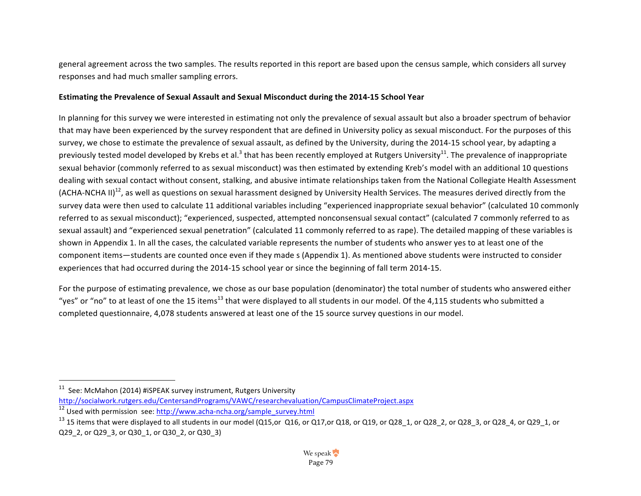general agreement across the two samples. The results reported in this report are based upon the census sample, which considers all survey responses and had much smaller sampling errors.

#### **Estimating the Prevalence of Sexual Assault and Sexual Misconduct during the 2014-15 School Year**

In planning for this survey we were interested in estimating not only the prevalence of sexual assault but also a broader spectrum of behavior that may have been experienced by the survey respondent that are defined in University policy as sexual misconduct. For the purposes of this survey, we chose to estimate the prevalence of sexual assault, as defined by the University, during the 2014-15 school year, by adapting a previously tested model developed by Krebs et al.<sup>3</sup> that has been recently employed at Rutgers University<sup>11</sup>. The prevalence of inappropriate sexual behavior (commonly referred to as sexual misconduct) was then estimated by extending Kreb's model with an additional 10 questions dealing with sexual contact without consent, stalking, and abusive intimate relationships taken from the National Collegiate Health Assessment (ACHA-NCHA II)<sup>12</sup>, as well as questions on sexual harassment designed by University Health Services. The measures derived directly from the survey data were then used to calculate 11 additional variables including "experienced inappropriate sexual behavior" (calculated 10 commonly referred to as sexual misconduct); "experienced, suspected, attempted nonconsensual sexual contact" (calculated 7 commonly referred to as sexual assault) and "experienced sexual penetration" (calculated 11 commonly referred to as rape). The detailed mapping of these variables is shown in Appendix 1. In all the cases, the calculated variable represents the number of students who answer yes to at least one of the component items—students are counted once even if they made s (Appendix 1). As mentioned above students were instructed to consider experiences that had occurred during the 2014-15 school year or since the beginning of fall term 2014-15.

For the purpose of estimating prevalence, we chose as our base population (denominator) the total number of students who answered either "yes" or "no" to at least of one the 15 items<sup>13</sup> that were displayed to all students in our model. Of the 4,115 students who submitted a completed questionnaire, 4,078 students answered at least one of the 15 source survey questions in our model.

 $11$  See: McMahon (2014) #iSPEAK survey instrument, Rutgers University

http://socialwork.rutgers.edu/CentersandPrograms/VAWC/researchevaluation/CampusClimateProject.aspx

 $12$  Used with permission see: http://www.acha-ncha.org/sample\_survey.html

 $^{13}$  15 items that were displayed to all students in our model (Q15,or Q16, or Q17,or Q18, or Q19, or Q28\_1, or Q28\_2, or Q28\_3, or Q28\_4, or Q29\_1, or Q29 2, or Q29 3, or Q30 1, or Q30 2, or Q30 3)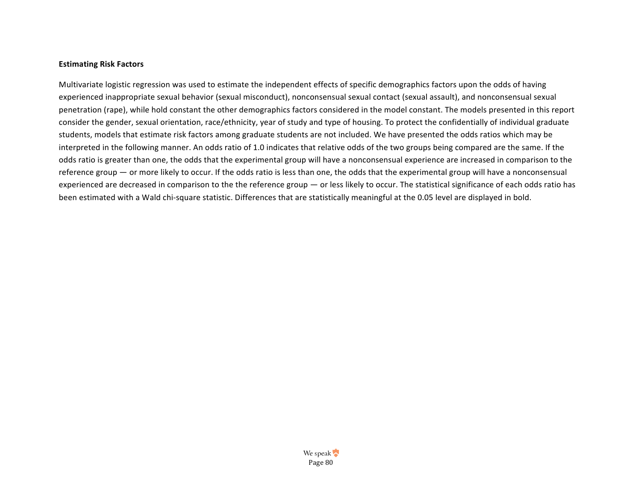#### **Estimating Risk Factors**

Multivariate logistic regression was used to estimate the independent effects of specific demographics factors upon the odds of having experienced inappropriate sexual behavior (sexual misconduct), nonconsensual sexual contact (sexual assault), and nonconsensual sexual penetration (rape), while hold constant the other demographics factors considered in the model constant. The models presented in this report consider the gender, sexual orientation, race/ethnicity, year of study and type of housing. To protect the confidentially of individual graduate students, models that estimate risk factors among graduate students are not included. We have presented the odds ratios which may be interpreted in the following manner. An odds ratio of 1.0 indicates that relative odds of the two groups being compared are the same. If the odds ratio is greater than one, the odds that the experimental group will have a nonconsensual experience are increased in comparison to the reference group — or more likely to occur. If the odds ratio is less than one, the odds that the experimental group will have a nonconsensual experienced are decreased in comparison to the the reference group — or less likely to occur. The statistical significance of each odds ratio has been estimated with a Wald chi-square statistic. Differences that are statistically meaningful at the 0.05 level are displayed in bold.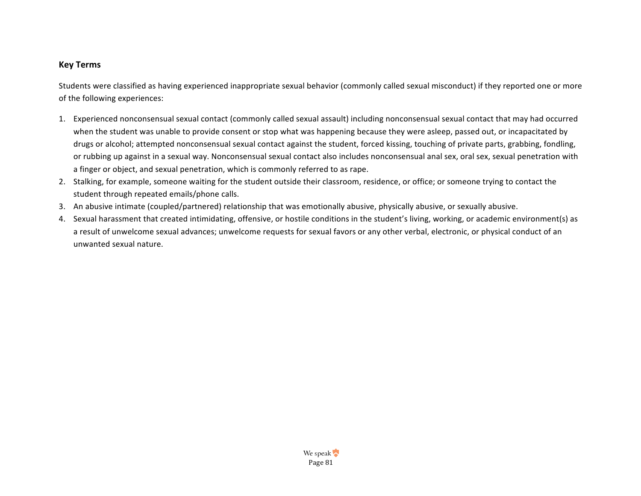# **Key Terms**

Students were classified as having experienced inappropriate sexual behavior (commonly called sexual misconduct) if they reported one or more of the following experiences:

- 1. Experienced nonconsensual sexual contact (commonly called sexual assault) including nonconsensual sexual contact that may had occurred when the student was unable to provide consent or stop what was happening because they were asleep, passed out, or incapacitated by drugs or alcohol; attempted nonconsensual sexual contact against the student, forced kissing, touching of private parts, grabbing, fondling, or rubbing up against in a sexual way. Nonconsensual sexual contact also includes nonconsensual anal sex, oral sex, sexual penetration with a finger or object, and sexual penetration, which is commonly referred to as rape.
- 2. Stalking, for example, someone waiting for the student outside their classroom, residence, or office; or someone trying to contact the student through repeated emails/phone calls.
- 3. An abusive intimate (coupled/partnered) relationship that was emotionally abusive, physically abusive, or sexually abusive.
- 4. Sexual harassment that created intimidating, offensive, or hostile conditions in the student's living, working, or academic environment(s) as a result of unwelcome sexual advances; unwelcome requests for sexual favors or any other verbal, electronic, or physical conduct of an unwanted sexual nature.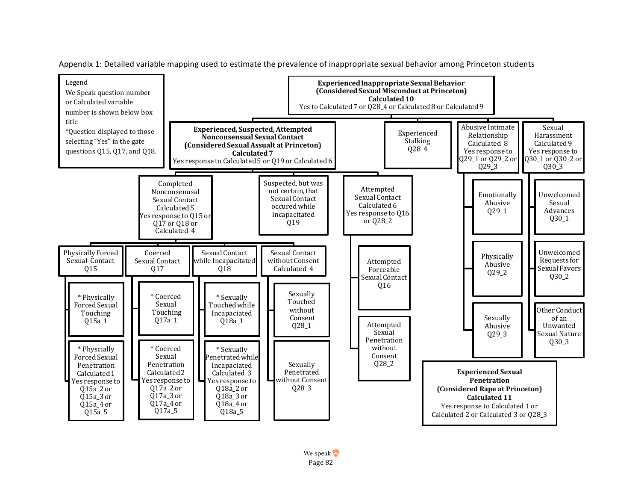

Appendix 1: Detailed variable mapping used to estimate the prevalence of inappropriate sexual behavior among Princeton students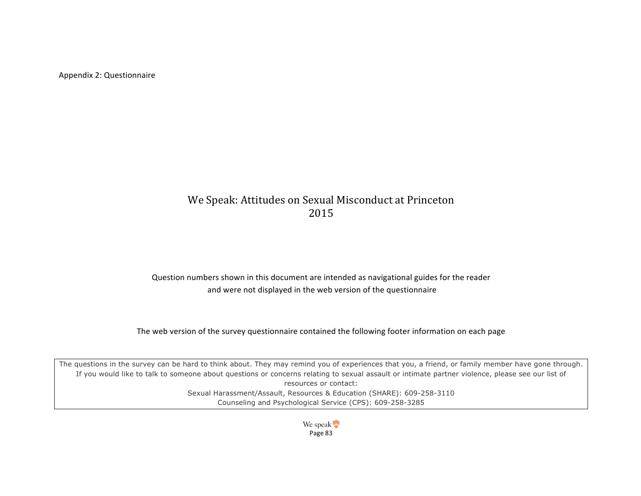Appendix 2: Questionnaire

# We Speak: Attitudes on Sexual Misconduct at Princeton 2015

Question numbers shown in this document are intended as navigational guides for the reader and were not displayed in the web version of the questionnaire

The web version of the survey questionnaire contained the following footer information on each page

The questions in the survey can be hard to think about. They may remind you of experiences that you, a friend, or family member have gone through. If you would like to talk to someone about questions or concerns relating to sexual assault or intimate partner violence, please see our list of resources or contact: Sexual Harassment/Assault, Resources & Education (SHARE): 609-258-3110 Counseling and Psychological Service (CPS): 609-258-3285

> We speak Page 83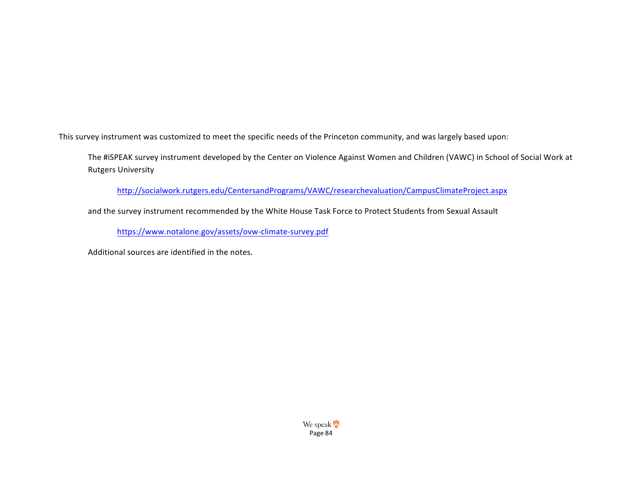This survey instrument was customized to meet the specific needs of the Princeton community, and was largely based upon:

The #iSPEAK survey instrument developed by the Center on Violence Against Women and Children (VAWC) in School of Social Work at **Rutgers University** 

http://socialwork.rutgers.edu/CentersandPrograms/VAWC/researchevaluation/CampusClimateProject.aspx

and the survey instrument recommended by the White House Task Force to Protect Students from Sexual Assault

https://www.notalone.gov/assets/ovw-climate-survey.pdf

Additional sources are identified in the notes.

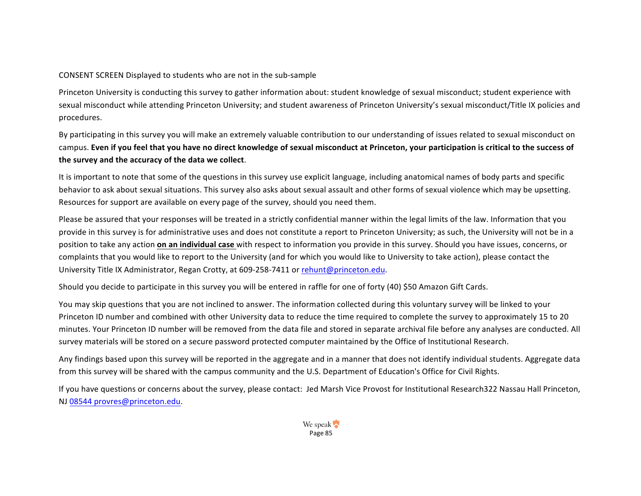### CONSENT SCREEN Displayed to students who are not in the sub-sample

Princeton University is conducting this survey to gather information about: student knowledge of sexual misconduct; student experience with sexual misconduct while attending Princeton University; and student awareness of Princeton University's sexual misconduct/Title IX policies and procedures.

By participating in this survey you will make an extremely valuable contribution to our understanding of issues related to sexual misconduct on campus. Even if you feel that you have no direct knowledge of sexual misconduct at Princeton, your participation is critical to the success of the survey and the accuracy of the data we collect.

It is important to note that some of the questions in this survey use explicit language, including anatomical names of body parts and specific behavior to ask about sexual situations. This survey also asks about sexual assault and other forms of sexual violence which may be upsetting. Resources for support are available on every page of the survey, should you need them.

Please be assured that your responses will be treated in a strictly confidential manner within the legal limits of the law. Information that you provide in this survey is for administrative uses and does not constitute a report to Princeton University; as such, the University will not be in a position to take any action **on an individual case** with respect to information you provide in this survey. Should you have issues, concerns, or complaints that you would like to report to the University (and for which you would like to University to take action), please contact the University Title IX Administrator, Regan Crotty, at 609-258-7411 or rehunt@princeton.edu.

Should you decide to participate in this survey you will be entered in raffle for one of forty (40) \$50 Amazon Gift Cards.

You may skip questions that you are not inclined to answer. The information collected during this voluntary survey will be linked to your Princeton ID number and combined with other University data to reduce the time required to complete the survey to approximately 15 to 20 minutes. Your Princeton ID number will be removed from the data file and stored in separate archival file before any analyses are conducted. All survey materials will be stored on a secure password protected computer maintained by the Office of Institutional Research.

Any findings based upon this survey will be reported in the aggregate and in a manner that does not identify individual students. Aggregate data from this survey will be shared with the campus community and the U.S. Department of Education's Office for Civil Rights.

If you have questions or concerns about the survey, please contact: Jed Marsh Vice Provost for Institutional Research322 Nassau Hall Princeton, NJ 08544 provres@princeton.edu.

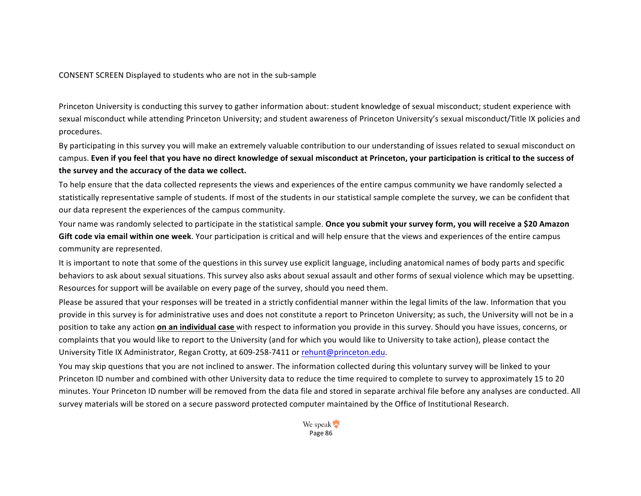CONSENT SCREEN Displayed to students who are not in the sub-sample

Princeton University is conducting this survey to gather information about: student knowledge of sexual misconduct; student experience with sexual misconduct while attending Princeton University; and student awareness of Princeton University's sexual misconduct/Title IX policies and procedures.

By participating in this survey you will make an extremely valuable contribution to our understanding of issues related to sexual misconduct on campus. Even if you feel that you have no direct knowledge of sexual misconduct at Princeton, your participation is critical to the success of the survey and the accuracy of the data we collect.

To help ensure that the data collected represents the views and experiences of the entire campus community we have randomly selected a statistically representative sample of students. If most of the students in our statistical sample complete the survey, we can be confident that our data represent the experiences of the campus community.

Your name was randomly selected to participate in the statistical sample. Once you submit your survey form, you will receive a \$20 Amazon **Gift code via email within one week**. Your participation is critical and will help ensure that the views and experiences of the entire campus community are represented.

It is important to note that some of the questions in this survey use explicit language, including anatomical names of body parts and specific behaviors to ask about sexual situations. This survey also asks about sexual assault and other forms of sexual violence which may be upsetting. Resources for support will be available on every page of the survey, should you need them.

Please be assured that your responses will be treated in a strictly confidential manner within the legal limits of the law. Information that you provide in this survey is for administrative uses and does not constitute a report to Princeton University; as such, the University will not be in a position to take any action **on an individual case** with respect to information you provide in this survey. Should you have issues, concerns, or complaints that you would like to report to the University (and for which you would like to University to take action), please contact the University Title IX Administrator, Regan Crotty, at 609-258-7411 or rehunt@princeton.edu.

You may skip questions that you are not inclined to answer. The information collected during this voluntary survey will be linked to your Princeton ID number and combined with other University data to reduce the time required to complete to survey to approximately 15 to 20 minutes. Your Princeton ID number will be removed from the data file and stored in separate archival file before any analyses are conducted. All survey materials will be stored on a secure password protected computer maintained by the Office of Institutional Research.

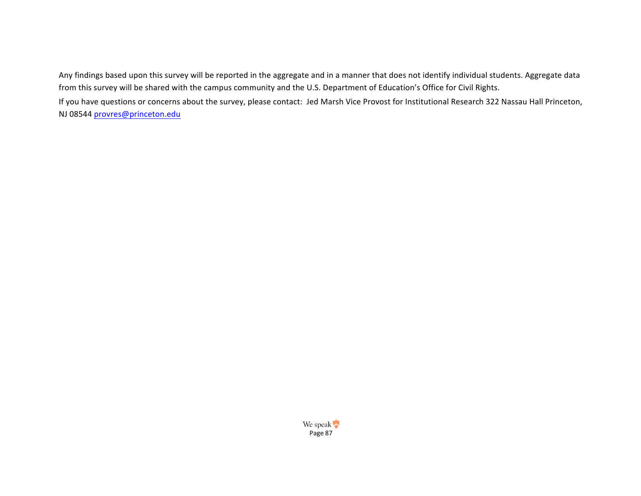Any findings based upon this survey will be reported in the aggregate and in a manner that does not identify individual students. Aggregate data from this survey will be shared with the campus community and the U.S. Department of Education's Office for Civil Rights.

If you have questions or concerns about the survey, please contact: Jed Marsh Vice Provost for Institutional Research 322 Nassau Hall Princeton, NJ 08544 provres@princeton.edu

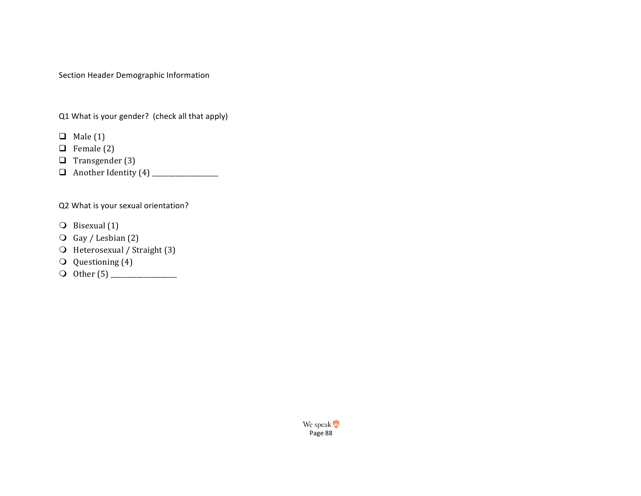Section Header Demographic Information

Q1 What is your gender? (check all that apply)

- $\Box$  Male (1)
- $\Box$  Female (2)
- $\Box$  Transgender (3)
- q Another Identity (4) \_\_\_\_\_\_\_\_\_\_\_\_\_\_\_\_\_\_\_\_

Q2 What is your sexual orientation?

- $\bigcirc$  Bisexual (1)
- $\overline{O}$  Gay / Lesbian (2)
- O Heterosexual / Straight (3)
- $\overline{Q}$  Questioning (4)
- m Other (5) \_\_\_\_\_\_\_\_\_\_\_\_\_\_\_\_\_\_\_\_

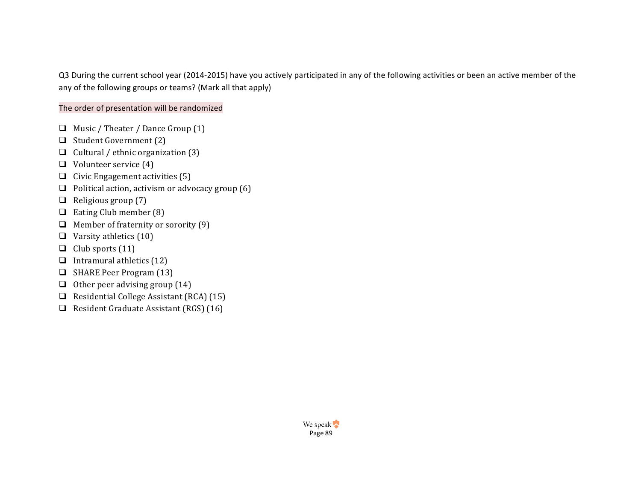Q3 During the current school year (2014-2015) have you actively participated in any of the following activities or been an active member of the any of the following groups or teams? (Mark all that apply)

# The order of presentation will be randomized

- $\Box$  Music / Theater / Dance Group (1)
- $\Box$  Student Government (2)
- Q Cultural / ethnic organization  $(3)$
- $\Box$  Volunteer service (4)
- $\Box$  Civic Engagement activities (5)
- $\Box$  Political action, activism or advocacy group (6)
- $\Box$  Religious group (7)
- $\Box$  Eating Club member (8)
- $\Box$  Member of fraternity or sorority (9)
- $\Box$  Varsity athletics (10)
- $\Box$  Club sports (11)
- $\Box$  Intramural athletics (12)
- **Q** SHARE Peer Program (13)
- $\Box$  Other peer advising group (14)
- $\Box$  Residential College Assistant (RCA) (15)
- $\Box$  Resident Graduate Assistant (RGS) (16)

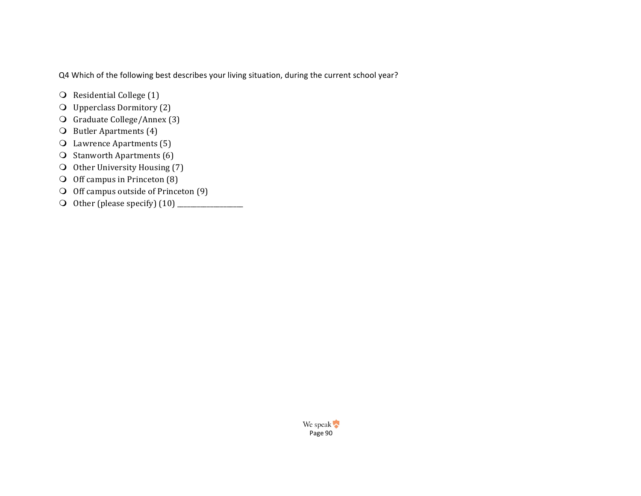Q4 Which of the following best describes your living situation, during the current school year?

- $\bigcirc$  Residential College (1)
- $\bigcirc$  Upperclass Dormitory (2)
- **O** Graduate College/Annex (3)
- $\bigcirc$  Butler Apartments (4)
- $\Omega$  Lawrence Apartments (5)
- $\overline{O}$  Stanworth Apartments (6)
- O Other University Housing (7)
- $\bigcirc$  Off campus in Princeton (8)
- $\bigcirc$  Off campus outside of Princeton  $(9)$
- m Other (please specify) (10) \_\_\_\_\_\_\_\_\_\_\_\_\_\_\_\_\_\_\_\_

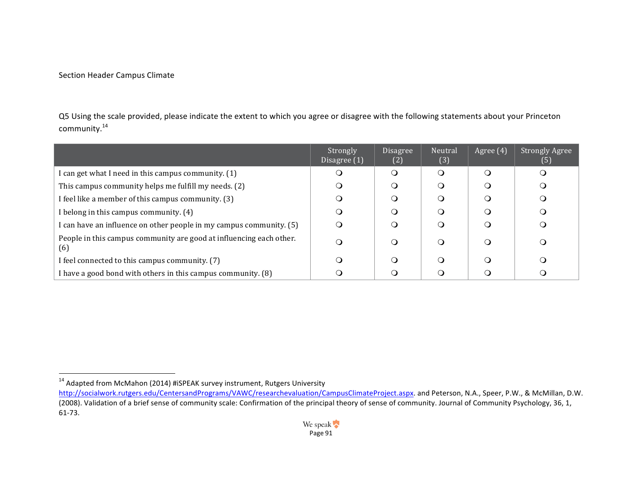### Section Header Campus Climate

 

Q5 Using the scale provided, please indicate the extent to which you agree or disagree with the following statements about your Princeton community.<sup>14</sup>

|                                                                            | Strongly<br>Disagree $(1)$ | <b>Disagree</b><br>(2) | Neutral<br>(3) | Agree (4) | <b>Strongly Agree</b><br>(5) |
|----------------------------------------------------------------------------|----------------------------|------------------------|----------------|-----------|------------------------------|
| I can get what I need in this campus community. (1)                        |                            | $\Omega$               | $\Omega$       | ∩         |                              |
| This campus community helps me fulfill my needs. (2)                       | Ő                          |                        | ∩              |           |                              |
| I feel like a member of this campus community. (3)                         | ( )                        |                        | ∩              |           |                              |
| I belong in this campus community. (4)                                     | 0                          |                        | ∩              |           |                              |
| I can have an influence on other people in my campus community. (5)        | $\Omega$                   |                        | O              |           |                              |
| People in this campus community are good at influencing each other.<br>(6) | $\circ$                    | ∩                      | $\Omega$       |           | Q                            |
| I feel connected to this campus community. (7)                             | O                          | Q                      | $\Omega$       |           |                              |
| I have a good bond with others in this campus community. (8)               |                            |                        | ∩              |           |                              |

 $14$  Adapted from McMahon (2014) #iSPEAK survey instrument, Rutgers University

http://socialwork.rutgers.edu/CentersandPrograms/VAWC/researchevaluation/CampusClimateProject.aspx. and Peterson, N.A., Speer, P.W., & McMillan, D.W. (2008). Validation of a brief sense of community scale: Confirmation of the principal theory of sense of community. Journal of Community Psychology, 36, 1, 61-73.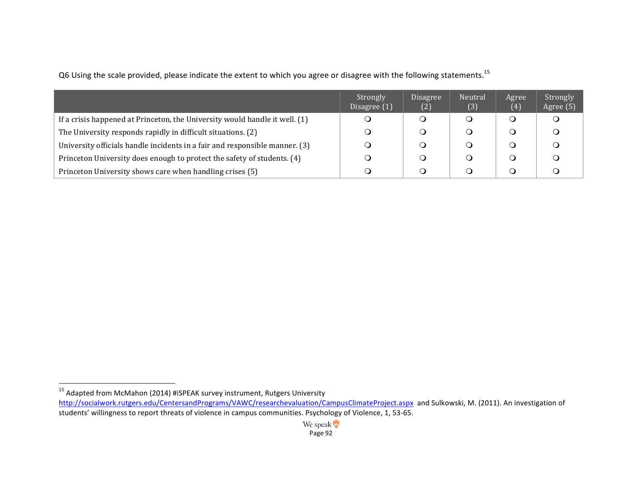|                                                                             | Strongly<br>Disagree (1) | <b>Disagree</b><br>(2) | Neutral<br>(3) | Agree<br>(4) | Strongly<br>Agree (5) |
|-----------------------------------------------------------------------------|--------------------------|------------------------|----------------|--------------|-----------------------|
| If a crisis happened at Princeton, the University would handle it well. (1) |                          |                        |                |              |                       |
| The University responds rapidly in difficult situations. (2)                |                          |                        |                |              |                       |
| University officials handle incidents in a fair and responsible manner. (3) |                          |                        |                |              |                       |
| Princeton University does enough to protect the safety of students. (4)     |                          |                        |                |              |                       |
| Princeton University shows care when handling crises (5)                    |                          |                        |                |              |                       |

Q6 Using the scale provided, please indicate the extent to which you agree or disagree with the following statements.<sup>15</sup>

 

 $^{15}$  Adapted from McMahon (2014) #iSPEAK survey instrument, Rutgers University

http://socialwork.rutgers.edu/CentersandPrograms/VAWC/researchevaluation/CampusClimateProject.aspx and Sulkowski, M. (2011). An investigation of students' willingness to report threats of violence in campus communities. Psychology of Violence, 1, 53-65.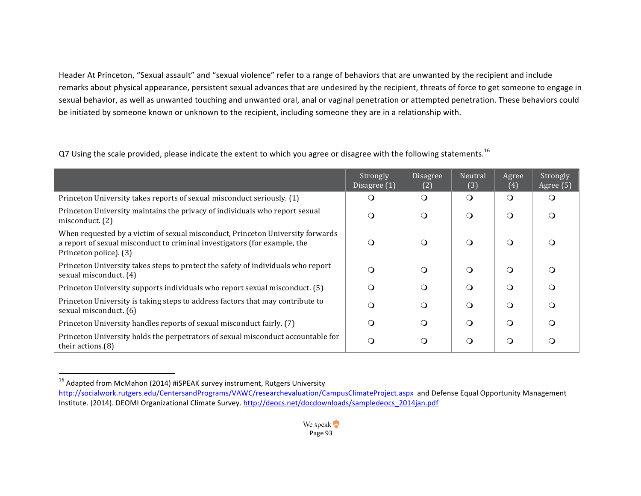Header At Princeton, "Sexual assault" and "sexual violence" refer to a range of behaviors that are unwanted by the recipient and include remarks about physical appearance, persistent sexual advances that are undesired by the recipient, threats of force to get someone to engage in sexual behavior, as well as unwanted touching and unwanted oral, anal or vaginal penetration or attempted penetration. These behaviors could be initiated by someone known or unknown to the recipient, including someone they are in a relationship with.

Q7 Using the scale provided, please indicate the extent to which you agree or disagree with the following statements.<sup>16</sup>

|                                                                                                                                                                                       | Strongly<br>Disagree (1) | Disagree<br>(2) | Neutral<br>(3) | Agree<br>(4) | Strongly<br>Agree (5) |
|---------------------------------------------------------------------------------------------------------------------------------------------------------------------------------------|--------------------------|-----------------|----------------|--------------|-----------------------|
| Princeton University takes reports of sexual misconduct seriously. (1)                                                                                                                | Ő                        | $\circ$         | $\circ$        | $\Omega$     |                       |
| Princeton University maintains the privacy of individuals who report sexual<br>misconduct. (2)                                                                                        | $\Omega$                 | $\circ$         | $\Omega$       | $\Omega$     |                       |
| When requested by a victim of sexual misconduct, Princeton University forwards<br>a report of sexual misconduct to criminal investigators (for example, the<br>Princeton police). (3) | $\Omega$                 | $\Omega$        | $\Omega$       | $\Omega$     |                       |
| Princeton University takes steps to protect the safety of individuals who report<br>sexual misconduct. (4)                                                                            | $\Omega$                 | $\Omega$        | $\Omega$       | $\Omega$     |                       |
| Princeton University supports individuals who report sexual misconduct. (5)                                                                                                           | $\Omega$                 | $\Omega$        | ∩              | $\Omega$     | ∩                     |
| Princeton University is taking steps to address factors that may contribute to<br>sexual misconduct. (6)                                                                              | Q                        | Q               | Q              | $\Omega$     |                       |
| Princeton University handles reports of sexual misconduct fairly. (7)                                                                                                                 | O                        | $\Omega$        | Q              | $\Omega$     |                       |
| Princeton University holds the perpetrators of sexual misconduct accountable for<br>their actions. $(8)$                                                                              | O                        | ∩               | Q              | ∩            |                       |

<sup>&</sup>lt;sup>16</sup> Adapted from McMahon (2014) #iSPEAK survey instrument, Rutgers University http://socialwork.rutgers.edu/CentersandPrograms/VAWC/researchevaluation/CampusClimateProject.aspx and Defense Equal Opportunity Management Institute. (2014). DEOMI Organizational Climate Survey. http://deocs.net/docdownloads/sampledeocs\_2014jan.pdf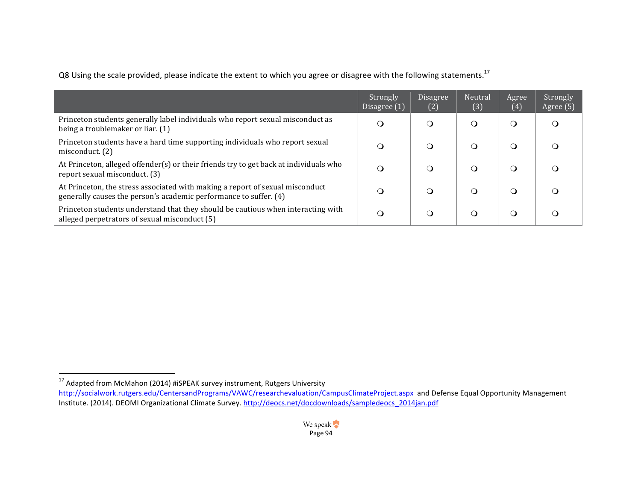Q8 Using the scale provided, please indicate the extent to which you agree or disagree with the following statements.<sup>17</sup>

|                                                                                                                                                    | Strongly<br>Disagree (1) | Disagree<br>(2) | Neutral<br>(3) | Agree<br>(4) | Strongly<br>Agree (5) |
|----------------------------------------------------------------------------------------------------------------------------------------------------|--------------------------|-----------------|----------------|--------------|-----------------------|
| Princeton students generally label individuals who report sexual misconduct as<br>being a troublemaker or liar. (1)                                | Q                        | 0               | ∩              | 0            |                       |
| Princeton students have a hard time supporting individuals who report sexual<br>misconduct. (2)                                                    |                          |                 | $\Omega$       | း )          |                       |
| At Princeton, alleged offender(s) or their friends try to get back at individuals who<br>report sexual misconduct. (3)                             | Q                        |                 | ∩)             | 0            |                       |
| At Princeton, the stress associated with making a report of sexual misconduct<br>generally causes the person's academic performance to suffer. (4) |                          | ( )             | Q              | Ő            |                       |
| Princeton students understand that they should be cautious when interacting with<br>alleged perpetrators of sexual misconduct (5)                  | a                        | Q               | $\Omega$       | ∩            |                       |

 $17$  Adapted from McMahon (2014) #iSPEAK survey instrument, Rutgers University http://socialwork.rutgers.edu/CentersandPrograms/VAWC/researchevaluation/CampusClimateProject.aspx and Defense Equal Opportunity Management Institute. (2014). DEOMI Organizational Climate Survey. http://deocs.net/docdownloads/sampledeocs\_2014jan.pdf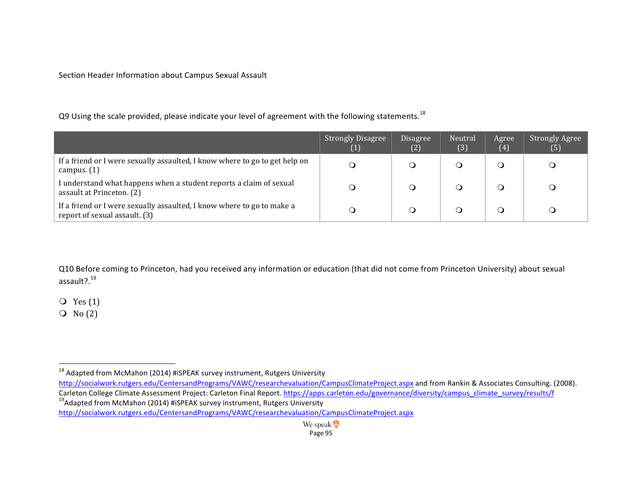Section Header Information about Campus Sexual Assault

Q9 Using the scale provided, please indicate your level of agreement with the following statements.<sup>18</sup>

|                                                                                                         | <b>Strongly Disagree</b><br>$\left( 1\right)$ | Disagree<br>(2) | Neutral<br>(3) | Agree<br>(4) | <b>Strongly Agree</b><br>(5) |
|---------------------------------------------------------------------------------------------------------|-----------------------------------------------|-----------------|----------------|--------------|------------------------------|
| If a friend or I were sexually assaulted, I know where to go to get help on<br>campus. $(1)$            |                                               |                 |                |              |                              |
| I understand what happens when a student reports a claim of sexual<br>assault at Princeton. (2)         |                                               |                 |                |              |                              |
| If a friend or I were sexually assaulted, I know where to go to make a<br>report of sexual assault. (3) |                                               |                 |                |              |                              |

Q10 Before coming to Princeton, had you received any information or education (that did not come from Princeton University) about sexual assault?.<sup>19</sup>

 $Q$  Yes  $(1)$ 

 $\overline{Q}$  No  $(2)$ 

 

Carleton College Climate Assessment Project: Carleton Final Report. https://apps.carleton.edu/governance/diversity/campus\_climate\_survey/results/f 19Adapted from McMahon (2014) #iSPEAK survey instrument, Rutgers University

 $18$  Adapted from McMahon (2014) #iSPEAK survey instrument, Rutgers University

http://socialwork.rutgers.edu/CentersandPrograms/VAWC/researchevaluation/CampusClimateProject.aspx and from Rankin & Associates Consulting. (2008).

http://socialwork.rutgers.edu/CentersandPrograms/VAWC/researchevaluation/CampusClimateProject.aspx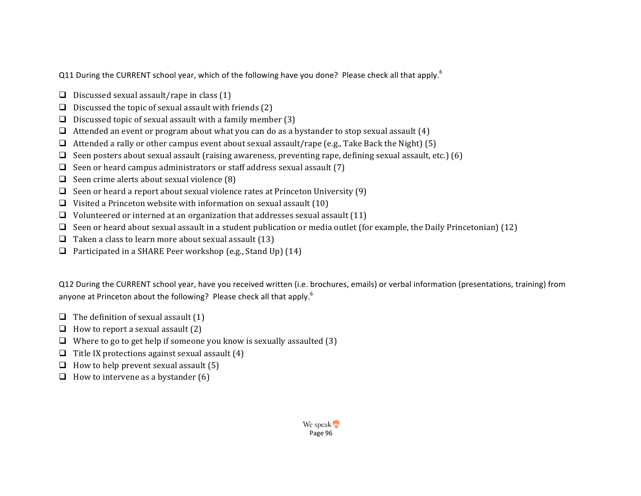Q11 During the CURRENT school year, which of the following have you done? Please check all that apply.<sup>6</sup>

- $\Box$  Discussed sexual assault/rape in class (1)
- $\Box$  Discussed the topic of sexual assault with friends (2)
- $\Box$  Discussed topic of sexual assault with a family member (3)
- $\Box$  Attended an event or program about what you can do as a bystander to stop sexual assault (4)
- $\Box$  Attended a rally or other campus event about sexual assault/rape (e.g., Take Back the Night) (5)
- $\Box$  Seen posters about sexual assault (raising awareness, preventing rape, defining sexual assault, etc.) (6)
- $\Box$  Seen or heard campus administrators or staff address sexual assault (7)
- $\Box$  Seen crime alerts about sexual violence (8)
- **Q** Seen or heard a report about sexual violence rates at Princeton University  $(9)$
- $\Box$  Visited a Princeton website with information on sexual assault (10)
- $\Box$  Volunteered or interned at an organization that addresses sexual assault (11)
- G Seen or heard about sexual assault in a student publication or media outlet (for example, the Daily Princetonian) (12)
- $\Box$  Taken a class to learn more about sexual assault (13)
- $\Box$  Participated in a SHARE Peer workshop (e.g., Stand Up) (14)

Q12 During the CURRENT school year, have you received written (i.e. brochures, emails) or verbal information (presentations, training) from anyone at Princeton about the following? Please check all that apply.<sup>6</sup>

- $\Box$  The definition of sexual assault (1)
- $\Box$  How to report a sexual assault (2)
- $\Box$  Where to go to get help if someone you know is sexually assaulted (3)
- $\Box$  Title IX protections against sexual assault (4)
- $\Box$  How to help prevent sexual assault (5)
- $\Box$  How to intervene as a bystander (6)

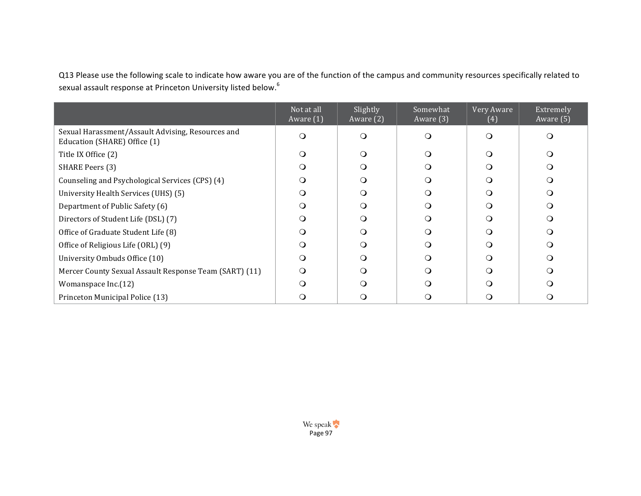Q13 Please use the following scale to indicate how aware you are of the function of the campus and community resources specifically related to sexual assault response at Princeton University listed below.<sup>6</sup>

|                                                                                   | Not at all<br>Aware $(1)$ | Slightly<br>Aware (2) | Somewhat<br>Aware (3) | Very Aware<br>(4) | Extremely<br>Aware (5) |
|-----------------------------------------------------------------------------------|---------------------------|-----------------------|-----------------------|-------------------|------------------------|
| Sexual Harassment/Assault Advising, Resources and<br>Education (SHARE) Office (1) | $\Omega$                  | ∩                     | $\Omega$              | $\Omega$          | ∩                      |
| Title IX Office (2)                                                               | ∩                         | Q                     | O                     | $\Omega$          | ∩                      |
| SHARE Peers (3)                                                                   | $\Omega$                  | ∩                     | O                     | $\Omega$          |                        |
| Counseling and Psychological Services (CPS) (4)                                   | Q                         | ∩                     | O                     | ∩                 |                        |
| University Health Services (UHS) (5)                                              | $\Omega$                  | O                     | O                     | $\Omega$          | ∩                      |
| Department of Public Safety (6)                                                   | ∩                         | ∩                     | O                     | ∩                 |                        |
| Directors of Student Life (DSL) (7)                                               | $\Omega$                  | ∩                     | O                     | ∩                 |                        |
| Office of Graduate Student Life (8)                                               | ∩                         | ∩                     | Q                     | ∩                 |                        |
| Office of Religious Life (ORL) (9)                                                | $\Omega$                  | ∩                     | O                     | ∩                 |                        |
| University Ombuds Office (10)                                                     | ∩                         | Q                     | O                     | Ω                 |                        |
| Mercer County Sexual Assault Response Team (SART) (11)                            | $\Omega$                  | ∩                     | O                     | ∩                 |                        |
| Womanspace Inc.(12)                                                               | $\Omega$                  | ∩                     | Q                     | ∩                 |                        |
| Princeton Municipal Police (13)                                                   |                           |                       |                       |                   |                        |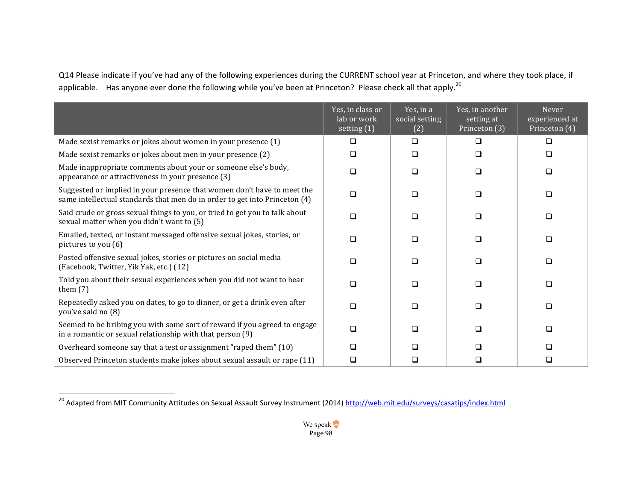Q14 Please indicate if you've had any of the following experiences during the CURRENT school year at Princeton, and where they took place, if applicable. Has anyone ever done the following while you've been at Princeton? Please check all that apply.<sup>20</sup>

|                                                                                                                                                       | Yes, in class or<br>lab or work<br>setting (1) | Yes, in a<br>social setting<br>(2) | Yes, in another<br>setting at<br>Princeton $\overline{(3)}$ | Never<br>experienced at<br>Princeton $\overline{(4)}$ |
|-------------------------------------------------------------------------------------------------------------------------------------------------------|------------------------------------------------|------------------------------------|-------------------------------------------------------------|-------------------------------------------------------|
| Made sexist remarks or jokes about women in your presence (1)                                                                                         | □                                              | $\Box$                             | □                                                           | ◻                                                     |
| Made sexist remarks or jokes about men in your presence (2)                                                                                           | ◻                                              | $\Box$                             | $\Box$                                                      | ◻                                                     |
| Made inappropriate comments about your or someone else's body,<br>appearance or attractiveness in your presence (3)                                   | □                                              | $\Box$                             | ◻                                                           | □                                                     |
| Suggested or implied in your presence that women don't have to meet the<br>same intellectual standards that men do in order to get into Princeton (4) | □                                              | $\Box$                             | □                                                           | □                                                     |
| Said crude or gross sexual things to you, or tried to get you to talk about<br>sexual matter when you didn't want to (5)                              | □                                              | $\Box$                             | $\Box$                                                      | □                                                     |
| Emailed, texted, or instant messaged offensive sexual jokes, stories, or<br>pictures to you (6)                                                       | <b>□</b>                                       | $\Box$                             | $\Box$                                                      | <b>□</b>                                              |
| Posted offensive sexual jokes, stories or pictures on social media<br>(Facebook, Twitter, Yik Yak, etc.) (12)                                         | ◻                                              | $\Box$                             | ◻                                                           | □                                                     |
| Told you about their sexual experiences when you did not want to hear<br>them $(7)$                                                                   | ∩                                              | $\Box$                             | ⊓                                                           | □                                                     |
| Repeatedly asked you on dates, to go to dinner, or get a drink even after<br>you've said no (8)                                                       | □                                              | □                                  | ⊓                                                           | □                                                     |
| Seemed to be bribing you with some sort of reward if you agreed to engage<br>in a romantic or sexual relationship with that person (9)                | <b>□</b>                                       | $\Box$                             | □                                                           | □                                                     |
| Overheard someone say that a test or assignment "raped them" (10)                                                                                     | □                                              | <b>□</b>                           | □                                                           | ◻                                                     |
| Observed Princeton students make jokes about sexual assault or rape (11)                                                                              | ◻                                              | □                                  | □                                                           | □                                                     |

 

<sup>&</sup>lt;sup>20</sup> Adapted from MIT Community Attitudes on Sexual Assault Survey Instrument (2014) <u>http://web.mit.edu/surveys/casatips/index.html</u>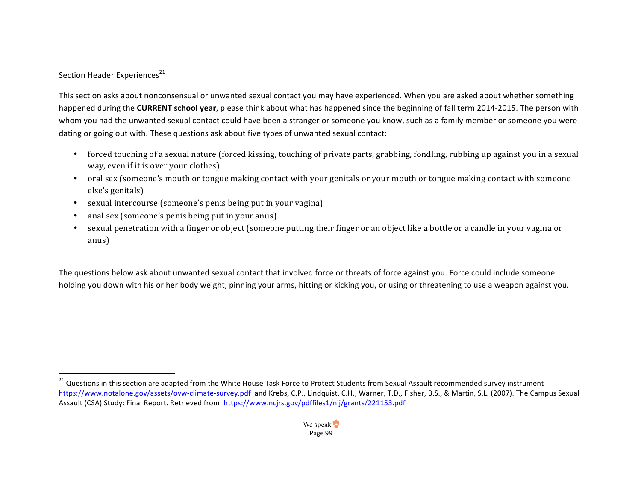# Section Header Experiences<sup>21</sup>

This section asks about nonconsensual or unwanted sexual contact you may have experienced. When you are asked about whether something happened during the **CURRENT** school year, please think about what has happened since the beginning of fall term 2014-2015. The person with whom you had the unwanted sexual contact could have been a stranger or someone you know, such as a family member or someone you were dating or going out with. These questions ask about five types of unwanted sexual contact:

- forced touching of a sexual nature (forced kissing, touching of private parts, grabbing, fondling, rubbing up against you in a sexual way, even if it is over your clothes)
- oral sex (someone's mouth or tongue making contact with your genitals or your mouth or tongue making contact with someone else's genitals)
- sexual intercourse (someone's penis being put in your vagina)
- anal sex (someone's penis being put in your anus)
- sexual penetration with a finger or object (someone putting their finger or an object like a bottle or a candle in your vagina or anus)

The questions below ask about unwanted sexual contact that involved force or threats of force against you. Force could include someone holding you down with his or her body weight, pinning your arms, hitting or kicking you, or using or threatening to use a weapon against you.

<sup>&</sup>lt;sup>21</sup> Questions in this section are adapted from the White House Task Force to Protect Students from Sexual Assault recommended survey instrument https://www.notalone.gov/assets/ovw-climate-survey.pdf and Krebs, C.P., Lindquist, C.H., Warner, T.D., Fisher, B.S., & Martin, S.L. (2007). The Campus Sexual Assault (CSA) Study: Final Report. Retrieved from: https://www.ncjrs.gov/pdffiles1/nij/grants/221153.pdf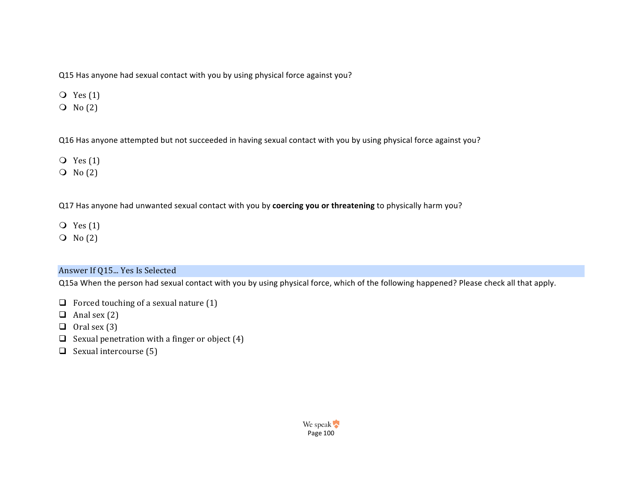Q15 Has anyone had sexual contact with you by using physical force against you?

- $Q$  Yes  $(1)$
- $\overline{O}$  No  $(2)$

Q16 Has anyone attempted but not succeeded in having sexual contact with you by using physical force against you?

- $Q$  Yes  $(1)$
- $\overline{O}$  No  $(2)$

Q17 Has anyone had unwanted sexual contact with you by coercing you or threatening to physically harm you?

- $Q$  Yes  $(1)$
- $\overline{O}$  No  $(2)$

# Answer If Q15... Yes Is Selected

Q15a When the person had sexual contact with you by using physical force, which of the following happened? Please check all that apply.

- $\Box$  Forced touching of a sexual nature (1)
- $\Box$  Anal sex (2)
- $\Box$  Oral sex (3)
- $\Box$  Sexual penetration with a finger or object (4)
- $\Box$  Sexual intercourse (5)

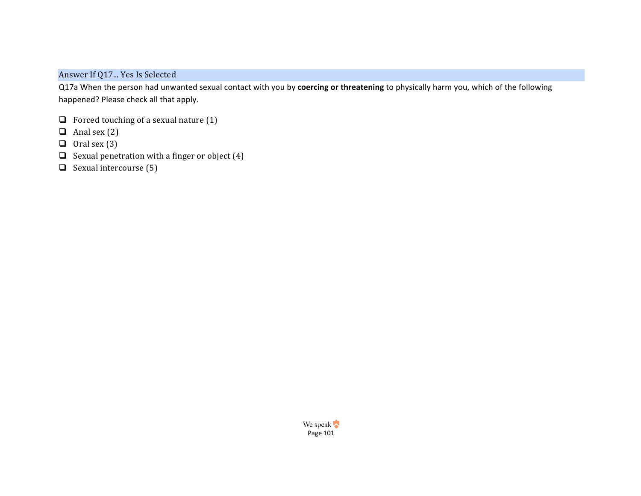Answer If Q17... Yes Is Selected

Q17a When the person had unwanted sexual contact with you by coercing or threatening to physically harm you, which of the following happened? Please check all that apply.

- $\Box$  Forced touching of a sexual nature (1)
- $\Box$  Anal sex (2)
- $\Box$  Oral sex (3)
- $\Box$  Sexual penetration with a finger or object (4)
- $\Box$  Sexual intercourse (5)

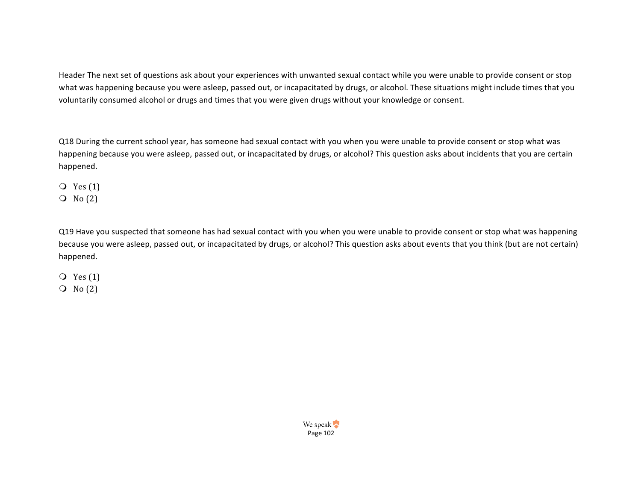Header The next set of questions ask about your experiences with unwanted sexual contact while you were unable to provide consent or stop what was happening because you were asleep, passed out, or incapacitated by drugs, or alcohol. These situations might include times that you voluntarily consumed alcohol or drugs and times that you were given drugs without your knowledge or consent.

Q18 During the current school year, has someone had sexual contact with you when you were unable to provide consent or stop what was happening because you were asleep, passed out, or incapacitated by drugs, or alcohol? This question asks about incidents that you are certain happened.

 $Q$  Yes  $(1)$ 

 $\overline{O}$  No  $(2)$ 

Q19 Have you suspected that someone has had sexual contact with you when you were unable to provide consent or stop what was happening because you were asleep, passed out, or incapacitated by drugs, or alcohol? This question asks about events that you think (but are not certain) happened.

 $Q$  Yes  $(1)$  $\overline{O}$  No  $(2)$ 

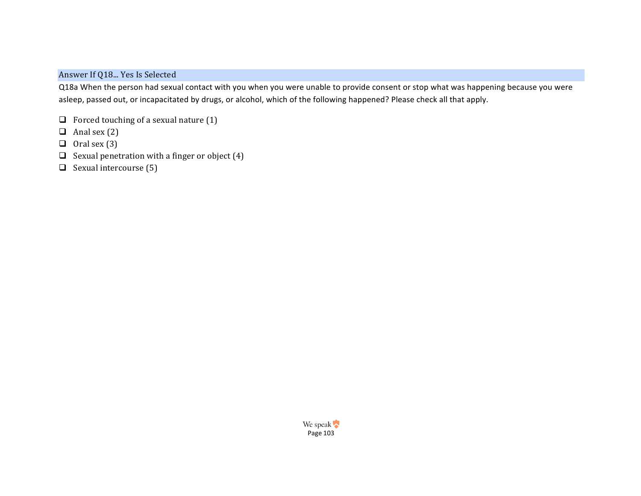# Answer If Q18... Yes Is Selected

Q18a When the person had sexual contact with you when you were unable to provide consent or stop what was happening because you were asleep, passed out, or incapacitated by drugs, or alcohol, which of the following happened? Please check all that apply.

- $\Box$  Forced touching of a sexual nature (1)
- $\Box$  Anal sex (2)
- $\Box$  Oral sex (3)
- $\Box$  Sexual penetration with a finger or object (4)
- $\Box$  Sexual intercourse (5)

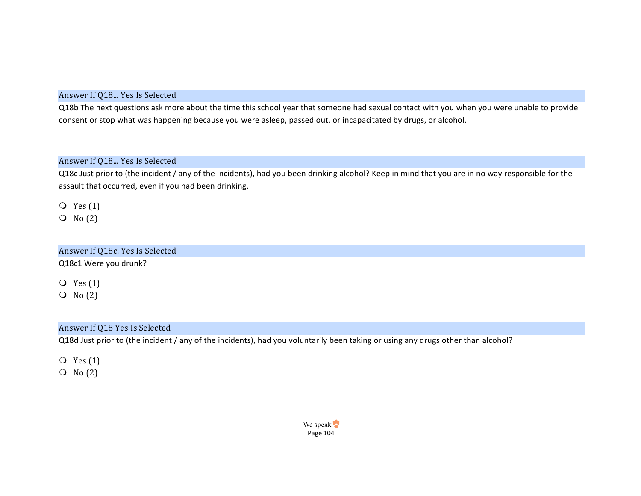### Answer If Q18... Yes Is Selected

Q18b The next questions ask more about the time this school year that someone had sexual contact with you when you were unable to provide consent or stop what was happening because you were asleep, passed out, or incapacitated by drugs, or alcohol.

### Answer If Q18... Yes Is Selected

Q18c Just prior to (the incident / any of the incidents), had you been drinking alcohol? Keep in mind that you are in no way responsible for the assault that occurred, even if you had been drinking.

 $Q$  Yes  $(1)$ 

 $\overline{O}$  No  $(2)$ 

# Answer If Q18c. Yes Is Selected Q18c1 Were you drunk?

 $Q$  Yes  $(1)$  $\overline{O}$  No  $(2)$ 

#### Answer If Q18 Yes Is Selected

Q18d Just prior to (the incident / any of the incidents), had you voluntarily been taking or using any drugs other than alcohol?

 $Q$  Yes  $(1)$ 

 $\overline{O}$  No  $(2)$ 

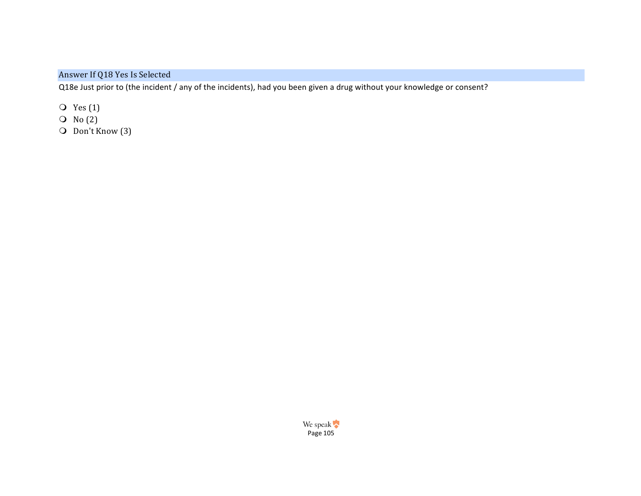Answer If Q18 Yes Is Selected

Q18e Just prior to (the incident / any of the incidents), had you been given a drug without your knowledge or consent?

 $\overline{Q}$  Yes (1)

- $\overline{O}$  No  $(2)$
- **O** Don't Know (3)

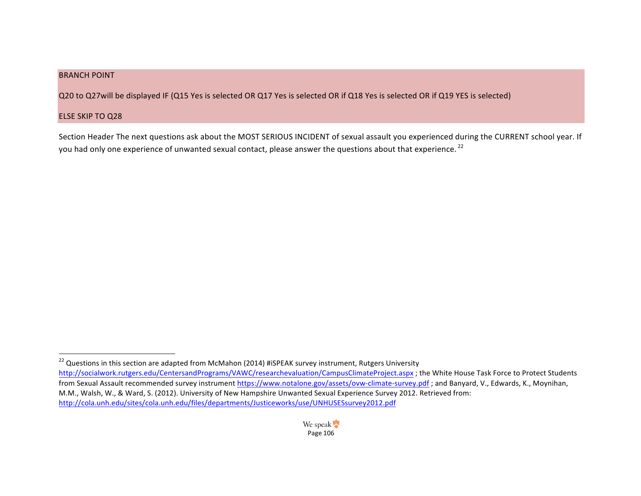### **BRANCH POINT**

Q20 to Q27will be displayed IF (Q15 Yes is selected OR Q17 Yes is selected OR if Q18 Yes is selected OR if Q19 YES is selected)

#### ELSE SKIP TO Q28

 

Section Header The next questions ask about the MOST SERIOUS INCIDENT of sexual assault you experienced during the CURRENT school year. If you had only one experience of unwanted sexual contact, please answer the questions about that experience. <sup>22</sup>

 $^{22}$  Questions in this section are adapted from McMahon (2014) #iSPEAK survey instrument, Rutgers University http://socialwork.rutgers.edu/CentersandPrograms/VAWC/researchevaluation/CampusClimateProject.aspx ; the White House Task Force to Protect Students from Sexual Assault recommended survey instrument https://www.notalone.gov/assets/ovw-climate-survey.pdf; and Banyard, V., Edwards, K., Moynihan, M.M., Walsh, W., & Ward, S. (2012). University of New Hampshire Unwanted Sexual Experience Survey 2012. Retrieved from: http://cola.unh.edu/sites/cola.unh.edu/files/departments/Justiceworks/use/UNHUSESsurvey2012.pdf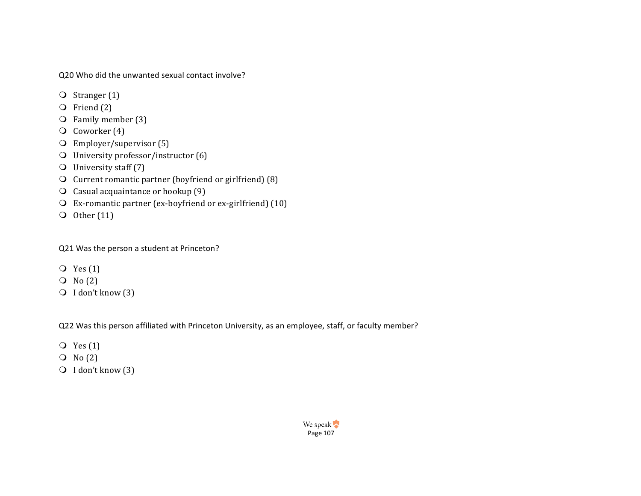Q20 Who did the unwanted sexual contact involve?

- $\overline{O}$  Stranger (1)
- $\overline{O}$  Friend (2)
- $\overline{O}$  Family member (3)
- $\overline{O}$  Coworker (4)
- $\overline{O}$  Employer/supervisor (5)
- $\bigcirc$  University professor/instructor (6)
- $\bigcirc$  University staff (7)
- $\overline{O}$  Current romantic partner (boyfriend or girlfriend) (8)
- $\Omega$  Casual acquaintance or hookup (9)
- $\Omega$  Ex-romantic partner (ex-boyfriend or ex-girlfriend) (10)
- O Other  $(11)$

Q21 Was the person a student at Princeton?

- $Q$  Yes  $(1)$
- $\overline{O}$  No  $(2)$
- **O** I don't know (3)

Q22 Was this person affiliated with Princeton University, as an employee, staff, or faculty member?

- $Q$  Yes  $(1)$
- $\overline{O}$  No  $(2)$
- $\bigcirc$  I don't know (3)

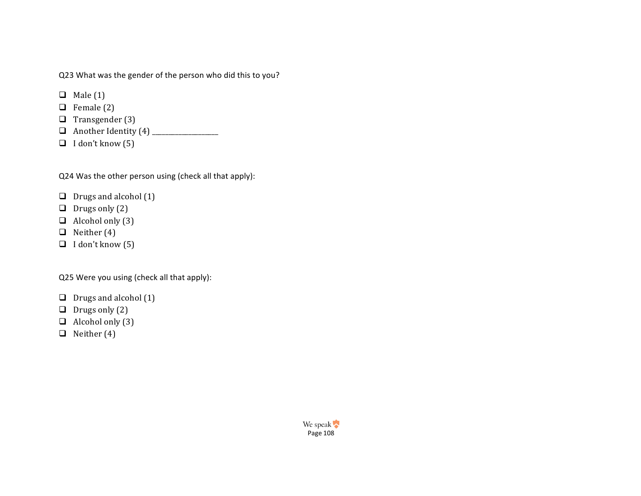Q23 What was the gender of the person who did this to you?

- $\Box$  Male (1)
- $\Box$  Female (2)
- $\Box$  Transgender (3)
- q Another Identity (4) \_\_\_\_\_\_\_\_\_\_\_\_\_\_\_\_\_\_\_\_
- $\Box$  I don't know (5)

Q24 Was the other person using (check all that apply):

- $\Box$  Drugs and alcohol (1)
- $\Box$  Drugs only (2)
- $\Box$  Alcohol only (3)
- $\Box$  Neither (4)
- $\Box$  I don't know (5)

Q25 Were you using (check all that apply):

- $\Box$  Drugs and alcohol (1)
- $\Box$  Drugs only (2)
- $\Box$  Alcohol only (3)
- $\Box$  Neither (4)

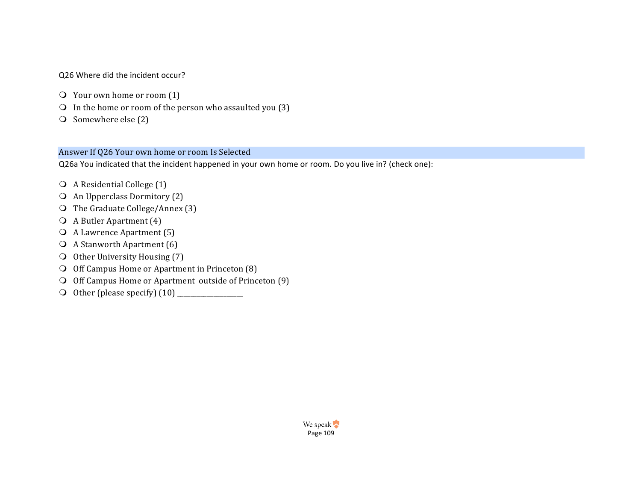#### Q26 Where did the incident occur?

- $\overline{Q}$  Your own home or room (1)
- $\Omega$  In the home or room of the person who assaulted you (3)
- $\bigcirc$  Somewhere else (2)

### Answer If Q26 Your own home or room Is Selected

Q26a You indicated that the incident happened in your own home or room. Do you live in? (check one):

- $\bigcirc$  A Residential College (1)
- $\bigcirc$  An Upperclass Dormitory (2)
- $\overline{O}$  The Graduate College/Annex (3)
- $\bigcirc$  A Butler Apartment (4)
- $\overline{O}$  A Lawrence Apartment (5)
- $\bigcirc$  A Stanworth Apartment (6)
- $\bigcirc$  Other University Housing (7)
- $\bigcirc$  Off Campus Home or Apartment in Princeton (8)
- $\bigcirc$  Off Campus Home or Apartment outside of Princeton (9)
- m Other (please specify) (10) \_\_\_\_\_\_\_\_\_\_\_\_\_\_\_\_\_\_\_\_

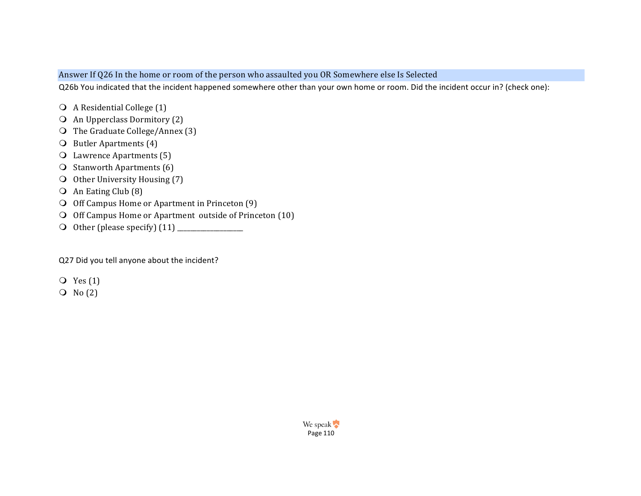### Answer If Q26 In the home or room of the person who assaulted you OR Somewhere else Is Selected

Q26b You indicated that the incident happened somewhere other than your own home or room. Did the incident occur in? (check one):

- $\bigcirc$  A Residential College (1)
- $\bigcirc$  An Upperclass Dormitory (2)
- $\bigcirc$  The Graduate College/Annex (3)
- $\bigcirc$  Butler Apartments (4)
- **O** Lawrence Apartments (5)
- $\overline{O}$  Stanworth Apartments (6)
- $\bigcirc$  Other University Housing (7)
- $\overline{O}$  An Eating Club (8)
- $\bigcirc$  Off Campus Home or Apartment in Princeton  $(9)$
- $\bigcirc$  Off Campus Home or Apartment outside of Princeton (10)
- m Other (please specify) (11) \_\_\_\_\_\_\_\_\_\_\_\_\_\_\_\_\_\_\_\_

Q27 Did you tell anyone about the incident?

- $Q$  Yes  $(1)$
- $\overline{O}$  No  $(2)$

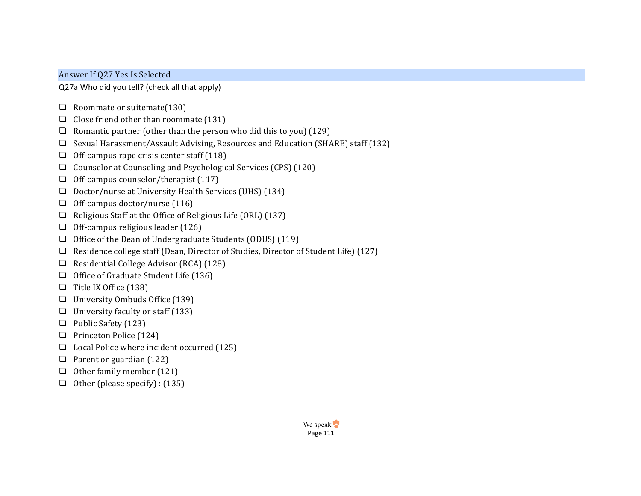## Answer If Q27 Yes Is Selected

Q27a Who did you tell? (check all that apply)

- $\Box$  Roommate or suitemate(130)
- $\Box$  Close friend other than roommate (131)
- **Q** Romantic partner (other than the person who did this to you) (129)
- G Sexual Harassment/Assault Advising, Resources and Education (SHARE) staff (132)
- $\Box$  Off-campus rape crisis center staff (118)
- Q Counselor at Counseling and Psychological Services  $(CPS)$  (120)
- $\Box$  Off-campus counselor/therapist (117)
- $\Box$  Doctor/nurse at University Health Services (UHS) (134)
- $\Box$  Off-campus doctor/nurse (116)
- $\Box$  Religious Staff at the Office of Religious Life (ORL) (137)
- $\Box$  Off-campus religious leader (126)
- $\Box$  Office of the Dean of Undergraduate Students (ODUS) (119)
- **Q** Residence college staff (Dean, Director of Studies, Director of Student Life) (127)
- $\Box$  Residential College Advisor (RCA) (128)
- $\Box$  Office of Graduate Student Life (136)
- $\Box$  Title IX Office (138)
- $\Box$  University Ombuds Office (139)
- $\Box$  University faculty or staff (133)
- $\Box$  Public Safety (123)
- $\Box$  Princeton Police (124)
- $\Box$  Local Police where incident occurred (125)
- $\Box$  Parent or guardian (122)
- $\Box$  Other family member (121)
- $\Box$  Other (please specify) : (135)  $\Box$

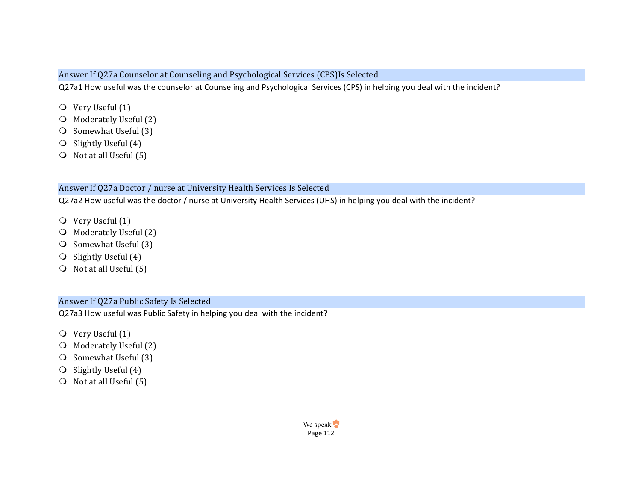### Answer If Q27a Counselor at Counseling and Psychological Services (CPS)Is Selected

Q27a1 How useful was the counselor at Counseling and Psychological Services (CPS) in helping you deal with the incident?

- $\bigcirc$  Very Useful (1)
- O Moderately Useful (2)
- $\bigcirc$  Somewhat Useful (3)
- $\bigcirc$  Slightly Useful (4)
- $\bigcirc$  Not at all Useful (5)

### Answer If Q27a Doctor / nurse at University Health Services Is Selected

Q27a2 How useful was the doctor / nurse at University Health Services (UHS) in helping you deal with the incident?

- $\overline{Q}$  Very Useful (1)
- $\bigcirc$  Moderately Useful (2)
- $\bigcirc$  Somewhat Useful (3)
- $\bigcirc$  Slightly Useful (4)
- $\bigcirc$  Not at all Useful (5)

## Answer If Q27a Public Safety Is Selected

Q27a3 How useful was Public Safety in helping you deal with the incident?

- $\overline{O}$  Very Useful (1)
- $\bigcirc$  Moderately Useful (2)
- $\bigcirc$  Somewhat Useful (3)
- $\bigcirc$  Slightly Useful (4)
- $\bigcirc$  Not at all Useful (5)

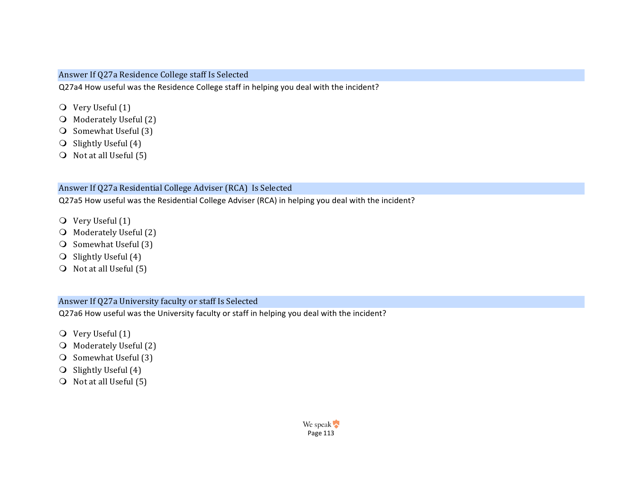### Answer If Q27a Residence College staff Is Selected

Q27a4 How useful was the Residence College staff in helping you deal with the incident?

- $\bigcirc$  Very Useful (1)
- O Moderately Useful (2)
- $\bigcirc$  Somewhat Useful (3)
- $\bigcirc$  Slightly Useful (4)
- $\bigcirc$  Not at all Useful (5)

### Answer If Q27a Residential College Adviser (RCA) Is Selected

Q27a5 How useful was the Residential College Adviser (RCA) in helping you deal with the incident?

- $\overline{Q}$  Very Useful (1)
- $\bigcirc$  Moderately Useful (2)
- $\bigcirc$  Somewhat Useful (3)
- $\bigcirc$  Slightly Useful (4)
- $\bigcirc$  Not at all Useful (5)

### Answer If Q27a University faculty or staff Is Selected

Q27a6 How useful was the University faculty or staff in helping you deal with the incident?

- $\overline{O}$  Very Useful (1)
- O Moderately Useful (2)
- $\bigcirc$  Somewhat Useful (3)
- $\bigcirc$  Slightly Useful (4)
- $\bigcirc$  Not at all Useful (5)

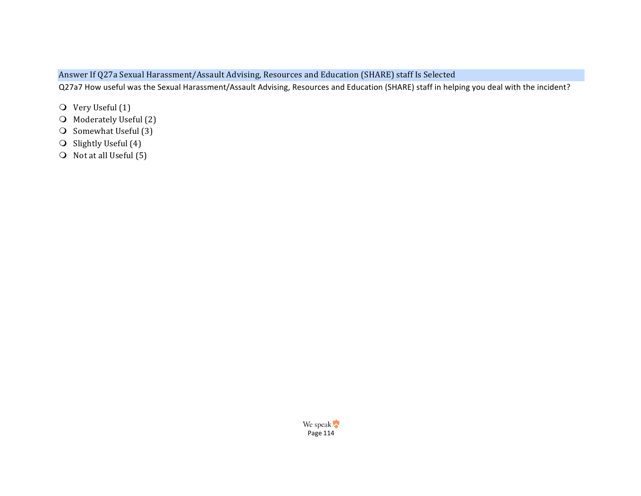# Answer If Q27a Sexual Harassment/Assault Advising, Resources and Education (SHARE) staff Is Selected

Q27a7 How useful was the Sexual Harassment/Assault Advising, Resources and Education (SHARE) staff in helping you deal with the incident?

- O Very Useful (1)
- O Moderately Useful (2)
- $\bigcirc$  Somewhat Useful (3)
- $\bigcirc$  Slightly Useful (4)
- $\bigcirc$  Not at all Useful (5)

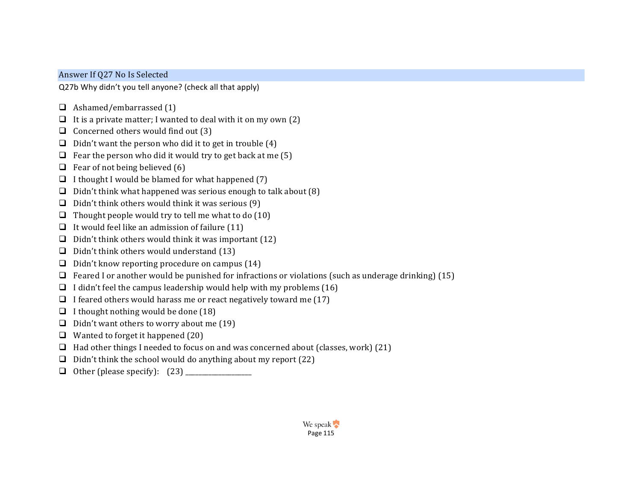## Answer If Q27 No Is Selected

Q27b Why didn't you tell anyone? (check all that apply)

- $\Box$  Ashamed/embarrassed (1)
- $\Box$  It is a private matter; I wanted to deal with it on my own (2)
- $\Box$  Concerned others would find out (3)
- $\Box$  Didn't want the person who did it to get in trouble (4)
- $\Box$  Fear the person who did it would try to get back at me (5)
- $\Box$  Fear of not being believed (6)
- $\Box$  I thought I would be blamed for what happened (7)
- $\Box$  Didn't think what happened was serious enough to talk about (8)
- $\Box$  Didn't think others would think it was serious (9)
- $\Box$  Thought people would try to tell me what to do (10)
- $\Box$  It would feel like an admission of failure (11)
- $\Box$  Didn't think others would think it was important (12)
- $\Box$  Didn't think others would understand (13)
- $\Box$  Didn't know reporting procedure on campus (14)
- $\Box$  Feared I or another would be punished for infractions or violations (such as underage drinking) (15)
- $\Box$  I didn't feel the campus leadership would help with my problems (16)
- $\Box$  I feared others would harass me or react negatively toward me (17)
- $\Box$  I thought nothing would be done (18)
- $\Box$  Didn't want others to worry about me (19)
- $\Box$  Wanted to forget it happened (20)
- $\Box$  Had other things I needed to focus on and was concerned about (classes, work) (21)
- $\Box$  Didn't think the school would do anything about my report (22)
- q Other (please specify): (23) \_\_\_\_\_\_\_\_\_\_\_\_\_\_\_\_\_\_\_\_

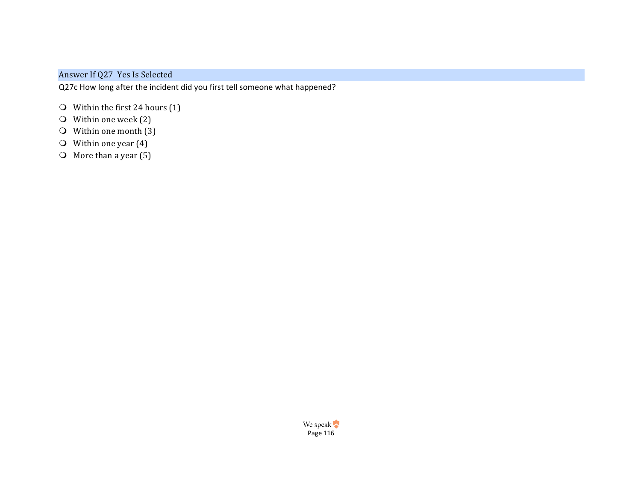## Answer If Q27 Yes Is Selected

Q27c How long after the incident did you first tell someone what happened?

- $\bigcirc$  Within the first 24 hours (1)
- $\bigcirc$  Within one week (2)
- $\bigcirc$  Within one month (3)
- $\overline{O}$  Within one year (4)
- $\overline{O}$  More than a year (5)

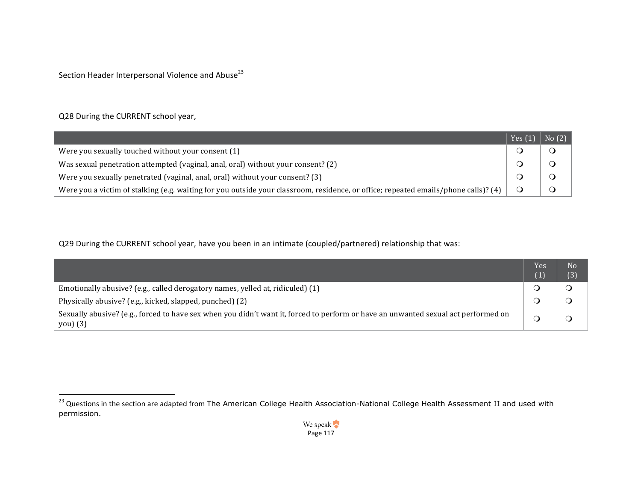Section Header Interpersonal Violence and Abuse<sup>23</sup>

## Q28 During the CURRENT school year,

 

|                                                                                                                                     | Yes $(1)$ | No(2) |
|-------------------------------------------------------------------------------------------------------------------------------------|-----------|-------|
| Were you sexually touched without your consent (1)                                                                                  |           |       |
| Was sexual penetration attempted (vaginal, anal, oral) without your consent? (2)                                                    |           |       |
| Were you sexually penetrated (vaginal, anal, oral) without your consent? (3)                                                        |           |       |
| Were you a victim of stalking (e.g. waiting for you outside your classroom, residence, or office; repeated emails/phone calls)? (4) |           |       |

Q29 During the CURRENT school year, have you been in an intimate (coupled/partnered) relationship that was:

|                                                                                                                                                | Yes | N <sub>0</sub><br>(3) |
|------------------------------------------------------------------------------------------------------------------------------------------------|-----|-----------------------|
| Emotionally abusive? (e.g., called derogatory names, yelled at, ridiculed) (1)                                                                 |     |                       |
| Physically abusive? (e.g., kicked, slapped, punched) (2)                                                                                       |     |                       |
| Sexually abusive? (e.g., forced to have sex when you didn't want it, forced to perform or have an unwanted sexual act performed on<br>you) (3) |     |                       |

 $^{23}$  Questions in the section are adapted from The American College Health Association-National College Health Assessment II and used with permission.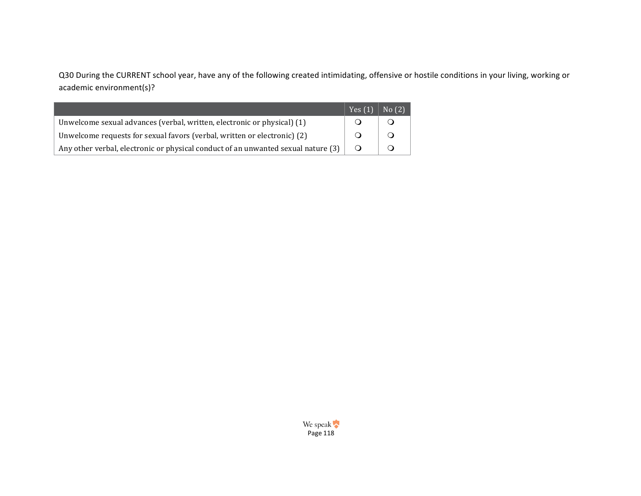Q30 During the CURRENT school year, have any of the following created intimidating, offensive or hostile conditions in your living, working or academic environment(s)?

|                                                                                   | Yes $(1)$ | No(2) |
|-----------------------------------------------------------------------------------|-----------|-------|
| Unwelcome sexual advances (verbal, written, electronic or physical) (1)           |           |       |
| Unwelcome requests for sexual favors (verbal, written or electronic) (2)          |           |       |
| Any other verbal, electronic or physical conduct of an unwanted sexual nature (3) |           |       |

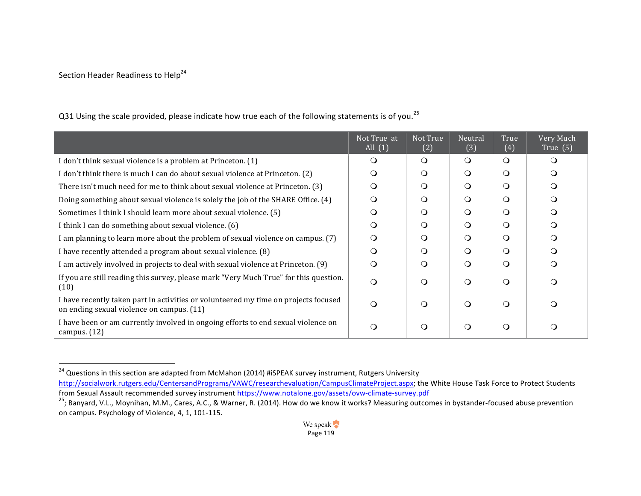## Section Header Readiness to Help<sup>24</sup>

 

|                                                                                                                                  | Not True at<br>All $(1)$ | Not True<br>(2) | Neutral<br>(3) | True<br>(4) | Very Much<br>True $(5)$ |
|----------------------------------------------------------------------------------------------------------------------------------|--------------------------|-----------------|----------------|-------------|-------------------------|
| I don't think sexual violence is a problem at Princeton. (1)                                                                     | $\Omega$                 | $\circ$         | $\Omega$       | $\circ$     | $\Omega$                |
| I don't think there is much I can do about sexual violence at Princeton. (2)                                                     | $\circ$                  | $\circ$         | $\Omega$       | $\Omega$    |                         |
| There isn't much need for me to think about sexual violence at Princeton. (3)                                                    | $\Omega$                 | $\circ$         | $\Omega$       | $\circ$     |                         |
| Doing something about sexual violence is solely the job of the SHARE Office. (4)                                                 | ∩                        | ∩               | ∩              | $\Omega$    |                         |
| Sometimes I think I should learn more about sexual violence. (5)                                                                 | O                        | $\Omega$        | $\Omega$       | $\Omega$    | $\Omega$                |
| I think I can do something about sexual violence. (6)                                                                            | $\circ$                  | Q               | ∩              | $\circ$     |                         |
| I am planning to learn more about the problem of sexual violence on campus. (7)                                                  | $\Omega$                 | $\Omega$        | $\Omega$       | $\circ$     |                         |
| I have recently attended a program about sexual violence. (8)                                                                    | ∩                        | $\Omega$        | $\Omega$       | $\Omega$    |                         |
| I am actively involved in projects to deal with sexual violence at Princeton. (9)                                                | $\circ$                  | $\Omega$        | ∩              | $\circ$     |                         |
| If you are still reading this survey, please mark "Very Much True" for this question.<br>(10)                                    | $\circ$                  | $\Omega$        | ∩              | $\circ$     |                         |
| I have recently taken part in activities or volunteered my time on projects focused<br>on ending sexual violence on campus. (11) | $\Omega$                 | $\Omega$        | $\Omega$       | $\circ$     |                         |
| I have been or am currently involved in ongoing efforts to end sexual violence on<br>campus. $(12)$                              | $\circ$                  | $\Omega$        | $\Omega$       | $\circ$     | $\left( \right)$        |

Q31 Using the scale provided, please indicate how true each of the following statements is of you.<sup>25</sup>

 $^{24}$  Questions in this section are adapted from McMahon (2014) #iSPEAK survey instrument, Rutgers University http://socialwork.rutgers.edu/CentersandPrograms/VAWC/researchevaluation/CampusClimateProject.aspx; the White House Task Force to Protect Students from Sexual Assault recommended survey instrument https://www.notalone.gov/

<sup>&</sup>lt;sup>25</sup>; Banyard, V.L., Moynihan, M.M., Cares, A.C., & Warner, R. (2014). How do we know it works? Measuring outcomes in bystander-focused abuse prevention on campus. Psychology of Violence, 4, 1, 101-115.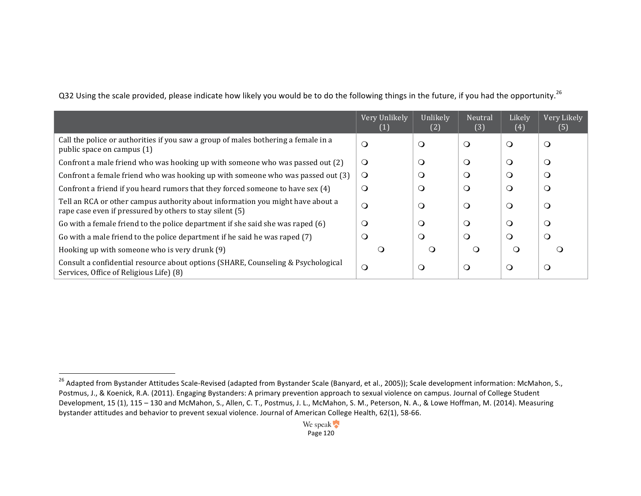|                                                                                                                                            | Very Unlikely<br>(1) | Unlikely<br>(2) | Neutral<br>(3) | Likely<br>(4) | Very Likely<br>(5) |
|--------------------------------------------------------------------------------------------------------------------------------------------|----------------------|-----------------|----------------|---------------|--------------------|
| Call the police or authorities if you saw a group of males bothering a female in a<br>public space on campus (1)                           | $\mathsf{O}$         | $\circ$         | $\circ$        | $\circ$       | $\circ$            |
| Confront a male friend who was hooking up with someone who was passed out (2)                                                              | $\circ$              | O               | $\circ$        | $\circ$       | $\circ$            |
| Confront a female friend who was hooking up with someone who was passed out (3)                                                            | $\Omega$             | O               | $\Omega$       | $\Omega$      | O                  |
| Confront a friend if you heard rumors that they forced someone to have sex (4)                                                             | O                    | $\Omega$        | $\cup$         | O             | $\circ$            |
| Tell an RCA or other campus authority about information you might have about a<br>rape case even if pressured by others to stay silent (5) | O                    | O               | $\circ$        | $\circ$       | $\circ$            |
| Go with a female friend to the police department if she said she was raped (6)                                                             | O                    | O               | $\circ$        | $\circ$       | $\circ$            |
| Go with a male friend to the police department if he said he was raped (7)                                                                 | $\mathsf{O}$         | $\circ$         | $\circ$        | $\Omega$      | $\circ$            |
| Hooking up with someone who is very drunk (9)                                                                                              | ∩                    | ∩               |                | $\Omega$      |                    |
| Consult a confidential resource about options (SHARE, Counseling & Psychological<br>Services, Office of Religious Life) (8)                | $\circ$              | $\circ$         | $\circ$        | $\circ$       | $\circ$            |

Q32 Using the scale provided, please indicate how likely you would be to do the following things in the future, if you had the opportunity.<sup>26</sup>

 <sup>26</sup> Adapted from Bystander Attitudes Scale-Revised (adapted from Bystander Scale (Banyard, et al., 2005)); Scale development information: McMahon, S., Postmus, J., & Koenick, R.A. (2011). Engaging Bystanders: A primary prevention approach to sexual violence on campus. Journal of College Student Development, 15 (1), 115 - 130 and McMahon, S., Allen, C. T., Postmus, J. L., McMahon, S. M., Peterson, N. A., & Lowe Hoffman, M. (2014). Measuring bystander attitudes and behavior to prevent sexual violence. Journal of American College Health, 62(1), 58-66.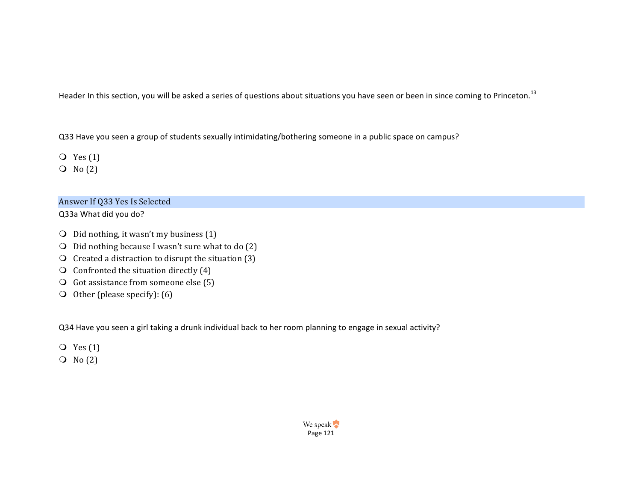Header In this section, you will be asked a series of questions about situations you have seen or been in since coming to Princeton.<sup>13</sup>

Q33 Have you seen a group of students sexually intimidating/bothering someone in a public space on campus?

 $Q$  Yes  $(1)$ 

 $\overline{O}$  No  $(2)$ 

## Answer If Q33 Yes Is Selected

Q33a What did you do?

- $\bigcirc$  Did nothing, it wasn't my business (1)
- $\bigcirc$  Did nothing because I wasn't sure what to do (2)
- $\overline{O}$  Created a distraction to disrupt the situation (3)
- $\bigcirc$  Confronted the situation directly (4)
- $\overline{Q}$  Got assistance from someone else (5)
- $\overline{O}$  Other (please specify): (6)

Q34 Have you seen a girl taking a drunk individual back to her room planning to engage in sexual activity?

- $Q$  Yes  $(1)$
- $\overline{O}$  No  $(2)$

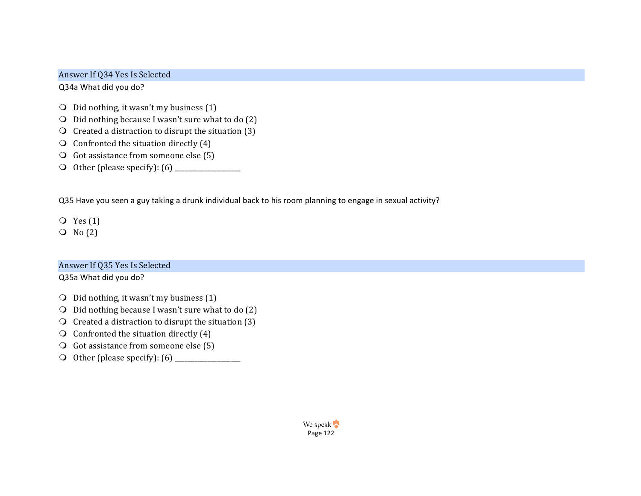### Answer If Q34 Yes Is Selected

Q34a What did you do?

- $\bigcirc$  Did nothing, it wasn't my business (1)
- $\bigcirc$  Did nothing because I wasn't sure what to do (2)
- $\Omega$  Created a distraction to disrupt the situation (3)
- $\bigcirc$  Confronted the situation directly (4)
- $\bigcirc$  Got assistance from someone else (5)
- m Other (please specify): (6) \_\_\_\_\_\_\_\_\_\_\_\_\_\_\_\_\_\_\_\_

Q35 Have you seen a guy taking a drunk individual back to his room planning to engage in sexual activity?

 $Q$  Yes  $(1)$ 

 $\overline{O}$  No  $(2)$ 

### Answer If Q35 Yes Is Selected

Q35a What did you do?

- $\bigcirc$  Did nothing, it wasn't my business (1)
- $\bigcirc$  Did nothing because I wasn't sure what to do (2)
- $\Omega$  Created a distraction to disrupt the situation (3)
- $\bigcirc$  Confronted the situation directly (4)
- $\overline{Q}$  Got assistance from someone else (5)
- m Other (please specify): (6) \_\_\_\_\_\_\_\_\_\_\_\_\_\_\_\_\_\_\_\_

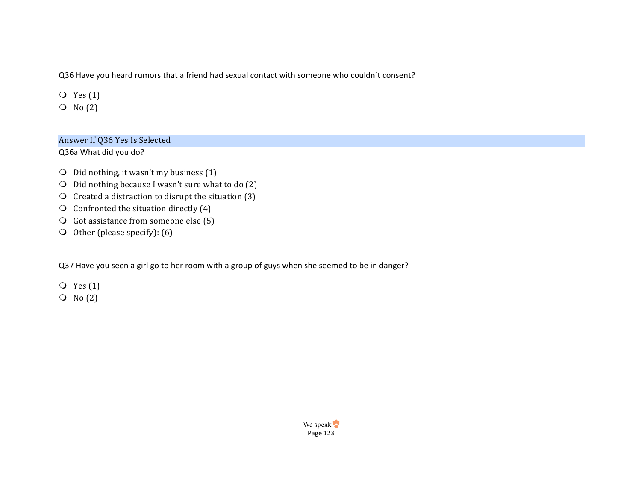Q36 Have you heard rumors that a friend had sexual contact with someone who couldn't consent?

 $Q$  Yes  $(1)$ 

 $\overline{O}$  No  $(2)$ 

#### Answer If Q36 Yes Is Selected

Q36a What did you do?

- $\bigcirc$  Did nothing, it wasn't my business (1)
- $\bigcirc$  Did nothing because I wasn't sure what to do (2)
- $\Omega$  Created a distraction to disrupt the situation (3)
- $\bigcirc$  Confronted the situation directly (4)
- $\overline{O}$  Got assistance from someone else (5)
- m Other (please specify): (6) \_\_\_\_\_\_\_\_\_\_\_\_\_\_\_\_\_\_\_\_

Q37 Have you seen a girl go to her room with a group of guys when she seemed to be in danger?

 $Q$  Yes  $(1)$ 

 $\overline{O}$  No  $(2)$ 

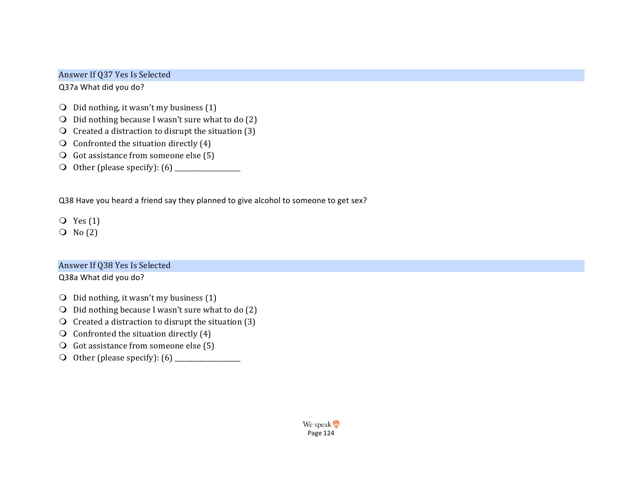### Answer If Q37 Yes Is Selected

Q37a What did you do?

- $\bigcirc$  Did nothing, it wasn't my business (1)
- $\bigcirc$  Did nothing because I wasn't sure what to do (2)
- $\Omega$  Created a distraction to disrupt the situation (3)
- $\bigcirc$  Confronted the situation directly (4)
- $\bigcirc$  Got assistance from someone else (5)
- m Other (please specify): (6) \_\_\_\_\_\_\_\_\_\_\_\_\_\_\_\_\_\_\_\_

Q38 Have you heard a friend say they planned to give alcohol to someone to get sex?

- $Q$  Yes  $(1)$
- $O$  No  $(2)$

### Answer If Q38 Yes Is Selected

Q38a What did you do?

- $\bigcirc$  Did nothing, it wasn't my business (1)
- $\bigcirc$  Did nothing because I wasn't sure what to do (2)
- $\Omega$  Created a distraction to disrupt the situation (3)
- $\bigcirc$  Confronted the situation directly (4)
- $\overline{Q}$  Got assistance from someone else (5)
- m Other (please specify): (6) \_\_\_\_\_\_\_\_\_\_\_\_\_\_\_\_\_\_\_\_

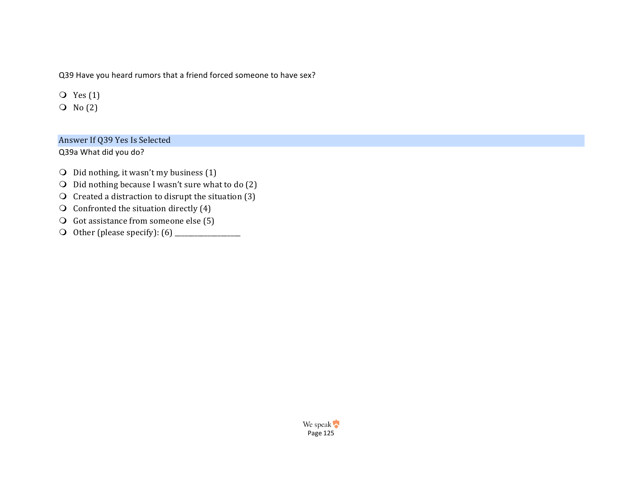Q39 Have you heard rumors that a friend forced someone to have sex?

 $Q$  Yes  $(1)$ 

 $\overline{O}$  No  $(2)$ 

### Answer If Q39 Yes Is Selected

Q39a What did you do?

- $\bigcirc$  Did nothing, it wasn't my business (1)
- $\bigcirc$  Did nothing because I wasn't sure what to do (2)
- $\bigcirc$  Created a distraction to disrupt the situation (3)
- $\bigcirc$  Confronted the situation directly (4)
- $\overline{O}$  Got assistance from someone else (5)
- m Other (please specify): (6) \_\_\_\_\_\_\_\_\_\_\_\_\_\_\_\_\_\_\_\_